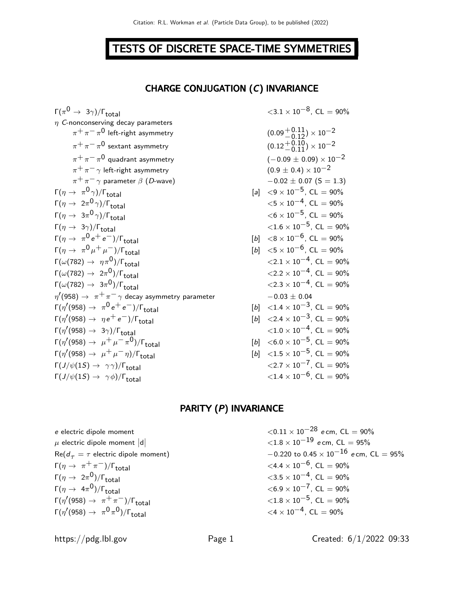## TESTS OF DISCRETE SPACE-TIME SYMMETRIES

#### CHARGE CONJUGATION (C) INVARIANCE

 $\Gamma(\pi^{\mathsf{0}} \to 3\gamma)/\Gamma_{\mathsf{total}} \hspace{2.5cm} <\hspace{2.5cm} 3.1 \times 10^{-8}, \, \mathsf{CL} = 90\%$  $\eta$  C-nonconserving decay parameters  $\pi^+\pi^-\pi^0$  left-right asymmetry (0.09 $^+$ 0.11  $\pi^+\pi^-\pi^0$  sextant asymmetry (0.12 $^+$ 0.10  $\pi^+\,\pi^-\,\pi^0$  quadrant asymmetry  $(-0.09\,\pm\,0.09)\times 10^{-2}$  $\pi^+ \pi^- \gamma$  left-right asymmetry  $\pi^+ \pi^- \gamma$  parameter  $\beta$  (D-wave)  $\Gamma(\eta \to \pi^0 \gamma)/\Gamma_{\rm total}$  [a]  $\langle 9 \times 10^{-5}$ , CL = 90%  $\Gamma(\eta \to 2\pi^0 \gamma)/\Gamma_{\rm total}$   $< 5 \times 10^{-4}$ , CL = 90%  $\Gamma(\eta \to 3\pi^0 \gamma)/\Gamma_{\rm total}$   $< 6 \times 10^{-5}$ , CL = 90%  $\Gamma(\eta \to 3\gamma)/\Gamma_{\text{total}}$  $\Gamma(\eta \to \pi^0 e^+ e^-)/\Gamma_{\text{total}}$  [b]  $\langle 8 \times 10^{-6}, \text{ CL} = 90\%$  $Γ(η → π<sup>0</sup>μ<sup>+</sup>μ<sup>−</sup>)/Γ<sub>total</sub>$  [b] <5 × 10<sup>-6</sup>, CL = 90%  $\Gamma(\omega(782) \rightarrow \eta \pi^0)/\Gamma_{\text{total}}$  $\Gamma(\omega(782) \to 2\pi^0) / \Gamma_{\text{total}}$  <2.2 × 10<sup>−4</sup>, CL = 90%  $\Gamma(\omega(782) \rightarrow 3\pi^0)/\Gamma_{\text{total}}$  $^{0})/\Gamma_{\rm total}$  <2.3 × 10<sup>-4</sup>, CL = 90%  $\eta^\prime(958)\rightarrow~\pi^+\pi^-\gamma$  decay asymmetry parameter  $\qquad \qquad -0.03\pm0.04$  $\Gamma(\eta^{\prime}(958) \rightarrow \pi^0 e^+ e^-)/\Gamma_{\rm total}$  [b] <1.4 × 10<sup>−3</sup>, CL = 90%  $\Gamma(\eta^{\prime}(958) \to \eta e^+ e^-)/\Gamma_{\rm total}$  [b] <2.4 × 10<sup>-3</sup>, CL = 90%  $\Gamma(\eta^{\prime}(958) \rightarrow 3\gamma)/\Gamma_{\rm total}$  <1.0 × 10<sup>-4</sup>, CL = 90%  $\Gamma(\eta' (958) \rightarrow \mu^+ \mu^- \pi^0)/\Gamma_{\text{total}}$  [b] <6.0 × 10<sup>−5</sup>, CL = 90%  $\Gamma(\eta' (958) \rightarrow \mu^+ \mu^- \eta)/\Gamma_{\rm total}$  [b] <1.5 × 10<sup>−5</sup>, CL = 90%  $\Gamma(J/\psi(1S) \rightarrow \gamma \gamma)/\Gamma_{\text{total}}$  $\Gamma(J/\psi(1S) \rightarrow \gamma \phi)/\Gamma_{\text{total}}$ 

$$
\langle 3.1 \times 10^{-9}, \, CL = 90\% \n(0.09 + 0.11) \times 10^{-2} \n(-0.09 \pm 0.09) \times 10^{-2} \n(-0.09 \pm 0.4) \times 10^{-2} \n-0.02 \pm 0.07 (S = 1.3) \n(a)  $\langle 9 \times 10^{-5}, \, CL = 90\%$    
\n(b)  $\langle 6 \times 10^{-5}, \, CL = 90\%$    
\n(b)  $\langle 6 \times 10^{-5}, \, CL = 90\%$    
\n(c)  $\langle 1.6 \times 10^{-5}, \, CL = 90\%$    
\n(d)  $\langle 2.1 \times 10^{-6}, \, CL = 90\%$    
\n(e)  $\langle 2.2 \times 10^{-4}, \, CL = 90\%$    
\n(e)  $\langle 2.2 \times 10^{-4}, \, CL = 90\%$    
\n(e)  $\langle 2.3 \times 10^{-4}, \, CL = 90\%$    
\n(e)  $\langle 2.3 \times 10^{-4}, \, CL = 90\%$    
\n(e)  $\langle 2.4 \times 10^{-3}, \, CL = 90\%$    
\n(f)  $\langle 2.4 \times 10^{-3}, \, CL = 90\%$    
\n(g)  $\langle 1.5 \times 10^{-5}, \, CL = 90\%$    
\n(h)  $\langle 1.5 \times 10^{-5}, \, CL = 90\%$    
\n(i)  $\langle 1.5 \times 10^{-5}, \, CL = 90\%$    
\n(j)  $\langle 1.5 \times 10^{-5}, \, CL = 90\%$    
\n(k)  $\langle 2.7 \times 10^{-7}, \, CL = 90\%$    
\n(l)  $\langle 1.4 \times 10^{-6}, \, CL = 90\%$    
\n(l)  $\langle 2.4 \times 10^{-5}, \, CL = 90\%$    
\n(l)  $\langle 2.4 \times 10^{-5}, \, CL = 90\%$    
\n(l)  $\langle 2.4 \times 10$
$$

#### PARITY (P) INVARIANCE

| e electric dipole moment                                        | $\langle 0.11 \times 10^{-28}$ e cm, CL = 90%                 |
|-----------------------------------------------------------------|---------------------------------------------------------------|
| $\mu$ electric dipole moment $ d $                              | $\langle 1.8 \times 10^{-19} \text{ e cm}, \text{ CL} = 95\%$ |
| $Re(d_{\tau} = \tau$ electric dipole moment)                    | $-0.220$ to $0.45 \times 10^{-16}$ ecm, CL = 95%              |
| $\Gamma(\eta \to \pi^+\pi^-)/\Gamma_{\text{total}}$             | $\langle 4.4 \times 10^{-6}$ , CL = 90%                       |
| $\Gamma(\eta \to 2\pi^0)/\Gamma_{\rm total}$                    | $\langle 3.5 \times 10^{-4} \rangle$ , CL = 90%               |
| $\Gamma(\eta \to 4\pi^0)/\Gamma_{\text{total}}$                 | $\langle 6.9 \times 10^{-7}$ , CL = 90%                       |
| $\Gamma(\eta'(958) \rightarrow \pi^+\pi^-)/\Gamma_{\rm total}$  | $\langle 1.8 \times 10^{-5} \rangle$ , CL = 90%               |
| $\Gamma(\eta'(958) \rightarrow \pi^0 \pi^0)/\Gamma_{\rm total}$ | $\langle 4 \times 10^{-4}$ , CL = 90%                         |
|                                                                 |                                                               |

https://pdg.lbl.gov Page 1 Created: 6/1/2022 09:33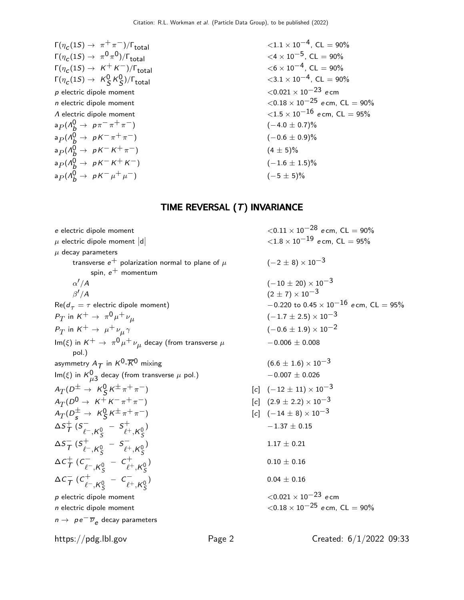| $\Gamma(\eta_c(1S) \to \pi^+\pi^-)/\Gamma_{\text{total}}$          | $\langle 1.1 \times 10^{-4} \rangle$ , CL = 90%                |
|--------------------------------------------------------------------|----------------------------------------------------------------|
| $\Gamma(\eta_c(1S) \to \pi^0 \pi^0)/\Gamma_{\text{total}}$         | $\langle 4 \times 10^{-5}$ , CL = 90%                          |
| $\Gamma(\eta_c(1S) \rightarrow K^+K^-)/\Gamma_{\text{total}}$      | $<$ 6 $\times$ 10 <sup>-4</sup> , CL = 90%                     |
| $\Gamma(\eta_c(1S) \rightarrow K_S^0 K_S^0)/\Gamma_{\text{total}}$ | $\langle 3.1 \times 10^{-4} \rangle$ , CL = 90%                |
| $p$ electric dipole moment                                         | $<$ 0.021 $\times$ 10 $^{-23}$ ecm                             |
| $n$ electric dipole moment                                         | $\langle 0.18 \times 10^{-25} \text{ e cm}, \text{ CL} = 90\%$ |
| $\Lambda$ electric dipole moment                                   | $\langle 1.5 \times 10^{-16} \text{ e cm}, \text{ CL} = 95\%$  |
| $a_P(\Lambda_b^0 \rightarrow p\pi^-\pi^+\pi^-)$                    | $(-4.0 \pm 0.7)\%$                                             |
| $a_P(\Lambda_h^0 \rightarrow pK^-\pi^+\pi^-)$                      | $(-0.6 \pm 0.9)\%$                                             |
| $a_P(\Lambda_b^0 \rightarrow pK^-K^+\pi^-)$                        | $(4 \pm 5)\%$                                                  |
| $a_P(A_b^0 \rightarrow pK^-K^+K^-)$                                | $(-1.6 \pm 1.5)\%$                                             |
| $a_P(A_b^0 \rightarrow pK^-\mu^+\mu^-)$                            | $(-5 \pm 5)\%$                                                 |
|                                                                    |                                                                |

## TIME REVERSAL (T) INVARIANCE

| e electric dipole moment                                                                            |        | $<$ 0.11 $\times$ 10 $^{-28}$ ecm, CL $=$ 90%    |
|-----------------------------------------------------------------------------------------------------|--------|--------------------------------------------------|
| $\mu$ electric dipole moment $ d $                                                                  |        | ${<}1.8 \times 10^{-19}$ ecm, CL = 95%           |
| $\mu$ decay parameters                                                                              |        |                                                  |
| transverse $e^+$ polarization normal to plane of $\mu$                                              |        | $(-2 \pm 8) \times 10^{-3}$                      |
| spin, $e^+$ momentum                                                                                |        |                                                  |
| $\alpha'/A$                                                                                         |        | $(-10 \pm 20) \times 10^{-3}$                    |
| $\beta'/A$                                                                                          |        | $(2 \pm 7) \times 10^{-3}$                       |
| $Re(d_{\tau} = \tau$ electric dipole moment)                                                        |        | $-0.220$ to $0.45 \times 10^{-16}$ ecm, CL = 95% |
| $P_T$ in $K^+ \rightarrow \pi^0 \mu^+ \nu_\mu$                                                      |        | $(-1.7 \pm 2.5) \times 10^{-3}$                  |
| $P_T$ in $K^+ \rightarrow \mu^+ \nu_\mu \gamma$                                                     |        | $(-0.6 \pm 1.9) \times 10^{-2}$                  |
| Im( $\xi$ ) in $K^+ \rightarrow \pi^0 \mu^+ \nu_\mu$ decay (from transverse $\mu$                   |        | $-0.006 \pm 0.008$                               |
| $pol.$ )                                                                                            |        |                                                  |
| asymmetry $A_T$ in $K^0$ - $\overline{K}{}^0$ mixing                                                |        | $(6.6 \pm 1.6) \times 10^{-3}$                   |
| Im( $\xi$ ) in $K_{\mu 3}^0$ decay (from transverse $\mu$ pol.)                                     |        | $-0.007 \pm 0.026$                               |
| $A_T(D^{\pm} \rightarrow K_S^0 K^{\pm} \pi^+ \pi^-)$                                                |        | $[c]$ $(-12 \pm 11) \times 10^{-3}$              |
| $A_T(D^0 \rightarrow K^+ K^- \pi^+ \pi^-)$                                                          |        | $[c]$ $(2.9 \pm 2.2) \times 10^{-3}$             |
| $A_T(D_s^{\pm} \rightarrow K_S^0 K^{\pm} \pi^+ \pi^-)$                                              |        | $[c]$ $(-14 \pm 8) \times 10^{-3}$               |
| $\Delta S_{\mathcal{T}}^{+}$ $(S_{\ell^{-}}, K_{\varsigma}^{0} - S_{\ell^{+}}, K_{\varsigma}^{0})$  |        | $-1.37 \pm 0.15$                                 |
| $\Delta S_{\overline{I}}^{-}$ $(S_{\ell^{-}}, K_{\varsigma}^{0} - S_{\ell^{+}}, K_{\varsigma}^{0})$ |        | $1.17 \pm 0.21$                                  |
| $\Delta C_{\overline{I}}^+ (C_{\ell^-, K^0_S}^- - C_{\ell^+, K^0_S}^+)$                             |        | $0.10 \pm 0.16$                                  |
| $\Delta C_{\cal T}^- (C_{\ell^-,K_c^0}^+ - C_{\ell^+,K_c^0}^-)$                                     |        | $0.04 \pm 0.16$                                  |
| $p$ electric dipole moment                                                                          |        | ${<}0.021\times10^{-23}$ ecm                     |
| $n$ electric dipole moment                                                                          |        | $<$ 0.18 $\times$ 10 $^{-25}$ ecm, CL $=$ 90%    |
| $n \rightarrow p e^{-} \overline{\nu}_{e}$ decay parameters                                         |        |                                                  |
| https://pdg.lbl.gov                                                                                 | Page 2 | Created: $6/1/2022$ 09:33                        |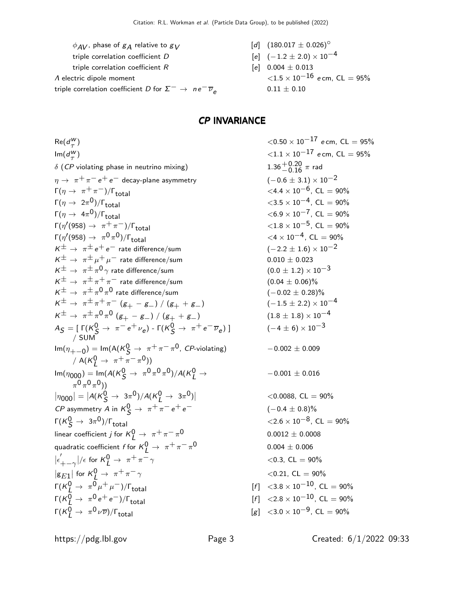$$
\phi_{AV}, \text{ phase of } g_A \text{ relative to } g_V
$$
\n
$$
\text{triple correlation coefficient } D
$$
\n
$$
\text{triple correlation coefficient } R
$$
\n
$$
\text{A electric dipole moment}
$$
\n
$$
\text{C} = 95\%
$$
\n
$$
\text{C} = 95\%
$$
\n
$$
\text{C} = 95\%
$$
\n
$$
\text{C} = 95\%
$$
\n
$$
\text{C} = 95\%
$$
\n
$$
\text{C} = 95\%
$$

$$
[d] \ (180.017 \pm 0.026)^{\circ}
$$

$$
e] \quad (-1.2 \pm 2.0) \times 10^{-4}
$$

$$
\begin{aligned}\n\text{[e]} \quad & 0.004 \pm 0.013 \\
 & < 1.5 \times 10^{-16} \text{ e cm, CL} = 95\% \\
 & 0.11 \pm 0.10\n\end{aligned}
$$

#### CP INVARIANCE

 $Re(d^W_\tau$ )  $<$  0.50  $\times$  10 $^{-17}$  e cm, CL  $=$  95%  $\mathsf{Im}(d_{\tau}^{\mathsf{W}}% )$ )  $<$  1.1  $\times$  10 $^{-17}$  e cm, CL  $=$  95%  $\delta$  (CP violating phase in neutrino mixing)  $\eta \rightarrow \pi^+ \pi^- e^+ e^-$  decay-plane asymmetry  $\Gamma(\eta \to \pi^+ \pi^-)/\Gamma_{\text{total}}$  $\Gamma(\eta \to 2\pi^0)/\Gamma_{\text{total}}$  $^{0})/\Gamma_{\rm total}$  < 3.5 × 10<sup>-4</sup>, CL = 90%  $\Gamma(\eta \to 4\pi^0)/\Gamma_{\rm total}$  <6.9 × 10<sup>−7</sup>, CL = 90%  $\Gamma(\eta^{\prime}(958) \rightarrow \pi^{+}\pi^{-})/\Gamma_{\rm total}$  <1.8 × 10<sup>−5</sup>, CL = 90%  $\Gamma(\eta^{\prime}(958) \rightarrow \pi^0 \pi^0)/\Gamma_{\rm total}$  <4 × 10<sup>-4</sup>, CL = 90%  $K^{\pm} \rightarrow \pi^{\pm} e^+ e^-$  rate difference/sum  $K^{\pm} \rightarrow \pi^{\pm} \mu^+ \mu^-$  rate difference/sum  ${\cal K}^{\pm} \rightarrow \ \pi^{\pm} \pi^0 \, \gamma$  rate difference/sum  $(0.0 \pm 1.2) \times 10^{-3}$  $K^{\pm} \rightarrow \pi^{\pm} \pi^+ \pi^-$  rate difference/sum  ${\cal K}^{\pm} \rightarrow \ \pi^{\pm} \pi^0 \pi^0$  rate difference/sum  $(-0.02 \pm 0.28)\%$  $K^{\pm} \rightarrow \pi^{\pm} \pi^+ \pi^- (g_+ - g_-) / (g_+ + g_-)$  $\begin{array}{l} \displaystyle K^{\pm} \rightarrow \ \pi^{\pm} \, \pi^0 \, \pi^0 \, \left( g_+ - g_- \right) \, / \, \left( g_+ + g_- \right) \end{array} \hspace{2cm} (1.8 \pm 1.8) \times 10^{-4}$  $A_{\mathcal{S}} = [\Gamma(K_{\mathcal{S}}^{0} \rightarrow \pi^{-} e^{+} \nu_{e}) - \Gamma(K_{\mathcal{S}}^{0} \rightarrow \pi^{+} e^{-} \overline{\nu}_{e})]$ / SUM Im(η<sub>+−0</sub>) = Im(A(K<sup>0</sup>S → π<sup>+</sup>π<sup>−</sup>π<sup>0</sup>, CP-violating) /  $A(K_L^0 \rightarrow \pi^+ \pi^- \pi^0))$  $\text{Im}(\eta_{000}) = \text{Im}(A(K_S^0 \to \pi^0 \pi^0 \pi^0)/A(K_L^0 \to$  $(\pi^0 \pi^0 \pi^0))$  $|\eta_{000}| = |A(K_S^0 \to 3\pi^0)/A(K_L^0 \to 3\pi^0)|$ *CP* asymmetry *A* in  $K_S^0 \rightarrow \pi^+ \pi^- e^+ e^-$  (−0.4 ± 0.8)%  $\Gamma(\mathcal{K}^0_S\rightarrow~3\pi^0)/\Gamma_{\rm total} \hspace{2cm} < 2.6\times 10^{-8},~{\rm CL}=90\%$ linear coefficient  $j$  for  $\mathcal{K}_{\mathcal{L}}^{0}\rightarrow\ \pi^{+}\pi^{-}\pi$ quadratic coefficient  $f$  for  $K^0_L \rightarrow \pi^+ \pi^- \pi^ |\epsilon^{'}_{\cdot}$  $\left. \begin{array}{l l} \gamma' + -\gamma \end{array} \right|/\epsilon$  for  $\mathcal{K}_L^0 \rightarrow \pi^+ \pi^- \gamma$  < 0.3, CL = 90%  $|g_{E1}|$  for  $K^0_L \rightarrow \pi^+ \pi^- \gamma$  < 0.21, CL = 90%  $\Gamma(K^0_L \to \pi^0 \mu^+ \mu^-)/\Gamma_{\rm total}$  [f]  $\langle 3.8 \times 10^{-10}, \text{ CL} = 90\%$  $\Gamma(K^0_L \rightarrow \pi^0 e^+ e^-)/\Gamma_{\rm total}$  [f]  $\langle 2.8 \times 10^{-10}, \text{ CL} = 90\%$  $\Gamma(K^0_L \to \pi^0 \nu \overline{\nu})/\Gamma_{\rm total} \qquad \qquad \qquad \qquad \qquad \text{[g]} \ \ \text{<}3.0 \times 10^{-9} \text{, CL} = 90\%$ 

<sup>−</sup>0.<sup>16</sup> <sup>π</sup> rad (−4 ± 6) × 10−3 −0.002 ± 0.009 −0.001 ± 0.016 <sup>&</sup>lt;0.0088, CL = 90% 0 0.0012 ± 0.0008 0 0.004 ± 0.006

https://pdg.lbl.gov Page 3 Created: 6/1/2022 09:33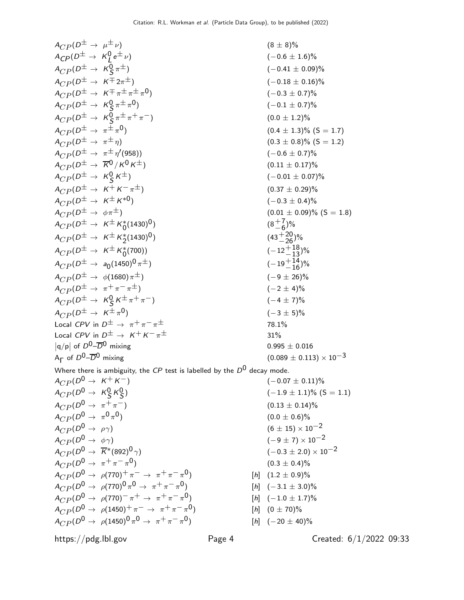$$
A_{CP}(D^{\pm} \to \mu^{\pm} \nu) \qquad (8 \pm 8)\%
$$
  
\n
$$
A_{CP}(D^{\pm} \to K_{Q}^{0} e^{\pm} \nu) \qquad (-0.6 \pm 1.6)\%
$$
  
\n
$$
A_{CP}(D^{\pm} \to K_{Q}^{0} \pi^{\pm}) \qquad (-0.41 \pm 0.09)\%
$$
  
\n
$$
A_{CP}(D^{\pm} \to K_{Q}^{0} \pi^{\pm} \pi^{\mp}) \qquad (-0.18 \pm 0.16)\%
$$
  
\n
$$
A_{CP}(D^{\pm} \to K_{Q}^{0} \pi^{\pm} \pi^{\mp}) \qquad (-0.18 \pm 0.16)\%
$$
  
\n
$$
A_{CP}(D^{\pm} \to K_{Q}^{0} \pi^{\pm} \pi^{\mp}) \qquad (0.0 \pm 1.2)\%
$$
  
\n
$$
A_{CP}(D^{\pm} \to \pi^{\pm} \eta) \qquad (0.0 \pm 1.2)\%
$$
  
\n
$$
A_{CP}(D^{\pm} \to \pi^{\pm} \eta) \qquad (0.0 \pm 1.2)\%
$$
  
\n
$$
A_{CP}(D^{\pm} \to \pi^{\pm} \eta) \qquad (0.0 \pm 1.2)\%
$$
  
\n
$$
A_{CP}(D^{\pm} \to K_{Q}^{0} K^{\pm}) \qquad (0.01 \pm 0.07)\%
$$
  
\n
$$
A_{CP}(D^{\pm} \to K_{Q}^{0} K^{\pm}) \qquad (0.01 \pm 0.07)\%
$$
  
\n
$$
A_{CP}(D^{\pm} \to K^{\pm} K_{0}^{*}) \qquad (0.01 \pm 0.07)\%
$$
  
\n
$$
A_{CP}(D^{\pm} \to K^{\pm} K_{0}^{*}) \qquad (0.01 \pm 0.09)\%
$$
 (S = 1.8)  
\n
$$
A_{CP}(D^{\pm} \to K^{\pm} K_{0}^{*}) \qquad (0.01 \pm 0.09)\%
$$
 (S = 1.8)  
\n
$$
A_{CP}(D^{\pm} \to K^{\pm} K_{0}^{*}) \qquad (0.01
$$

Where there is ambiguity, the CP test is labelled by the  $D^0$  decay mode.

 $A_{CP} (D^0 \rightarrow K^+ K^-)$  (−0.07 ± 0.11)%  $A_{CP} (D^0 \rightarrow \frac{1}{2} \kappa_S^0)$  $A_{CP} (D^0 \rightarrow \pi^+ \pi^-)$  (0.13 ± 0.14)%  $A_{CP} (D^0 \rightarrow \pi^0 \pi^0)$  $A_{CP}(D^0 \rightarrow \rho \gamma)$  (6 ± 15) × 10<sup>-2</sup><br>  $A_{CP}(D^0 \rightarrow \phi \gamma)$  (-9 ± 7) × 10<sup>-2</sup>  $A_{CP}(D^0 \to \phi \gamma)$ <br>  $A_{CP}(D^0 \to \overline{K}^*(892)^0 \gamma)$  (-9 ± 7) × 10<sup>-2</sup><br>
(-0.3 ± 2.0) × 10<sup>-2</sup>  $A_{CP} (D^0 \rightarrow \overline{K}^* (892)^0 \gamma)$  $A_{CP} (D^0 \to \pi^+ \pi^- \pi^0)$  $A_{CP} (D^0 \rightarrow \rho (770)^+ \pi^- \rightarrow \pi^+ \pi^- \pi^0)$  $A_{CP} (D^0 \rightarrow \rho (770)^0 \pi^0 \rightarrow \pi^+ \pi^- \pi^ A_{CP} (D^0 \rightarrow \rho (770)^- \pi^+ \rightarrow \pi^+ \pi^- \pi^0)$  $A_{CP}^{(D0)} \rightarrow \rho(1450)^{+} \pi^{-} \rightarrow \pi^{+} \pi^{-} \pi^{0}$  $A_{CP} (D^0 \, \rightarrow \, \, \rho (1450)^0 \, \pi^0 \, \rightarrow \, \, \pi^+ \, \pi^- \, \pi^-$ 

 $(-1.9 \pm 1.1)\%$  (S = 1.1)  $(0.0 \pm 0.6)\%$  $(0.3 \pm 0.4)\%$ [*h*]  $(1.2 \pm 0.9)\%$  $[h]$  (-3.1 ± 3.0)%  $[h]$  (-1.0  $\pm$  1.7)%

 $[h]$   $(0 \pm 70)\%$ 

$$
0) \t\t [h] (-20 \pm 40)\%
$$

https://pdg.lbl.gov Page 4 Created: 6/1/2022 09:33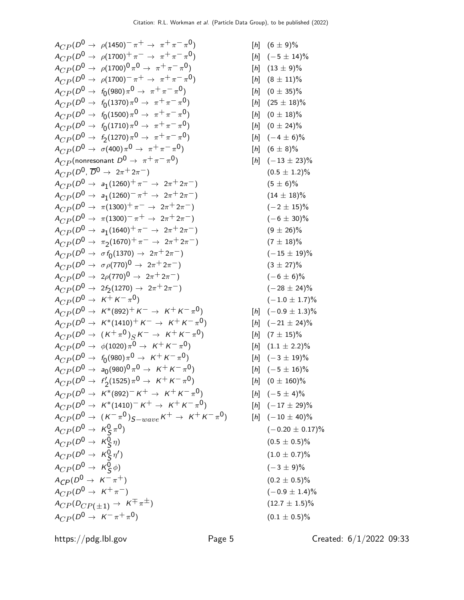$A_{CP} (D^0 \rightarrow \rho (1450)^- \pi^+ \rightarrow \pi^+ \pi^- \pi^0)$  $A_{CP} (D^0 \rightarrow \rho (1700)^+ \pi^- \rightarrow \pi^+ \pi^- \pi^0)$  $A_{CP} (D^0 \, \rightarrow \, \, \rho (1700)^0 \, \pi^0 \, \rightarrow \, \, \pi^+ \, \pi^- \, \pi^+$  $A_{CP} (D^0 \rightarrow \rho (1700)^- \pi^+ \rightarrow \pi^+ \pi^- \pi^0)$  $A_{CP} (D^0 \rightarrow~f_0(980) \pi^0 \rightarrow~\pi^+ \pi^- \pi^ A_{CP} (D^0 \rightarrow ~f_0(1370) \pi^0 \rightarrow ~\pi^+ \pi^- \pi^ A_{CP} (D^0 \rightarrow ~f_0(1500)\pi^0 \rightarrow ~\pi^+ \pi^- \pi^ A_{CP} (D^0 \rightarrow ~f_0(1710)\pi^0 \rightarrow ~\pi^+ \pi^- \pi^ A_{CP} (D^0 \rightarrow f_2(1270) \pi^0 \rightarrow \pi^+ \pi^- \pi^ A_{CP} (D^0 \rightarrow~\sigma(400) \pi^0 \rightarrow~\pi^+ \pi^- \pi^ ^{[h]}$  (6  $\pm$  8)%  $A_{CP}$ (nonresonant  $D^0 \rightarrow \pi^+ \pi^- \pi^0$ )  $A_{CP} (D^0, \overline{D}^0 \rightarrow 2\pi^+ 2\pi^-)$  $A_{CP} (D^0 \rightarrow a_1 (1260)^+ \pi^- \rightarrow 2\pi^+ 2\pi^-)$  (5 ± 6)%  $A_{CP} (D^0 \rightarrow a_1 (1260)^- \pi^+ \rightarrow 2 \pi^+ 2 \pi^-)$  (14 ± 18)%  $A_{CP} (D^0 \rightarrow \pi (1300)^+ \pi^- \rightarrow 2\pi^+ 2\pi^-)$  $A_{CP} (D^0 \rightarrow \pi (1300)^{-} \pi^{+} \rightarrow 2 \pi^{+} 2 \pi^{-})$  $A_{CP} (D^0 \rightarrow a_1 (1640)^+ \pi^- \rightarrow 2\pi^+ 2\pi^-)$  (9 ± 26)%  $A_{CP} (D^0 \rightarrow \pi_2(1670)^+ \pi^- \rightarrow 2\pi^+ 2\pi^-)$  (7 ± 18)%  $A_{CP} (D^0 \rightarrow \sigma f_0(1370) \rightarrow 2\pi^+ 2\pi^-)$  (−15 ± 19)%  $A_{CP} (D^0 \rightarrow \sigma \rho (770)^0 \rightarrow 2\pi^+ 2\pi^-)$  $A_{CP} (D^0 \rightarrow 2\rho (770)^0 \rightarrow 2\pi^+ 2\pi^-)$  $A_{CP} (D^0 \rightarrow 2f_2(1270) \rightarrow 2\pi^+ 2\pi^-)$  (−28 ± 24)%  $A_{CP} (D^0 \rightarrow K^+ K^- \pi^0)$  $^{0})\qquad \qquad (-1.0\pm1.7)\%$  $A_{CP} (D^0 \rightarrow K^*(892)^+ K^- \rightarrow K^+ K^- \pi^0)$  $A_{CP} (D^0 \rightarrow K^*(1410)^+ K^- \rightarrow K^+ K^- \pi^0)$  $A_{CP} (D^0 \rightarrow (K^+ \pi^0)_S K^- \rightarrow K^+ K^- \pi^0)$  $A_{CP} (D^0 \rightarrow~\phi(1020) \, \pi^0 \rightarrow~\, \kappa^+ \, \kappa^- \, \pi^ A_{CP} (D^0 \rightarrow~f_0$ (980) $\pi^0 \rightarrow~\textit{K}^+ \textit{K}^- \pi$  $A_{CP} (D^0 \rightarrow a_0(980)^0 \pi^0 \rightarrow \ K^+ \ K^- \pi$  $A_{CP} (D^0 \rightarrow \,\, f'_2$  $\chi_2^{\prime}$ (1525) $\pi^{\mathsf{0}} \to \; \kappa^+ \, \kappa^- \, \pi$  $A_{CP} (D^0 \rightarrow K^*(892)^- K^+ \rightarrow K^+ K^- \pi^0)$  $A_{CP} (D^0 \rightarrow K^*(1410)^- K^+ \rightarrow K^+ K^- \pi^0)$  $A_{CP} (D^0 \rightarrow~ (K^-\pi^0)_{S-wave} K^+ \rightarrow~ K^+K^-\pi^+$  $A_{CP} (D^0 \rightarrow \ K^0_S \pi)$  $^{0})\qquad \qquad (-0.20\pm 0.17)\%$  $A_{CP} (D^0 \rightarrow K^0_S$  $\eta) \hspace{3.6cm} (0.5 \pm 0.5)\%$  $A_{CP} (D^0 \rightarrow K^0_S \eta^{\prime})$ ) and (1.0  $\pm$  0.7)%  $A_{CP} (D^0 \rightarrow K^0_S$  $\phi$ ) (-3 ± 9)%  $A_{CP}(D^0 \rightarrow K^-\pi^+)$  $A_{CP} (D^0 \rightarrow K^+ \pi^-)$  $A_{CP}(D_{CP(+1)} \rightarrow K^{\pm} \pi^{\pm})$  $A_{CP} (D^0 \rightarrow K^- \pi^+ \pi^0)$  $^{0})\qquad \qquad (0.1\pm 0.5)\%$ 

$$
\pi^{-}\pi^{0}\n\pi^{-}\pi^{0}\n\pi^{-}\pi^{0}\n\pi^{-}\pi^{0}\n\pi^{-}\pi^{0}\n\pi^{-}\pi^{0}\n\pi^{-}\pi^{0}\n\pi^{0}\n\pi^{0}\n\pi^{0}\n\pi^{0}\n\pi^{0}\n\pi^{0}\n\pi^{0}\n\pi^{0}\n\pi^{0}\n\pi^{0}\n\pi^{0}\n\pi^{0}\n\pi^{0}\n\pi^{0}\n\pi^{0}\n\pi^{0}\n\pi^{0}\n\pi^{0}\n\pi^{0}\n\pi^{0}\n\pi^{0}\n\pi^{0}\n\pi^{0}\n\pi^{0}\n\pi^{0}\n\pi^{0}\n\pi^{0}\n\pi^{0}\n\pi^{0}\n\pi^{0}\n\pi^{0}\n\pi^{0}\n\pi^{0}\n\pi^{0}\n\pi^{0}\n\pi^{0}\n\pi^{0}\n\pi^{0}\n\pi^{0}\n\pi^{0}\n\pi^{0}\n\pi^{0}\n\pi^{0}\n\pi^{0}\n\pi^{0}\n\pi^{0}\n\pi^{0}\n\pi^{0}\n\pi^{0}\n\pi^{0}\n\pi^{0}\n\pi^{0}\n\pi^{0}\n\pi^{0}\n\pi^{0}\n\pi^{0}\n\pi^{0}\n\pi^{0}\n\pi^{0}\n\pi^{0}\n\pi^{0}\n\pi^{0}\n\pi^{0}\n\pi^{0}\n\pi^{0}\n\pi^{0}\n\pi^{0}\n\pi^{0}\n\pi^{0}\n\pi^{0}\n\pi^{0}\n\pi^{0}\n\pi^{0}\n\pi^{0}\n\pi^{0}\n\pi^{0}\n\pi^{0}\n\pi^{0}\n\pi^{0}\n\pi^{0}\n\pi^{0}\n\pi^{0}\n\pi^{0}\n\pi^{0}\n\pi^{0}\n\pi^{0}\n\pi^{0}\n\pi^{0}\n\pi^{0}\n\pi^{0}\n\pi^{0}\n\pi^{0}\n\pi^{0}\n\pi^{0}\n\pi^{0}\n\pi^{0}\n\pi^{0}\n\pi^{0}\n\pi^{0}\n\pi^{0}\n\pi^{0}\n\pi^{0}\n\pi^{0}\n\pi^{0}\n\pi^{0}\n\pi^{0}\n\pi^{0}\n\pi^{0}\n\pi^{0}\n\pi^{0}\n\pi^{0}\n\pi^{0}\n\pi^{0}\n\pi^{0}\n\pi^{0}\n\pi^{0}\n\
$$

https://pdg.lbl.gov Page 5 Created: 6/1/2022 09:33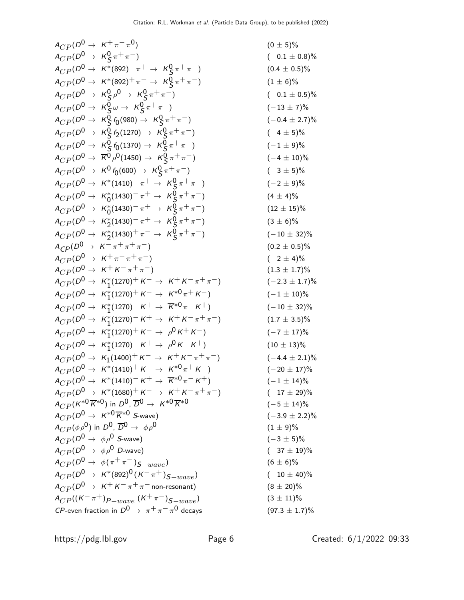<sup>A</sup>CP (D<sup>0</sup> <sup>→</sup> <sup>K</sup><sup>+</sup> <sup>π</sup><sup>−</sup> <sup>π</sup> 0) (0 ± 5)% <sup>A</sup>CP (D<sup>0</sup> <sup>→</sup> <sup>K</sup><sup>0</sup> S π+ π−) (−0.1 ± 0.8)% <sup>A</sup>CP (D<sup>0</sup> <sup>→</sup> <sup>K</sup>∗(892)<sup>−</sup> <sup>π</sup><sup>+</sup> <sup>→</sup> <sup>K</sup><sup>0</sup> S π+ π−) (0.4 ± 0.5)% <sup>A</sup>CP (D<sup>0</sup> <sup>→</sup> <sup>K</sup>∗(892)<sup>+</sup> <sup>π</sup><sup>−</sup> <sup>→</sup> <sup>K</sup><sup>0</sup> S π+ π−) (1 ± 6)% <sup>A</sup>CP (D<sup>0</sup> <sup>→</sup> <sup>K</sup><sup>0</sup> S ρ 0 → K0 S π+ π−) (−0.1 ± 0.5)% <sup>A</sup>CP (D<sup>0</sup> <sup>→</sup> <sup>K</sup><sup>0</sup> S ω → K0 S π+ π−) (−13 ± 7)% <sup>A</sup>CP (D<sup>0</sup> <sup>→</sup> <sup>K</sup><sup>0</sup> S f0 (980) → K0 S π+ π−) (−0.4 ± 2.7)% <sup>A</sup>CP (D<sup>0</sup> <sup>→</sup> <sup>K</sup><sup>0</sup> S f2 (1270) → K0 S π+ π−) (−4 ± 5)% <sup>A</sup>CP (D<sup>0</sup> <sup>→</sup> <sup>K</sup><sup>0</sup> S f0 (1370) → K0 S π+ π−) (−1 ± 9)% <sup>A</sup>CP (D<sup>0</sup> <sup>→</sup> <sup>K</sup><sup>0</sup> <sup>ρ</sup> 0(1450) → K0 S π+ π−) (−4 ± 10)% <sup>A</sup>CP (D<sup>0</sup> <sup>→</sup> <sup>K</sup><sup>0</sup> <sup>f</sup><sup>0</sup> (600) → K0 S π+ π−) (−3 ± 5)% <sup>A</sup>CP (D<sup>0</sup> <sup>→</sup> <sup>K</sup>∗(1410)<sup>−</sup> <sup>π</sup><sup>+</sup> <sup>→</sup> <sup>K</sup><sup>0</sup> S π+ π−) (−2 ± 9)% <sup>A</sup>CP (D<sup>0</sup> <sup>→</sup> <sup>K</sup><sup>∗</sup> 0 (1430)− π+ → K0 S π+ π−) (4 ± 4)% <sup>A</sup>CP (D<sup>0</sup> <sup>→</sup> <sup>K</sup><sup>∗</sup> 0 (1430)− π+ → K0 S π+ π−) (12 ± 15)% <sup>A</sup>CP (D<sup>0</sup> <sup>→</sup> <sup>K</sup><sup>∗</sup> 2 (1430)− π+ → K0 S π+ π−) (3 ± 6)% <sup>A</sup>CP (D<sup>0</sup> <sup>→</sup> <sup>K</sup><sup>∗</sup> 2 (1430)+ π− → K0 S π+ π−) (−10 ± 32)% ACP(D<sup>0</sup> <sup>→</sup> <sup>K</sup><sup>−</sup> <sup>π</sup><sup>+</sup> <sup>π</sup><sup>+</sup> <sup>π</sup>−) (0.<sup>2</sup> <sup>±</sup> <sup>0</sup>.5)% <sup>A</sup>CP (D<sup>0</sup> <sup>→</sup> <sup>K</sup><sup>+</sup> <sup>π</sup><sup>−</sup> <sup>π</sup><sup>+</sup> <sup>π</sup>−) (−<sup>2</sup> <sup>±</sup> 4)% <sup>A</sup>CP (D<sup>0</sup> <sup>→</sup> <sup>K</sup><sup>+</sup> <sup>K</sup><sup>−</sup> <sup>π</sup><sup>+</sup> <sup>π</sup>−) (1.<sup>3</sup> <sup>±</sup> <sup>1</sup>.7)% <sup>A</sup>CP (D<sup>0</sup> <sup>→</sup> <sup>K</sup><sup>∗</sup> 1 (1270)+ K− → K+ K− π+ π−) (−2.3 ± 1.7)% <sup>A</sup>CP (D<sup>0</sup> <sup>→</sup> <sup>K</sup><sup>∗</sup> 1 (1270)+ K− → K∗0 π+ K−) (−1 ± 10)% <sup>A</sup>CP (D<sup>0</sup> <sup>→</sup> <sup>K</sup><sup>∗</sup> 1 (1270)− K+ → K∗0 π− K+) (−10 ± 32)% <sup>A</sup>CP (D<sup>0</sup> <sup>→</sup> <sup>K</sup><sup>∗</sup> 1 (1270)− K+ → K+ K− π+ π−) (1.7 ± 3.5)% <sup>A</sup>CP (D<sup>0</sup> <sup>→</sup> <sup>K</sup><sup>∗</sup> 1 (1270)+ K− → ρ 0 K+ K−) (−7 ± 17)% <sup>A</sup>CP (D<sup>0</sup> <sup>→</sup> <sup>K</sup><sup>∗</sup> 1 (1270)− K+ → ρ 0 K− K+) (10 ± 13)% <sup>A</sup>CP (D<sup>0</sup> <sup>→</sup> <sup>K</sup><sup>1</sup> (1400)+ K− → K+ K− π+ π−) (−4.4 ± 2.1)% <sup>A</sup>CP (D<sup>0</sup> <sup>→</sup> <sup>K</sup>∗(1410)<sup>+</sup> <sup>K</sup><sup>−</sup> <sup>→</sup> <sup>K</sup>∗<sup>0</sup> <sup>π</sup><sup>+</sup> <sup>K</sup>−) (−<sup>20</sup> <sup>±</sup> 17)% <sup>A</sup>CP (D<sup>0</sup> <sup>→</sup> <sup>K</sup>∗(1410)<sup>−</sup> <sup>K</sup><sup>+</sup> <sup>→</sup> <sup>K</sup>∗<sup>0</sup> <sup>π</sup><sup>−</sup> <sup>K</sup>+) (−<sup>1</sup> <sup>±</sup> 14)% <sup>A</sup>CP (D<sup>0</sup> <sup>→</sup> <sup>K</sup>∗(1680)<sup>+</sup> <sup>K</sup><sup>−</sup> <sup>→</sup> <sup>K</sup><sup>+</sup> <sup>K</sup><sup>−</sup> <sup>π</sup><sup>+</sup> <sup>π</sup>−) (−<sup>17</sup> <sup>±</sup> 29)% <sup>A</sup>CP (K∗<sup>0</sup> <sup>K</sup>∗0) in <sup>D</sup>0, <sup>D</sup><sup>0</sup> <sup>→</sup> <sup>K</sup>∗<sup>0</sup> <sup>K</sup>∗<sup>0</sup> (−<sup>5</sup> <sup>±</sup> 14)% <sup>A</sup>CP (D<sup>0</sup> <sup>→</sup> <sup>K</sup>∗<sup>0</sup> <sup>K</sup>∗<sup>0</sup> <sup>S</sup>-wave) (−3.<sup>9</sup> <sup>±</sup> <sup>2</sup>.2)% <sup>A</sup>CP (φρ0) in <sup>D</sup>0, <sup>D</sup><sup>0</sup> <sup>→</sup> φρ<sup>0</sup> (1 <sup>±</sup> 9)% <sup>A</sup>CP (D<sup>0</sup> <sup>→</sup> φρ<sup>0</sup> <sup>S</sup>-wave) (−<sup>3</sup> <sup>±</sup> 5)% <sup>A</sup>CP (D<sup>0</sup> <sup>→</sup> φρ<sup>0</sup> <sup>D</sup>-wave) (−<sup>37</sup> <sup>±</sup> 19)% <sup>A</sup>CP (D<sup>0</sup> <sup>→</sup> <sup>φ</sup>(π<sup>+</sup> <sup>π</sup><sup>−</sup> )S−wave) (6 <sup>±</sup> 6)% <sup>A</sup>CP (D<sup>0</sup> <sup>→</sup> <sup>K</sup>∗(892)<sup>0</sup> (K<sup>−</sup> <sup>π</sup><sup>+</sup> )S−wave) (−<sup>10</sup> <sup>±</sup> 40)% <sup>A</sup>CP (D<sup>0</sup> <sup>→</sup> <sup>K</sup><sup>+</sup> <sup>K</sup><sup>−</sup> <sup>π</sup><sup>+</sup> <sup>π</sup><sup>−</sup> non-resonant) (8 <sup>±</sup> 20)% <sup>A</sup>CP ((K<sup>−</sup> <sup>π</sup>+)P−wave (K<sup>+</sup> <sup>π</sup>−)S−wave) (3 <sup>±</sup> 11)% CP-even fraction in D0 → π+ π− π 0 decays (97.3 ± 1.7)%

https://pdg.lbl.gov Page 6 Created:  $6/1/2022$  09:33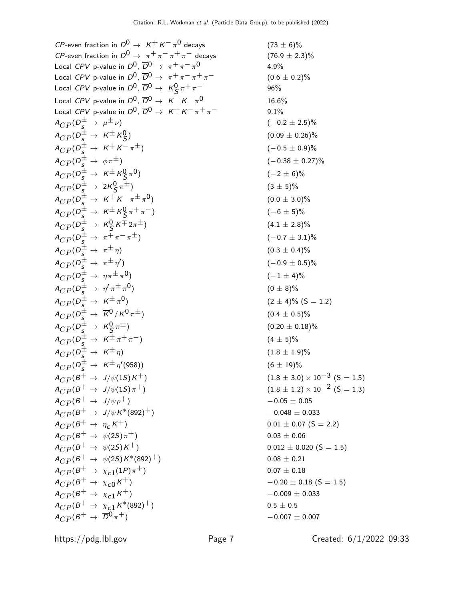CP-even fraction in  $D^0 \rightarrow K^+ K^- \pi^0$  decavs CP-even fraction in  $D^0 \rightarrow \pi^+ \pi^- \pi^+ \pi^-$  decays (76.9 ± 2.3)% Local CPV p-value in  $D^0$ ,  $\overline{D}{}^0 \rightarrow \pi^+ \pi^- \pi^0$ Local CPV p-value in  $D^0$ ,  $\overline{D}^0 \rightarrow \pi^+ \pi^- \pi^+ \pi^-$  (0.6 ± 0.2)% Local CPV p-value in  $D^0$ ,  $\overline{D}^0 \rightarrow K^0_S \pi^+ \pi^-$  96% Local CPV p-value in  $D^0$ ,  $\overline{D}^0 \rightarrow K^+ K^- \pi^0$ Local CPV p-value in  $D^0$ ,  $\overline{D}^0 \rightarrow K^+ K^- \pi^+ \pi^-$  9.1%  $A_{CP}(D^{\pm}_{\mathcal{S}} \to \mu^{\pm} \nu)$  (-0.2 ± 2.5)%  $A_{CP} (D_s^{\pm} \rightarrow K^{\pm} K_S^0)$  $A_{CP} (D^{\pm}_s \rightarrow K^+ K^- \pi^{\pm})$  (−0.5 ± 0.9)%  $A_{CP} (D_{\mathcal{S}}^{\pm} \rightarrow \phi \pi^{\pm})$  (-0.38  $\pm$  0.27)%  $A_{CP} (D_S^{\pm} \rightarrow \overline{K^{\pm} K^0_S} \pi)$  $A_{CP} (D_s^{\pm} \rightarrow 2K_S^0$  $A_{CP} (D_s^{\pm} \rightarrow K^+ K^- \pi^{\pm} \pi)$  $A_{CP} (D_s^{\pm} \rightarrow K^{\pm} K_S^0)$  $A_{CP} (D_s^{\pm} \rightarrow K_S^0)$  $A_{CP} (D_{\mathcal{S}}^{\pm} \rightarrow \pi^{+} \pi^{-} \pi^{\pm})$  (−0.7 ± 3.1)%  $A_{CP} (D_{\mathcal{S}}^{\pm} \to \pi^{\pm} \eta)$  (0.3  $\pm$  0.4)%  $A_{CP} (D_{\tilde S}^{\pm} \to~\pi^{\pm} \eta^{\prime})$  $A_{CP} (D_s^{\pm} \rightarrow \eta \pi^{\pm} \pi)$  $A_{CP} (D_{\mathcal{S}}^{\pm} \rightarrow \eta^{\prime} \pi^{\pm} \pi^{\prime})$  $A_{CP} (D_{\tilde S}^{\pm} \to \ K^{\pm} \pi)$  $A_{CP} (D_5^{\pm} \rightarrow \overline{K}^0 / K^0 \pi^{\pm})$  (0.4 ± 0.5)%  $A_{CP} (D_s^{\pm} \rightarrow K_S^0)$  $A_{CP} (D_{\frac{1}{2}}^{\pm} \rightarrow K^{\pm} \pi^{+} \pi^{-})$  (4 ± 5)%  $A_{CP}(D^{\pm}_{\mathcal{S}} \rightarrow K^{\pm}_{\mathcal{S}} \eta)$  (1.8 ± 1.9)%  $A_{CP} (D_s^{\pm} \rightarrow K^{\pm} \eta^{\prime})$  $A_{CP}(B^+ \rightarrow J/\psi(1S)K^+)$  (1.8 ± 3.0) × 10<sup>-3</sup> (S = 1.5)<br>  $A_{CP}(B^+ \rightarrow J/\psi(1S)\pi^+)$  (1.8 ± 1.2) × 10<sup>-2</sup> (S = 1.3)  $A_{CP} (B^+ \to J/\psi \rho^+)$  - 0.05  $\pm$  0.05  $A_{CP}(B^+ \rightarrow J/\psi K^*(892)^+)$  -0.048 ± 0.033  $A_{CP}(B^+ \rightarrow \eta_c K^+)$  0.01  $\pm$  0.07 (S = 2.2)  $A_{CP}(B^+ \rightarrow \psi(2S)\pi^+)$  0.03 ± 0.06  $A_{CP}(B^+ \rightarrow \psi(2S)K^+)$  0.012 ± 0.020 (S = 1.5)  $A_{CP}(B^+ \rightarrow \psi(2S)K^*(892)^+)$  0.08 ± 0.21  $A_{CP}(B^+\rightarrow \chi_{c1}(1P)\pi^+)$  $A_{CP}(B^+ \rightarrow \chi_{c0} K^+)$  - 0.20  $\pm$  0.18 (S = 1.5)  $A_{CP}(B^+ \rightarrow \chi_{c1} K^+)$  -0.009 ± 0.033  $A_{CP}(B^+ \rightarrow \chi_{c1} K^*(892)^+)$  0.5 ± 0.5  $A_{CP}(B^+ \to \overline{D}0 \pi^+)$  -0.007 ± 0.007

 $(73 \pm 6)\%$ 0 4.9% 16.6%  $(0.09 \pm 0.26)\%$  $(-2 \pm 6)\%$  $(3 \pm 5)\%$  $(0.0 \pm 3.0)\%$  $(-6 \pm 5)\%$  $(4.1 \pm 2.8)\%$  $(-0.9 \pm 0.5)\%$  $(-1 \pm 4)\%$  $(0 \pm 8)\%$  $(2 \pm 4)\%$  (S = 1.2)  $(0.20 \pm 0.18)\%$  $(6 \pm 19)\%$  $(1.8 \pm 1.2) \times 10^{-2}$  (S = 1.3)  $0.07 \pm 0.18$ 

https://pdg.lbl.gov Page 7 Created: 6/1/2022 09:33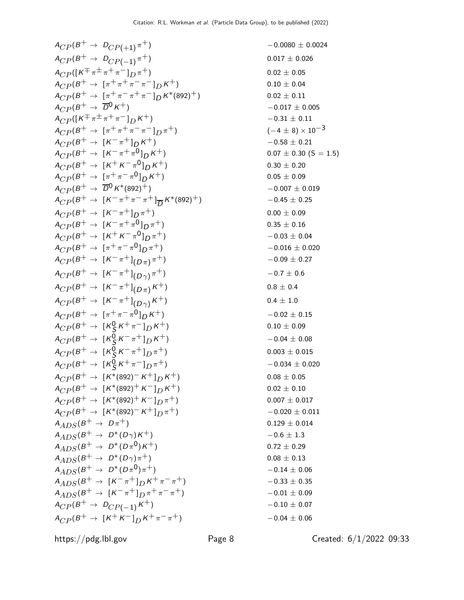$$
A_{CP}(B^+ \to D_{CP}(1))^{\pi^+})
$$
\n
$$
A_{CP}(B^+ \to D_{CP}(-1))^{\pi^+})
$$
\n
$$
A_{CP}(B^+ \to [\pi^+ \pi^+ \pi^-]) K^+)
$$
\n
$$
A_{CP}(B^+ \to [\pi^+ \pi^+ \pi^-]) K^+)
$$
\n
$$
A_{CP}(B^+ \to [\pi^+ \pi^+ \pi^-]) K^+)
$$
\n
$$
A_{CP}(B^+ \to [\pi^+ \pi^+ \pi^-]) K^+)
$$
\n
$$
A_{CP}(B^+ \to [\pi^+ \pi^+ \pi^-]) K^+)
$$
\n
$$
A_{CP}(B^+ \to [\pi^+ \pi^+ \pi^-]) K^+)
$$
\n
$$
A_{CP}(B^+ \to [\pi^+ \pi^+ \pi^-]) K^+)
$$
\n
$$
A_{CP}(B^+ \to [\pi^+ \pi^+ \pi^-]) K^+)
$$
\n
$$
A_{CP}(B^+ \to [\pi^+ \pi^+ \pi^0]) K^+)
$$
\n
$$
A_{CP}(B^+ \to [\pi^+ \pi^- \pi^0]) K^+)
$$
\n
$$
A_{CP}(B^+ \to [\pi^+ \pi^- \pi^0]) K^+)
$$
\n
$$
A_{CP}(B^+ \to [\pi^+ \pi^- \pi^0]) K^+)
$$
\n
$$
A_{CP}(B^+ \to [\pi^+ \pi^- \pi^0]) K^+)
$$
\n
$$
A_{CP}(B^+ \to [\pi^+ \pi^- \pi^0]) K^+)
$$
\n
$$
A_{CP}(B^+ \to [\pi^+ \pi^- \pi^0]) K^+)
$$
\n
$$
A_{CP}(B^+ \to [\pi^+ \pi^- \pi^0]) K^+)
$$
\n
$$
A_{CP}(B^+ \to [\pi^+ \pi^- \pi^0]) K^+)
$$
\n
$$
A_{CP}(B^+ \to [\pi^+ \pi^- \pi^0]) K^+)
$$
\n
$$
A_{CP}(B^+ \to [\pi^+ \pi^- \pi^0]) K^+)
$$
\n
$$
A_{CP}(B^+ \to [\pi^+ \pi^- \pi^0]) K^+)
$$
\n
$$
A_{CP}(B^+ \to [\pi^+ \pi^-
$$

$$
-0.0080 \pm 0.0024
$$
\n
$$
0.017 \pm 0.026
$$
\n
$$
0.02 \pm 0.05
$$
\n
$$
0.10 \pm 0.04
$$
\n
$$
0.02 \pm 0.11
$$
\n
$$
-0.017 \pm 0.005
$$
\n
$$
-0.31 \pm 0.11
$$
\n
$$
(-4 \pm 8) \times 10^{-3}
$$
\n
$$
-0.58 \pm 0.21
$$
\n
$$
0.07 \pm 0.30 (S = 1.5
$$
\n
$$
0.30 \pm 0.20
$$
\n
$$
0.05 \pm 0.09
$$
\n
$$
-0.007 \pm 0.019
$$
\n
$$
-0.45 \pm 0.25
$$
\n
$$
0.00 \pm 0.09
$$
\n
$$
0.35 \pm 0.16
$$
\n
$$
-0.03 \pm 0.04
$$
\n
$$
-0.016 \pm 0.020
$$
\n
$$
-0.09 \pm 0.27
$$
\n
$$
-0.7 \pm 0.6
$$
\n
$$
0.8 \pm 0.4
$$
\n
$$
0.4 \pm 1.0
$$
\n
$$
-0.02 \pm 0.15
$$
\n
$$
0.10 \pm 0.09
$$
\n
$$
-0.04 \pm 0.08
$$
\n
$$
0.003 \pm 0.015
$$
\n
$$
-0.034 \pm 0.020
$$
\n
$$
0.08 \pm 0.05
$$
\n
$$
0.02 \pm 0.10
$$
\n
$$
0.007 \pm 0.017
$$
\n
$$
-0.020 \pm 0.011
$$
\n
$$
0.129 \pm 0.014
$$
\n
$$
-0.6 \pm 1.3
$$
\n
$$
0.72 \pm 0.29
$$
\n
$$
0.08 \pm
$$

https://pdg.lbl.gov Page 8 Created: 6/1/2022 09:33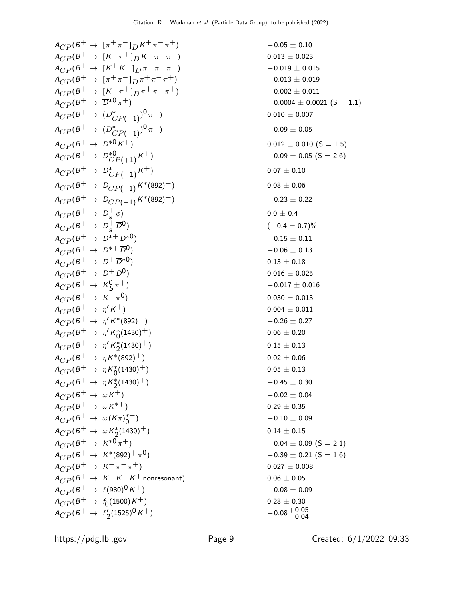$$
A_{CP}(B^+ \to \{\pi^+\pi^- | pK^+\pi^-\pi^+\})
$$
\n
$$
A_{CP}(B^+ \to \{\pi^+\pi | pK^+\pi^-\pi^+\})
$$
\n
$$
A_{CP}(B^+ \to \{\pi^+\pi | p\pi^+\pi^-\pi^+\})
$$
\n
$$
A_{CP}(B^+ \to \{\pi^+\pi | p\pi^+\pi^-\pi^+\})
$$
\n
$$
A_{CP}(B^+ \to \{\pi^+\pi | p\pi^+\pi^-\pi^+\})
$$
\n
$$
A_{CP}(B^+ \to \{\pi^+\pi | p\pi^+\pi^-\pi^+\})
$$
\n
$$
A_{CP}(B^+ \to \{\pi^+\pi | p\pi^+\pi^-\pi^+\})
$$
\n
$$
A_{CP}(B^+ \to \{\pi^+\pi | p\pi^+\pi^-\pi^+\})
$$
\n
$$
A_{CP}(B^+ \to \{\pi^+\pi | p\pi^+\pi^+\})
$$
\n
$$
A_{CP}(B^+ \to \{\pi^+\pi | p\pi^+\pi^+\})
$$
\n
$$
A_{CP}(B^+ \to \{\pi^+\pi | p\pi^+\})
$$
\n
$$
A_{CP}(B^+ \to \{\pi^+\pi | p\pi^+\})
$$
\n
$$
A_{CP}(B^+ \to \{\pi^+\pi | p\pi^+\})
$$
\n
$$
A_{CP}(B^+ \to \{\pi^+\pi | p\pi^+\})
$$
\n
$$
A_{CP}(B^+ \to \{\pi^+\pi | p\pi^+\})
$$
\n
$$
A_{CP}(B^+ \to \{\pi^+\pi | p\pi^+\})
$$
\n
$$
A_{CP}(B^+ \to \{\pi^+\pi | p\pi^+\})
$$
\n
$$
A_{CP}(B^+ \to \{\pi^+\pi | p\pi^+\})
$$
\n
$$
A_{CP}(B^+ \to \{\pi^+\pi | p\pi^+\})
$$
\n
$$
A_{CP}(B^+ \to \{\pi^+\pi | p\pi^+\})
$$
\n
$$
A_{CP}(B^+ \to \{\pi^+\pi | p\pi^+\})
$$
\n
$$
A_{CP}(B^+ \to \{\pi^+\pi | p\pi^+\})
$$
\n
$$
A_{
$$

$$
x + \pi + 1
$$
  
\n
$$
x + \pi - \pi + 1
$$
  
\n
$$
x + \pi - \pi + 1
$$
  
\n
$$
x + \pi - \pi + 1
$$
  
\n
$$
x + \pi - \pi + 1
$$
  
\n
$$
x + \pi - \pi + 1
$$
  
\n
$$
x + \pi - \pi + 1
$$
  
\n
$$
x + \pi - \pi + 1
$$
  
\n
$$
x + \pi - \pi + 1
$$
  
\n
$$
x + \pi - \pi + 1
$$
  
\n
$$
x + \pi - \pi + 1
$$
  
\n
$$
x + \pi - \pi + 1
$$
  
\n
$$
x + \pi - \pi + 1
$$
  
\n
$$
x + \pi - \pi + 1
$$
  
\n
$$
x + \pi - \pi + 1
$$
  
\n
$$
x + \pi - \pi + 1
$$
  
\n
$$
x + \pi - \pi + 1
$$
  
\n
$$
x + \pi - \pi + 1
$$
  
\n
$$
x + \pi - \pi + 1
$$
  
\n
$$
x + \pi - \pi + 1
$$
  
\n
$$
x + \pi - \pi + 1
$$
  
\n
$$
x + \pi - \pi + 1
$$
  
\n
$$
x + \pi - \pi + 1
$$
  
\n
$$
x + \pi - \pi + 1
$$
  
\n
$$
x + \pi - \pi + 1
$$
  
\n
$$
x + \pi - \pi + 1
$$
  
\n
$$
x + \pi - \pi + 1
$$
  
\n
$$
x + \pi - \pi + 1
$$
  
\n
$$
x + \pi - \pi + 1
$$
  
\n
$$
x + \pi - \pi + 1
$$
  
\n
$$
x + \pi - \pi + 1
$$
  
\n
$$
x + \pi - \pi + 1
$$
  
\n
$$
x + \pi - \pi + 1
$$
  
\n
$$
x + \pi - \pi + 1
$$
  
\n
$$
x + \pi - \pi + 1
$$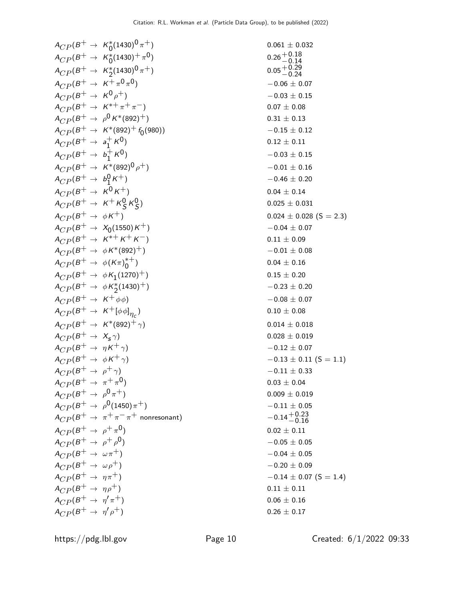$$
A_{CP}(B^+ \to K_0^*(1430)^0 \pi^+)
$$
\n
$$
A_{CP}(B^+ \to K_0^*(1430)^0 \pi^+)
$$
\n
$$
A_{CP}(B^+ \to K_0^*(1430)^0 \pi^+)
$$
\n
$$
A_{CP}(B^+ \to K_0^*(1430)^0 \pi^+)
$$
\n
$$
A_{CP}(B^+ \to K_0^*(1430)^0 \pi^+)
$$
\n
$$
A_{CP}(B^+ \to K_0^*(1430)^0 \pi^+)
$$
\n
$$
A_{CP}(B^+ \to K_0^*(1430)^0 \pi^+)
$$
\n
$$
A_{CP}(B^+ \to K_0^*(1430)^0 \pi^+)
$$
\n
$$
A_{CP}(B^+ \to K_0^*(1430)^0 \pi^+)
$$
\n
$$
A_{CP}(B^+ \to K_0^*(1430)^0 \pi^+)
$$
\n
$$
A_{CP}(B^+ \to K_0^*(1430)^0 \pi^+)
$$
\n
$$
A_{CP}(B^+ \to K_0^*(1430)^0 \pi^+)
$$
\n
$$
A_{CP}(B^+ \to K_0^*(1430)^0 \pi^+)
$$
\n
$$
A_{CP}(B^+ \to K_0^*(1430)^0 \pi^+)
$$
\n
$$
A_{CP}(B^+ \to K_0^*(1430)^0 \pi^+)
$$
\n
$$
A_{CP}(B^+ \to K_0^*(1430)^0 \pi^+)
$$
\n
$$
A_{CP}(B^+ \to K_0^*(1430)^0 \pi^+)
$$
\n
$$
A_{CP}(B^+ \to K_0^*(1430)^0 \pi^+)
$$
\n
$$
A_{CP}(B^+ \to K_0^*(1430)^0 \pi^+)
$$
\n
$$
A_{CP}(B^+ \to K_0^*(1430)^0 \pi^+)
$$
\n
$$
A_{CP}(B^+ \to K_0^*(1430)^0 \pi^+)
$$
\n
$$
A_{CP}(B^+ \to K_0^*(1430)^0 \pi^+)
$$
\n
$$
A_{CP}(B^+ \to K_
$$

 $0.11$  (S = 1.1)<br>0.33

 $0.07$  (S = 1.4)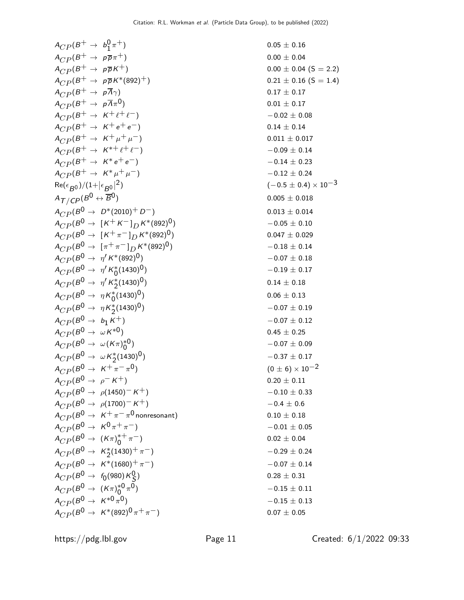$$
A_{CP}(B^+\to b_1^0 \pi^+)
$$
\n
$$
A_{CP}(B^+\to \rho \overline{p} \pi^+)
$$
\n
$$
A_{CP}(B^+\to \rho \overline{p} \pi^+)
$$
\n
$$
A_{CP}(B^+\to \rho \overline{p} \pi^+)
$$
\n
$$
A_{CP}(B^+\to \rho \overline{p} \pi^+)
$$
\n
$$
A_{CP}(B^+\to \rho \overline{p} \pi^+)
$$
\n
$$
A_{CP}(B^+\to \rho \overline{p} \pi^+)
$$
\n
$$
A_{CP}(B^+\to \rho \overline{p} \pi^+)
$$
\n
$$
A_{CP}(B^+\to \rho \overline{p} \pi^+ + \epsilon^+ \epsilon^-)
$$
\n
$$
A_{CP}(B^+\to K^+ + \epsilon^+ \epsilon^-)
$$
\n
$$
A_{CP}(B^+\to K^+ + \epsilon^+ \epsilon^-)
$$
\n
$$
A_{CP}(B^+\to K^+ + \epsilon^+ \epsilon^-)
$$
\n
$$
A_{CP}(B^+\to K^+ + \epsilon^+ \epsilon^-)
$$
\n
$$
A_{CP}(B^0\to \rho^+ (2010)^+ D^-)
$$
\n
$$
A_{CP}(B^0\to \rho^+ (2010)^+ D^-)
$$
\n
$$
A_{CP}(B^0\to \rho^+ (2010)^+ D^-)
$$
\n
$$
A_{CP}(B^0\to \rho^+ (2010)^+ D^-)
$$
\n
$$
A_{CP}(B^0\to \rho^+ (2010)^+ D^-)
$$
\n
$$
A_{CP}(B^0\to \rho^+ (\kappa^+ \pi^-)D^{K^*}(892)^0)
$$
\n
$$
A_{CP}(B^0\to \eta^+ K^* \alpha^+ (892)^0)
$$
\n
$$
A_{CP}(B^0\to \eta^+ K^* \alpha^+ (892)^0)
$$
\n
$$
A_{CP}(B^0\to \eta^+ K^* \alpha^+ (892)^0)
$$
\n
$$
A_{CP}(B^0\to \eta^+ K^* \alpha^+ (892)^0)
$$
\n
$$
A_{CP}(B^0\to \eta^+ K^* \alpha^+ (
$$

2) (−0.5 ± 0.4) × 10−3

https://pdg.lbl.gov Page 11 Created: 6/1/2022 09:33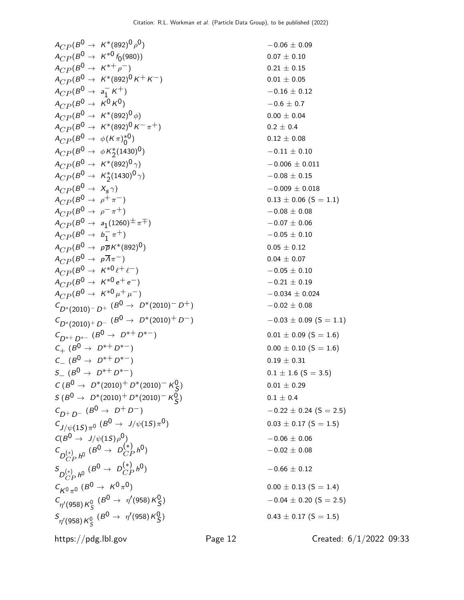$-0.06 \pm 0.09$ 

 $0.07 \pm 0.10$ 

 $A_{CP} (B^0 \rightarrow K^*(892)^0 \rho$  $A_{CP} (B^0 \rightarrow K^{*0} f_0(980))$  $A_{CP} (B^0 \to K^{*+} \rho^-)$  0.21 ± 0.15  $A_{CP} (B^0 \rightarrow K^*(892)^0 K^+ K^-)$  0.01 ± 0.05  $A_{CP} (B^0 \rightarrow a_1^-)$ 1  $A_{CP} (B^0 \to K^0 K^0)$  -0.6 ± 0.7  $A_{CP} (B^0 \rightarrow K^* (892)^0 \phi)$  0.00 ± 0.04  $A_{CP} (B^0 \rightarrow K^*(892)^0 K^- \pi^+)$  0.2 ± 0.4  $A_{CP} (B^0 \rightarrow \phi (K \pi)_0^{*0}$ 0  $A_{CP} (B^0 \rightarrow \phi K_2^*$  $A_{CP} (B^0 \rightarrow K^*(892)^0 \gamma)$  -0.006 ± 0.011  $A_{CP} (B^0 \rightarrow K_2^* (1430)^0 \gamma)$  - 0.08 ± 0.15  $A_{CP} (B^0 \rightarrow X_s \gamma)$  $A_{CP}(B^0 \to \rho^+ \pi^-)$  0.13 ± 0.06 (S = 1.1)  $A_{CP} (B^0 \rightarrow \rho^- \pi^+)$  -0.08 ± 0.08  $A_{CP} (B^0 \rightarrow a_1 (1260)^{\pm} \pi^{\mp}) \qquad \qquad -0.07 \pm 0.06$  $A_{CP} (B^0 \rightarrow b_1^-)$ 1  $A_{CP} (B^0 \to p \overline{p} K^* (892)^0)$  0.05 ± 0.12  $A_{CP} (B^0 \rightarrow p \overline{A} \pi^-)$  0.04 ± 0.07  $A_{CP} (B^0 \rightarrow K^{*0} \ell^+ \ell^-)$  - 0.05 ± 0.10  $A_{CP} (B^0 \rightarrow K^{*0} e^+ e^-)$  - 0.21 ± 0.19  $A_{CP} (B^0 \rightarrow K^{*0} \mu^+ \mu^-)$  -0.034 ± 0.024  $C_{D^*(2010)-D^+}$  (B<sup>0</sup> → D<sup>\*</sup>(2010)<sup>-</sup>D<sup>+</sup>)  $-0.02 \pm 0.08$  $C_{D^*(2010)^+ D^-}$   $(B^0 \rightarrow D^*(2010)^+ D^-)$  -0.03 ± 0.09 (S = 1.1)  $C_{D^*+ D^{*-}} (B^0 \rightarrow D^{*+} D^{*-})$  0.01 ± 0.09 (S = 1.6)  $C_+$  ( $B^0 \rightarrow D^{*+} D^{*-}$ )  $C_{-}$  (B<sup>0</sup> → D<sup>\*+</sup>D<sup>\*-</sup>) 0.19 ± 0.31  $S_{-}$  ( $B^{0} \rightarrow D^{*+} D^{*-}$ ) 0.1 ± 1.6 (S = 3.5)  $C (B^0 \rightarrow D^*(2010)^+ D^*(2010)^- K_S^0)$  $S$  ( $B^0 \to D^*(2010)^+ D^*(2010)^-$  K $^0_S$  $C_{D^+ D^-}$  (B<sup>0</sup> → D<sup>+</sup>D<sup>-</sup>)  $-0.22 \pm 0.24$  (S = 2.5)  $C_{J/\psi(1S)\pi^0}$  (B<sup>0</sup>  $\rightarrow$  J/ $\psi(1S)\pi$  $C(B^0 \rightarrow J/\psi(15)\rho^0)$  $C_{DCP}^{(*)} h^0$  (B<sup>0</sup>  $\rightarrow D_{CP}^{(*)} h^0$ S  $D_{CP}^{(*)} h^0$   $(B^0 \rightarrow D_{CP}^{(*)} h^0)$  $C_{K^0 \pi^0}$  ( $B^0 \to K^0 \pi$  $\mathcal{C}_{\eta^\prime(958)K^0_S}$  $(B^0 \rightarrow \eta^{\prime} (958) K^0_S$  $^{\mathcal{S}}\! \eta'$ (958) K $^0_{\mathcal{S}}$  $(B^0 \to \eta^{\prime}$ (958) K $^0_S$ 

 $-0.16 \pm 0.12$  $0.12 \pm 0.08$  $-0.11 \pm 0.10$  $-0.009 \pm 0.018$  $-0.05 \pm 0.10$  $0.00 \pm 0.10$  (S = 1.6)  $0.01 \pm 0.29$  $0.1 \pm 0.4$  $0.03 \pm 0.17$  (S = 1.5)  $-0.06 \pm 0.06$  $-0.02 \pm 0.08$  $-0.66 \pm 0.12$  $0.00 \pm 0.13$  (S = 1.4)  $-0.04 \pm 0.20$  (S = 2.5)  $0.43 \pm 0.17$  (S = 1.5)

https://pdg.lbl.gov Page 12 Created: 6/1/2022 09:33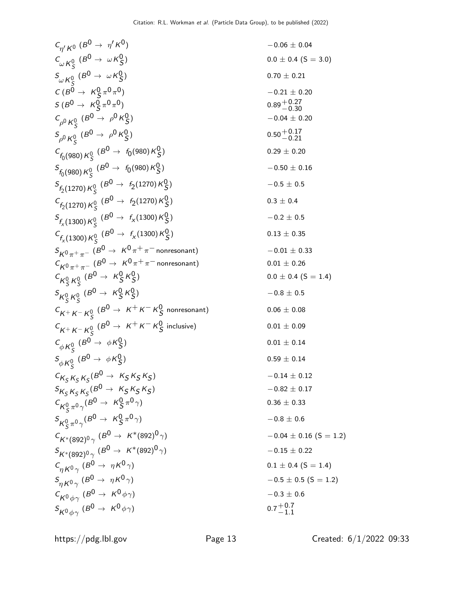$$
C_{\eta'}K^{0} (B^{0} \rightarrow \eta' K^{0})
$$
  
\n $C_{\omega}K^{0}_{S} (B^{0} \rightarrow \omega K^{0}_{S})$   
\n $S_{\omega}K^{0}_{S} (B^{0} \rightarrow \omega K^{0}_{S})$   
\n $C(B^{0} \rightarrow K(g^{0} \rightarrow \theta^{0})$   
\n $C(B^{0} \rightarrow K(g^{0} \rightarrow \theta^{0})$   
\n $C(B^{0} \rightarrow K(g^{0} \rightarrow \theta^{0})$   
\n $C_{\rho}K^{0}_{S} (B^{0} \rightarrow \rho^{0} K^{0}_{S})$   
\n $C_{\rho}K^{0}_{S} (B^{0} \rightarrow \rho^{0} K^{0}_{S})$   
\n $C_{\rho}K^{0}_{S} (B^{0} \rightarrow \rho^{0} K^{0}_{S})$   
\n $C_{\rho}K^{0}_{S} (B^{0} \rightarrow \rho^{0} K^{0}_{S})$   
\n $C_{\rho}K^{0}_{S} (B^{0} \rightarrow \rho^{0} K^{0}_{S})$   
\n $C_{\rho}K^{0}_{S} (B^{0} \rightarrow \rho^{0} K^{0}_{S})$   
\n $C_{\rho}K^{0}_{S} (B^{0} \rightarrow \rho^{0} K^{0}_{S})$   
\n $C_{\rho}K^{0}_{S} (B^{0} \rightarrow \rho^{0} K^{0}_{S})$   
\n $C_{\rho}K^{1}_{S} (1270) K^{0}_{S} (B^{0} \rightarrow \rho^{0} K^{0}_{S})$   
\n $C_{\rho}K^{1}_{S} (1270) K^{0}_{S} (B^{0} \rightarrow \rho^{0} K^{1270}) K^{0}_{S})$   
\n $C_{\rho}K^{0}_{S} (B^{0} \rightarrow \rho^{0} K^{0}_{S})$   
\n $C_{\rho}K^{0}_{S} (B^{0} \rightarrow \rho^{0} K^{0}_{S})$   
\n $C_{\rho}K^{0}_{S} (B^{0} \rightarrow \rho^{0} K^{0}_{S})$   
\n $C_{\rho}K^{0}_{S} (B^{0} \rightarrow \rho^{0} K^{0}_{S})$   
\n $C_{\rho}K^{0}_{S} (B^{0} \rightarrow \rho^{0} K^{0}_{S})$   
\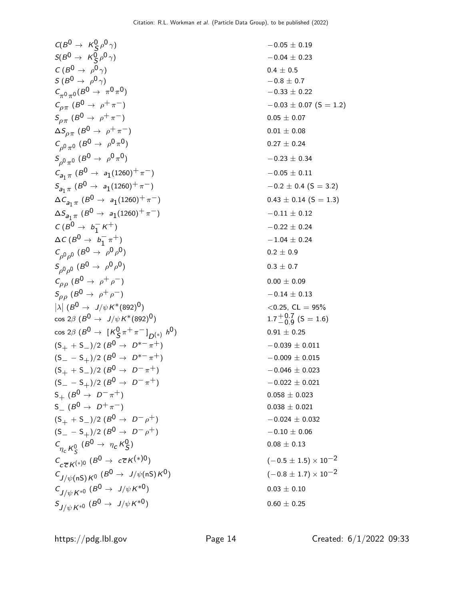$$
C(B^{0} \rightarrow K_{S}^{0} \rho^{0} \gamma) = -0.05 \pm 0.19
$$
  
\n
$$
S(B^{0} \rightarrow \rho^{0} \gamma) = -0.04 \pm 0.23
$$
  
\n
$$
C(B^{0} \rightarrow \rho^{0} \gamma)
$$
  
\n
$$
C_{\rho \pi} (B^{0} \rightarrow \rho^{0} \pi)
$$
  
\n
$$
S_{\rho \pi} (B^{0} \rightarrow \rho^{0} \pi)
$$
  
\n
$$
S_{\rho \pi} (B^{0} \rightarrow \rho^{0} \pi)
$$
  
\n
$$
S_{\rho \pi} (B^{0} \rightarrow \rho^{0} \pi)
$$
  
\n
$$
S_{\rho \pi} (B^{0} \rightarrow \rho^{0} \pi)
$$
  
\n
$$
S_{\rho \pi} (B^{0} \rightarrow \rho^{0} \pi)
$$
  
\n
$$
S_{\rho \pi} (B^{0} \rightarrow \rho^{0} \pi)
$$
  
\n
$$
S_{\rho \pi} (B^{0} \rightarrow \rho^{0} \pi)
$$
  
\n
$$
S_{\rho \pi} (B^{0} \rightarrow \rho^{0} \pi)
$$
  
\n
$$
S_{\rho \pi} (B^{0} \rightarrow \rho^{0} \pi)
$$
  
\n
$$
S_{\rho \pi} (B^{0} \rightarrow \rho^{0} \pi)
$$
  
\n
$$
S_{\rho \pi} (B^{0} \rightarrow \rho^{0} \pi)
$$
  
\n
$$
S_{\rho \pi} (B^{0} \rightarrow \rho^{0} \pi)
$$
  
\n
$$
S_{\rho \pi} (B^{0} \rightarrow \rho^{0} \pi)
$$
  
\n
$$
S_{\rho \pi} (B^{0} \rightarrow \rho^{0} \pi)
$$
  
\n
$$
S_{\rho \pi} (B^{0} \rightarrow \rho^{0} \pi)
$$
  
\n
$$
S_{\rho \pi} (B^{0} \rightarrow \rho^{0} \pi)
$$
  
\n
$$
S_{\rho \rho} (B^{0} \rightarrow \rho^{0} \pi)
$$
  
\n
$$
S_{\rho \rho} (B^{0} \rightarrow \rho^{0} \pi)
$$
  
\n
$$
S_{\rho \rho} (B^{0} \rightarrow \rho^{0}
$$

$$
-0.05 \pm 0.19
$$
  
\n
$$
-0.04 \pm 0.23
$$
  
\n
$$
0.4 \pm 0.5
$$
  
\n
$$
-0.8 \pm 0.7
$$
  
\n
$$
-0.33 \pm 0.22
$$
  
\n
$$
-0.03 \pm 0.07
$$
 (S = 1.2)  
\n
$$
0.05 \pm 0.07
$$
  
\n
$$
0.01 \pm 0.08
$$
  
\n
$$
0.27 \pm 0.24
$$
  
\n
$$
-0.23 \pm 0.34
$$
  
\n
$$
-0.05 \pm 0.11
$$
  
\n
$$
-0.2 \pm 0.4
$$
 (S = 3.2)  
\n
$$
0.43 \pm 0.14
$$
 (S = 1.3)  
\n
$$
-0.11 \pm 0.12
$$
  
\n
$$
-0.22 \pm 0.24
$$
  
\n
$$
-1.04 \pm 0.24
$$
  
\n
$$
0.2 \pm 0.9
$$
  
\n
$$
0.3 \pm 0.7
$$
  
\n
$$
0.00 \pm 0.09
$$
  
\n
$$
-0.14 \pm 0.13
$$
  
\n
$$
<0.25
$$
, CL = 95%  
\n
$$
1.7 \pm 0.7
$$
 (S = 1.6)  
\n
$$
0.91 \pm 0.25
$$
  
\n
$$
-0.039 \pm 0.011
$$
  
\n
$$
-0.009 \pm 0.015
$$
  
\n
$$
-0.022 \pm 0.021
$$
  
\n
$$
0.058 \pm 0.023
$$
  
\n
$$
-0.024 \pm 0.032
$$
  
\n
$$
-0.10 \pm 0.06
$$
  
\n
$$
0.08 \pm 0.13
$$
  
\n
$$
(-0.5 \pm 1.5) \times 10^{-2}
$$

https://pdg.lbl.gov Page 14 Created: 6/1/2022 09:33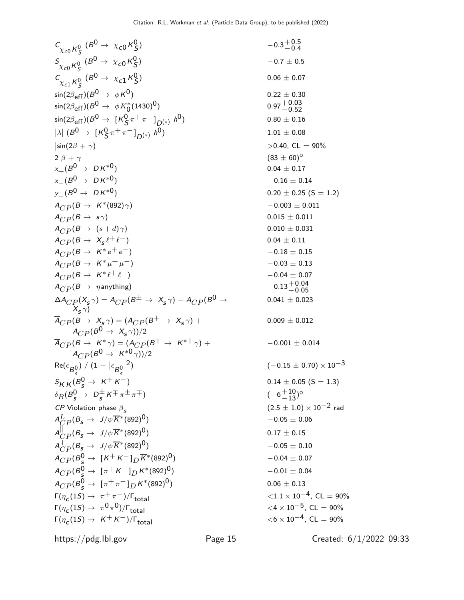C <sup>χ</sup>c<sup>0</sup> <sup>K</sup><sup>0</sup> S (B <sup>0</sup> <sup>→</sup> <sup>χ</sup>c<sup>0</sup> <sup>K</sup><sup>0</sup> S ) −0.3 +0.5 −0.4 S <sup>χ</sup>c<sup>0</sup> <sup>K</sup><sup>0</sup> S (B<sup>0</sup> <sup>→</sup> <sup>χ</sup>c<sup>0</sup> <sup>K</sup><sup>0</sup> S ) −0.7 ± 0.5 C <sup>χ</sup>c<sup>1</sup> <sup>K</sup><sup>0</sup> S (B<sup>0</sup> <sup>→</sup> <sup>χ</sup>c<sup>1</sup> <sup>K</sup><sup>0</sup> S ) 0.06 ± 0.07 sin(2βeff)(B<sup>0</sup> <sup>→</sup> <sup>φ</sup>K0) <sup>0</sup>.<sup>22</sup> <sup>±</sup> <sup>0</sup>.<sup>30</sup> sin(2βeff)(B 0 → φK∗ 0 (1430)0) 0.97+0.<sup>03</sup> −0.52 sin(2βeff)(B<sup>0</sup> <sup>→</sup> [K<sup>0</sup> S π+ π− ] D(∗) h 0) 0.80 ± 0.16 λ  (B<sup>0</sup> <sup>→</sup> [K<sup>0</sup> S π+ π− ] D(∗) h 0) 1.01 ± 0.08 sin(2<sup>β</sup> <sup>+</sup> <sup>γ</sup>) <sup>&</sup>gt;0.40, CL = 90% 2 β + γ (83 ± 60)◦ x+(B 0 → D K∗0) 0.04 ± 0.17 <sup>x</sup>−(B<sup>0</sup> <sup>→</sup> D K∗0) <sup>−</sup>0.<sup>16</sup> <sup>±</sup> <sup>0</sup>.<sup>14</sup> <sup>y</sup>−(B<sup>0</sup> <sup>→</sup> D K∗0) <sup>0</sup>.<sup>20</sup> <sup>±</sup> <sup>0</sup>.25 (S = 1.2) <sup>A</sup>CP (<sup>B</sup> <sup>→</sup> <sup>K</sup>∗(892)γ) <sup>−</sup>0.<sup>003</sup> <sup>±</sup> <sup>0</sup>.<sup>011</sup> ACP (B → s γ) 0.015 ± 0.011 ACP (B → (s + d)γ) 0.010 ± 0.031 ACP (B → Xs ℓ+ ℓ−) 0.04 ± 0.11 <sup>A</sup>CP (<sup>B</sup> <sup>→</sup> <sup>K</sup><sup>∗</sup> <sup>e</sup><sup>+</sup> <sup>e</sup>−) <sup>−</sup>0.<sup>18</sup> <sup>±</sup> <sup>0</sup>.<sup>15</sup> <sup>A</sup>CP (<sup>B</sup> <sup>→</sup> <sup>K</sup><sup>∗</sup> <sup>µ</sup><sup>+</sup> <sup>µ</sup>−) <sup>−</sup>0.<sup>03</sup> <sup>±</sup> <sup>0</sup>.<sup>13</sup> <sup>A</sup>CP (<sup>B</sup> <sup>→</sup> <sup>K</sup><sup>∗</sup> <sup>ℓ</sup><sup>+</sup> <sup>ℓ</sup>−) <sup>−</sup>0.<sup>04</sup> <sup>±</sup> <sup>0</sup>.<sup>07</sup> <sup>A</sup>CP (<sup>B</sup> <sup>→</sup> <sup>η</sup>anything) <sup>−</sup>0.13+0.<sup>04</sup> −0.05 ∆ACP (Xs <sup>γ</sup>) = <sup>A</sup>CP (B<sup>±</sup> <sup>→</sup> Xs <sup>γ</sup>) <sup>−</sup> <sup>A</sup>CP (B<sup>0</sup> <sup>→</sup> Xs γ) 0.041 ± 0.023 ACP (B → Xs <sup>γ</sup>) = (ACP (B<sup>+</sup> <sup>→</sup> Xs γ) + <sup>A</sup>CP (B<sup>0</sup> <sup>→</sup> Xs γ))/2 0.009 ± 0.012 <sup>A</sup>CP (<sup>B</sup> <sup>→</sup> <sup>K</sup><sup>∗</sup> <sup>γ</sup>) = (ACP (B<sup>+</sup> <sup>→</sup> <sup>K</sup>∗<sup>+</sup> <sup>γ</sup>) + ACP (B 0 → K∗0 γ))/2 −0.001 ± 0.014 Re(ǫ B0 s ) / (1 + ǫ B0 s 2) (−0.15 ± 0.70) × 10−3 SK K (B<sup>0</sup> <sup>s</sup> <sup>→</sup> <sup>K</sup><sup>+</sup> <sup>K</sup>−) <sup>0</sup>.<sup>14</sup> <sup>±</sup> <sup>0</sup>.05 (S = 1.3) δB(B<sup>0</sup> <sup>s</sup> <sup>→</sup> <sup>D</sup> ± s K∓ π± π∓) (−6 +10 <sup>−</sup>13) ◦ CP Violation phase βs (2.5 ± 1.0) × 10−2 rad AL CP (Bs <sup>→</sup> <sup>J</sup>/ψK∗(892)0) <sup>−</sup>0.<sup>05</sup> <sup>±</sup> <sup>0</sup>.<sup>06</sup> A k CP (Bs <sup>→</sup> <sup>J</sup>/ψK∗(892)0) <sup>0</sup>.<sup>17</sup> <sup>±</sup> <sup>0</sup>.<sup>15</sup> A⊥ CP (Bs <sup>→</sup> <sup>J</sup>/ψK∗(892)0) <sup>−</sup>0.<sup>05</sup> <sup>±</sup> <sup>0</sup>.<sup>10</sup> <sup>A</sup>CP (B<sup>0</sup> <sup>s</sup> <sup>→</sup> [K<sup>+</sup> <sup>K</sup><sup>−</sup> ]<sup>D</sup> <sup>K</sup>∗(892)0) <sup>−</sup>0.<sup>04</sup> <sup>±</sup> <sup>0</sup>.<sup>07</sup> <sup>A</sup>CP (B<sup>0</sup> <sup>s</sup> <sup>→</sup> [π<sup>+</sup> <sup>K</sup><sup>−</sup> ]<sup>D</sup> <sup>K</sup>∗(892)0) <sup>−</sup>0.<sup>01</sup> <sup>±</sup> <sup>0</sup>.<sup>04</sup> <sup>A</sup>CP (B<sup>0</sup> <sup>s</sup> <sup>→</sup> [π<sup>+</sup> <sup>π</sup><sup>−</sup> ]<sup>D</sup> <sup>K</sup>∗(892)0) 0.<sup>06</sup> <sup>±</sup> <sup>0</sup>.<sup>13</sup> Γ(ηc (1S) <sup>→</sup> <sup>π</sup><sup>+</sup> <sup>π</sup>−)/Γtotal <sup>&</sup>lt;1.<sup>1</sup> <sup>×</sup> <sup>10</sup>−4, CL = 90% Γ(ηc (1S) → π 0 π 0)/Γtotal <sup>&</sup>lt;<sup>4</sup> <sup>×</sup> <sup>10</sup>−5, CL = 90% Γ(ηc (1S) <sup>→</sup> <sup>K</sup><sup>+</sup> <sup>K</sup>−)/Γtotal <sup>&</sup>lt;<sup>6</sup> <sup>×</sup> <sup>10</sup>−4, CL = 90%

https://pdg.lbl.gov Page 15 Created: 6/1/2022 09:33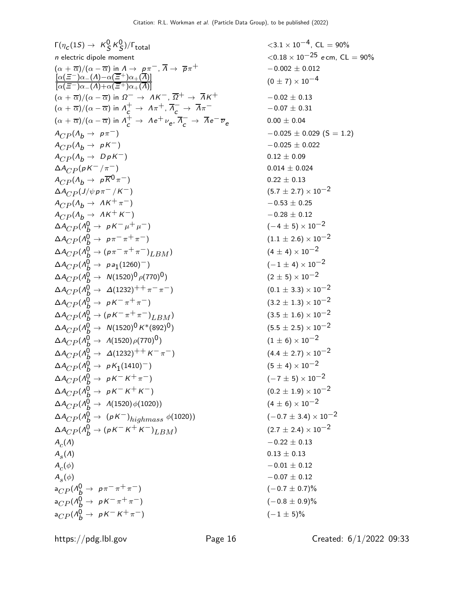F(η<sub>c</sub>(15) → K<sup>Q</sup> K<sup>Q</sup>)/F<sub>total</sub>   
\n*n* electric dipole moment  
\n
$$
(α + π)/(α - π)
$$
 in A → pπ<sup>-</sup>,  $π → pπ$ <sup>+</sup>   
\n $0.02 ≤ 0.02 ≤ 0.02 ≤ 0.02\n $(α + π)/(α - π)$  in A → pπ<sup>-</sup>,  $π → pπ$ <sup>+</sup>   
\n $0.02 ≤ 0.02 ≤ 0.02\n $α(α + π)/(α - π)$  in A<sup>-</sup> → AK<sup>-</sup>,  $π+ → π+ \n $0.02 ≤ 0.02 ≤ 0.02$   
\n $α(α + π)/(α - π)$  in A<sup>-</sup> → AK<sup>-</sup>,  $π- → π- = 0.07 ± 0.31\n $α + αp(θθ → pπ-)$    
\n $4Cp(θθ → pπ-)$    
\n $4Cp(θθ → pπ-)$    
\n $4Cp(θθ → pπ-)$    
\n $4Cp(θθ → pπ-)(π-)$    
\n $4Cp(θθ → pπ-)(π-)$    
\n $4Cp(θθ → pπ-)(π-)$    
\n $4Cp(θθ → pπ-π+π-)$    
\n $0.02 ≤ 0.02 ≤ 0.02$   
\n $4Cp(θθ → pπ-π+π-)$    
\n $0.014 ± 0.024$   
\n $4Cp(θθ → pπ-π+π-)$    
\n$$$$ 

$$
\langle 3.1 \times 10^{-4}, \text{ CL} = 90\% \langle 0.18 \times 10^{-25} \text{ e cm, CL} = 90\% \n-0.002 \pm 0.012 \n(0 \pm 7) \times 10^{-4} \n-0.02 \pm 0.13 \n-0.07 \pm 0.31 \n0.00 \pm 0.04 \n-0.025 \pm 0.029 (S = 1.2) \n-0.025 \pm 0.022 \n0.12 \pm 0.09 \n0.014 \pm 0.024 \n0.22 \pm 0.13 \n(5.7 \pm 2.7) \times 10^{-2} \n-0.53 \pm 0.25 \n-0.28 \pm 0.12 \n(-4 \pm 5) \times 10^{-2} \n(1.1 \pm 2.6) \times 10^{-2} \n(1.1 \pm 2.6) \times 10^{-2} \n(2 \pm 5) \times 10^{-2} \n(3.2 \pm 1.3) \times 10^{-2} \n(3.5 \pm 1.6) \times 10^{-2} \n(3.5 \pm 1.6) \times 10^{-2} \n(5.5 \pm 2.5) \times 10^{-2} \n(4.4 \pm 2.7) \times 10^{-2} \n(5.5 \pm 4) \times 10^{-2} \n(-7 \pm 5) \times 10^{-2} \n(-7 \pm 5) \times 10^{-2} \n(-0.7 \pm 3.4) \times 10^{-2} \n(-0.7 \pm 3.4) \times 10^{-2} \n-0.22 \pm 0.13 \n0.13 \pm 0.13 \n-0.01 \pm 0.12 \n-0.07 \pm 0.12 \n(-0.7 \pm 0.7)\% \n(-1 \pm 5)\%
$$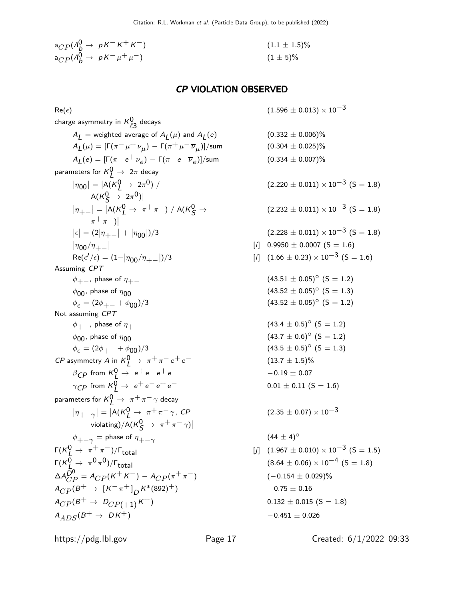$$
a_{CP}(\Lambda_b^0 \to pK^-K^+K^-) \tag{1.1 \pm 1.5}\%
$$
  
\n
$$
a_{CP}(\Lambda_b^0 \to pK^- \mu^+ \mu^-) \tag{1 \pm 5}\%
$$

## CP VIOLATION OBSERVED

 $Re(\epsilon)$  (1.596  $\pm$  0.013) × 10<sup>-3</sup>

charge asymmetry in  $\kappa^0_{\ell 3}$  decays  $A_{\textit{\textrm{L}}}$   $=$  weighted average of  $A_{\textit{\textrm{L}}}(\mu)$  and  $A_{\textit{\textrm{L}}}$  $A_{\underline{L}}(\mu) = [\Gamma(\pi^-\mu^+\nu_{\mu}) - \Gamma(\pi^+\mu^-\overline{\nu}_{\mu})]$  $A_{\underline{L}}(e) = [\Gamma(\pi^- e^+ \nu_e) - \Gamma(\pi^+ e^- \overline{\nu}_e$ parameters for  $\mathsf{K}_{\mathsf{L}}^{\mathsf{O}} \rightarrow 2\pi$  decay  $|\eta_{00}| = |A(K_L^0 \to 2\pi^0)/$  $A(K_S^0 \to 2\pi^0)$  $|\eta_{+-}| = |A(K_L^0 \rightarrow \pi^+\pi^-) / A(K_S^0 \rightarrow$  $\pi^+\pi^-$ )|  $|\epsilon| = (2|\eta_{++}| + |\eta_{00}|)$  $|\eta_{00}/\eta_{+-}|$  $\text{Re}(\epsilon'/\epsilon) = (1-|\eta_{\text{00}}/\eta_{+-}|)$ Assuming CPT  $\phi_{+-}$ , phase of  $\eta_{+-}$  (43.51 ± 0.05)<sup>°</sup> (S = 1.2)  $\phi_{00}$ , phase of  $\eta_{00}$  (5 = 1.3)  $\phi_{\epsilon} = (2\phi_{+-} + \phi_{00})/3$  (43.52 ± 0.05)° (S = 1.2) Not assuming CPT  $\phi_{+-}$ , phase of  $\eta_{+-}$  (43.4 ± 0.5)<sup>°</sup> (S = 1.2)  $\phi_{00}$ , phase of  $\eta_{00}$  (S = 1.2)  $\phi_{\epsilon} = (2\phi_{+-} + \phi_{00})/3$  (43.5 ± 0.5)<sup>°</sup> (S = 1.3) *CP* asymmetry *A* in  $K^0_L \rightarrow \pi^+ \pi^- e^+ e^-$  (13.7 ± 1.5)%  $\beta_{CP}$  from  $K_L^0 \rightarrow e^+e^-e^+e^ -0.19 \pm 0.07$  $\gamma_{\text{CP}}$  from  $\kappa_L^0 \rightarrow e^+e^-e^+e^-$  0.01  $\pm$  0.11 (S = 1.6) parameters for  $\mathsf{K}_{\mathsf{L}}^{\mathsf{O}} \rightarrow \; \pi^+ \pi^- \gamma$  decay  $|\eta_{+-\gamma}| = |A(K_L^0 \rightarrow \pi^+\pi^-\gamma, CP)$ violating)/A( $\mathcal{K}^0_S \rightarrow \pi^+ \pi^- \gamma$ )  $\phi_{+-\gamma}$  = phase of  $\eta_{+-\gamma}$  $\Gamma(K_I^0 \to \pi^+\pi^-)/\Gamma_{\text{total}}$  $\Gamma(K^0_L \to \pi^0 \pi)$  $\Delta A_{CP}^{\bar{D}^0} = A_{CP} (K^+ K^-) - A_{CP} (\pi^+ \pi^-) \qquad \qquad (-0.154 \pm 0.029)\%$  $A_{CP} (B^+ \rightarrow [K^- \pi^+] \frac{1}{D} K^* (892)^+)$  -0.75 ± 0.16  $A_{CP}(B^+ \rightarrow D_{CP(+1)}K^+)$  0.132 ± 0.015 (S = 1.8)  $A_{ADS}(B^{+} \rightarrow D K^{+})$  -0.451 ± 0.026

 $(0.304 \pm 0.025)\%$  $(0.334 \pm 0.007)\%$  $(2.220 \pm 0.011) \times 10^{-3}$  (S = 1.8)  $(2.232 \pm 0.011) \times 10^{-3}$  (S = 1.8)  $(2.228 \pm 0.011) \times 10^{-3}$  (S = 1.8)  $[i]$  0.9950  $\pm$  0.0007 (S = 1.6)  $[i]$   $(1.66 \pm 0.23) \times 10^{-3}$   $(S = 1.6)$  $(2.35 \pm 0.07) \times 10^{-3}$  $(44 \pm 4)^{\circ}$  $[i]$   $(1.967 \pm 0.010) \times 10^{-3}$   $(S = 1.5)$  $(8.64 \pm 0.06) \times 10^{-4}$  (S = 1.8)

 $(0.332 \pm 0.006)\%$ 

https://pdg.lbl.gov Page 17 Created: 6/1/2022 09:33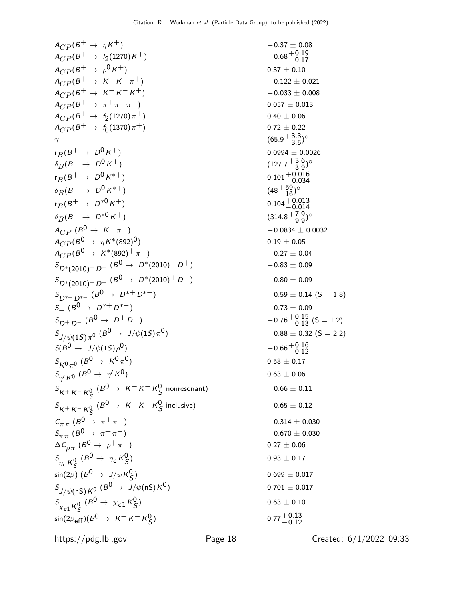$$
A_{CP}(B^{\dagger} \rightarrow \eta K^+)
$$
\n
$$
A_{CP}(B^{\dagger} \rightarrow \phi_{K} + \gamma_{K}^{(1270)K^+})
$$
\n
$$
A_{CP}(B^{\dagger} \rightarrow \phi_{K} + \gamma_{K}^{(1270)K^+})
$$
\n
$$
A_{CP}(B^{\dagger} \rightarrow \phi_{K} + \gamma_{K}^{(1270)K^+})
$$
\n
$$
A_{CP}(B^{\dagger} \rightarrow \phi_{K} + \gamma_{K}^{(1270)K^+})
$$
\n
$$
A_{CP}(B^{\dagger} \rightarrow \phi_{K} + \gamma_{K}^{(1270)K^+})
$$
\n
$$
A_{CP}(B^{\dagger} \rightarrow \phi_{K} + \gamma_{K}^{(1270)K^+})
$$
\n
$$
A_{CP}(B^{\dagger} \rightarrow \phi_{K} + \gamma_{K}^{(1270)K^+})
$$
\n
$$
A_{CP}(B^{\dagger} \rightarrow \phi_{K} + \gamma_{K}^{(1270)K^+})
$$
\n
$$
A_{CP}(B^{\dagger} \rightarrow \phi_{K} + \gamma_{K}^{(1270)K^+})
$$
\n
$$
A_{CP}(B^{\dagger} \rightarrow \phi_{K} + \gamma_{K}^{(1270)K^+})
$$
\n
$$
A_{CP}(B^{\dagger} \rightarrow \phi_{K} + \gamma_{K}^{(1270)K^+})
$$
\n
$$
A_{CP}(B^{\dagger} \rightarrow \phi_{K} + \gamma_{K}^{(1270)K^+})
$$
\n
$$
A_{CP}(B^{\dagger} \rightarrow \phi_{K} + \gamma_{K}^{(1270)K^+})
$$
\n
$$
A_{CP}(B^{\dagger} \rightarrow \phi_{K} + \gamma_{K}^{(1270)K^+})
$$
\n
$$
A_{CP}(B^{\dagger} \rightarrow \phi_{K} + \gamma_{K}^{(1270)K^+})
$$
\n
$$
A_{CP}(B^{\dagger} \rightarrow \phi_{K} + \gamma_{K}^{(1270)K^+})
$$
\n
$$
A_{CP}(B^{\dagger} \rightarrow \phi_{K} + \gamma_{K}^{(127
$$

 $-0.37 \pm 0.08$  $0.37\,\pm\,0.10$  $-0.122 \pm 0.021$  $-0.033 \pm 0.008$  $0.057 \pm 0.013$  $0.40 \pm 0.06$  $0.72 \pm 0.22$  $+3.3$  $^{+3.3}_{-3.5})^{\circ}$  $0.0994 \pm 0.0026$  $+3.6$  $^{+3.6}_{-3.9})^{\circ}$  $+7.9$  $^{+7.9}_{-9.9})^{\circ}$  $-0.0834 \pm 0.0032$  $-0.27 \pm 0.04$  $-0.83 \pm 0.09$  $-0.59 \pm 0.14$  (S = 1.8)  $-0.73 \pm 0.09$  $-0.88 \pm 0.32$  (S = 2.2)  $0.58 \pm 0.17$  $0.63\pm0.06$  $-0.66 \pm 0.11$  $-0.65 \pm 0.12$  $-0.314 \pm 0.030$  $-0.670 \pm 0.030$  $0.27 \pm 0.06$  $0.93 \pm 0.17$  $0.699 \pm 0.017$  $0.701 \pm 0.017$  $0.63 \pm 0.10$ 

https://pdg.lbl.gov Page 18 Created: 6/1/2022 09:33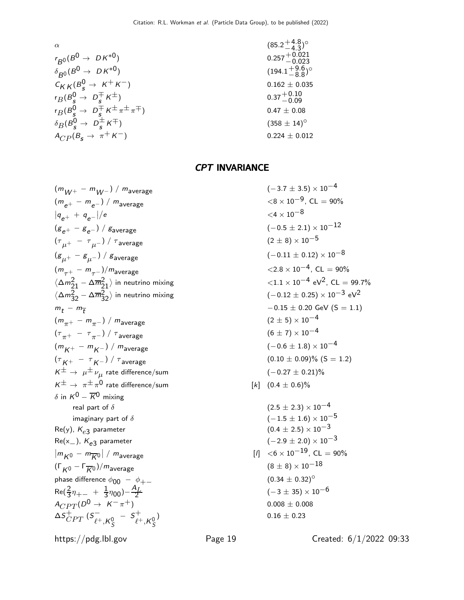$$
\alpha
$$
\n
$$
(85.2 + 4.8)°
$$
\n
$$
r_{B0}(B^{0} \to DK^{*0})
$$
\n
$$
0.257 + 0.021
$$
\n
$$
r_{B}(B^{0}_{s} \to K^{+}K^{-})
$$
\n
$$
r_{B}(B^{0}_{s} \to D^{+}_{s}K^{\pm})
$$
\n
$$
r_{B}(B^{0}_{s} \to D^{+}_{s}K^{\pm} \pi^{\pm} \pi^{\mp})
$$
\n
$$
\delta_{B}(B^{0}_{s} \to D^{+}_{s}K^{\pm} \pi^{\pm} \pi^{\mp})
$$
\n
$$
\delta_{B}(B^{0}_{s} \to D^{+}_{s}K^{\pm} \pi^{\pm} \pi^{\mp})
$$
\n
$$
\delta_{C}P(B_{s} \to \pi^{+}K^{-})
$$
\n
$$
(358 \pm 14)°
$$
\n
$$
0.224 \pm 0.012
$$
\n(358  $\pm$  14)°

## CPT INVARIANCE

$$
(m_{W+} - m_{W-}) / m_{average}
$$
\n
$$
(m_{e^{+}} - m_{e^{-}}) / m_{average}
$$
\n
$$
(m_{e^{+}} - m_{e^{-}}) / m_{average}
$$
\n
$$
(m_{e^{+}} - m_{e^{-}}) / s_{average}
$$
\n
$$
(m_{e^{+}} - m_{\mu^{-}}) / \tau_{average}
$$
\n
$$
(m_{e^{+}} - m_{\mu^{-}}) / \tau_{average}
$$
\n
$$
(m_{e^{+}} - m_{\mu^{-}}) / \tau_{average}
$$
\n
$$
(m_{e^{+}} - m_{\mu^{-}}) / m_{average}
$$
\n
$$
(m_{e^{+}} - m_{\mu^{-}}) / m_{average}
$$
\n
$$
(m_{e^{+}} - m_{\mu^{-}}) / m_{average}
$$
\n
$$
(m_{e^{+}} - m_{\mu^{-}}) / m_{average}
$$
\n
$$
(m_{e^{+}} - m_{\mu^{-}}) / m_{average}
$$
\n
$$
(m_{e^{+}} - m_{\mu^{-}}) / m_{average}
$$
\n
$$
(m_{e^{+}} - m_{\mu^{-}}) / m_{average}
$$
\n
$$
(m_{e^{+}} - m_{\mu^{-}}) / m_{average}
$$
\n
$$
(m_{e^{+}} - m_{\mu^{-}}) / m_{average}
$$
\n
$$
(m_{e^{+}} - m_{\mu^{-}}) / \tau_{average}
$$
\n
$$
(m_{e^{+}} - m_{\mu^{-}}) / \tau_{average}
$$
\n
$$
(m_{e^{+}} - m_{\mu^{-}}) / m_{average}
$$
\n
$$
(m_{e^{+}} - m_{\mu^{-}}) / m_{average}
$$
\n
$$
(m_{e^{+}} - m_{\mu^{-}}) / m_{average}
$$
\n
$$
(m_{e^{+}} - m_{\mu^{-}}) / m_{average}
$$
\n
$$
(m_{e^{+}} - m_{\mu^{-}}) / m_{average}
$$
\n
$$
(m_{e^{+}} - m_{\mu^{-}}) / m_{average}
$$
\n
$$
(m_{e^{+}} - m_{\mu^{-}}) / m_{average}
$$
\n
$$
(m_{e^{+}} - m_{\mu^{-}}) / m_{average}
$$
\n
$$
(m_{e^{+}} - m_{\mu^{-}}) / m_{average}
$$
\n
$$
(m_{
$$

$$
m_{average}
$$
\n
$$
m_{average}
$$
\n
$$
m_{average}
$$
\n
$$
m_{average}
$$
\n
$$
m_{average}
$$
\n
$$
m_{average}
$$
\n
$$
m_{average}
$$
\n
$$
m_{average}
$$
\n
$$
m_{average}
$$
\n
$$
m_{average}
$$
\n
$$
m_{average}
$$
\n
$$
m_{average}
$$
\n
$$
m_{average}
$$
\n
$$
m_{average}
$$
\n
$$
m_{average}
$$
\n
$$
m_{average}
$$
\n
$$
m_{average}
$$
\n
$$
m_{average}
$$
\n
$$
m_{average}
$$
\n
$$
m_{average}
$$
\n
$$
m_{average}
$$
\n
$$
m_{average}
$$
\n
$$
m_{average}
$$
\n
$$
m_{average}
$$
\n
$$
m_{average}
$$
\n
$$
m_{average}
$$
\n
$$
m_{average}
$$
\n
$$
m_{average}
$$
\n
$$
m_{average}
$$
\n
$$
m_{average}
$$
\n
$$
m_{average}
$$
\n
$$
m_{average}
$$
\n
$$
m_{average}
$$
\n
$$
m_{average}
$$
\n
$$
m_{average}
$$
\n
$$
m_{average}
$$
\n
$$
m_{average}
$$
\n
$$
m_{average}
$$
\n
$$
m_{average}
$$
\n
$$
m_{average}
$$
\n
$$
m_{average}
$$
\n
$$
m_{average}
$$
\n
$$
m_{average}
$$
\n
$$
m_{average}
$$
\n
$$
m_{average}
$$
\n
$$
m_{average}
$$
\n
$$
m_{average}
$$
\n
$$
m_{average}
$$
\n
$$
m_{average}
$$
\n
$$
m_{average}
$$
\n
$$
m_{average}
$$
\n
$$
m_{average}
$$
\n
$$
m_{average}
$$
\n
$$
m_{average}
$$
\n
$$
m_{average}
$$
\n
$$
m_{average}
$$
\n
$$
m_{average}
$$
\n
$$
m_{average}
$$
\n
$$
m_{average}
$$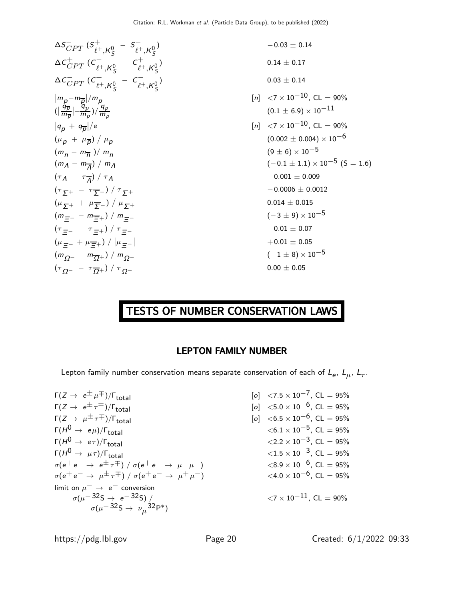$\Delta S_{CPT}^{-}$  ( $S_{\ell^+}^{+}$  $\ell^+,$ K $^0_S$  $-5^ \ell^+,$ K $^0_S$  $\Delta c^{+}_{CPT}$  ( $c^{-}_{\ell^+}$  $\ell^+,$ K $^0_S$  $C_{\circ}^{+}$  $\ell^+,$ K $^0_S$  $\Delta {\sf c}_{CPT}^-\, ({\sf c}_{\ell^+}^+$  $\ell^+,$ K $^0$ S  $C_{\alpha}^ \ell^+,$ K $^0$ S  $|m_{\underline{p}}-m_{\overline{\underline{p}}}|/m_{\underline{p}}$  $\left(\right)$  $\tilde{q}_{\overline{\rho}}$  $\frac{\tilde{q}_{\overline{\rho}}}{m_{\overline{\rho}}}$   $\mid$   $\frac{\tilde{q}_p}{m_{\rho}}$  $\frac{(\overline{q}_p}{m_p})/\frac{q_p}{m_p}$  $|q_p + q_{\overline{p}}|/$  $(\mu_{\mathbf{p}} + \mu_{\overline{\mathbf{p}}}) / \mu_{\mathbf{p}}$  $(m_n - m_{\overline{n}})/m_n$  $(m_{\overline{\Lambda}} - m_{\overline{\Lambda}})/m_{\overline{\Lambda}}$  $(\tau_{\mathcal{A}} - \tau_{\overline{\mathcal{A}}}$ ) /  $\tau$   $\Lambda$   $-0.001 \pm 0.009$  $(\tau_{\,\overline{\mathbf{y}}+} - \tau_{\overline{\mathbf{y}}-}) \; / \; \tau_{\,\overline{\mathbf{y}}+}$  $(\mu_{\Sigma^+} + \mu_{\overline{\Sigma}^-})/$  $(m_{\pm -} - m_{\pm +}) / m_{\pm -}$  $(\tau_{\,\,\overline{\rule[0.06em]{0.4em}{0em}}\hspace{-0.06em}-\tau_{\,\overline{\rule[0.06em]{0.4em}{0em}}\hspace{-0.06em}-\tau_{\,\overline{\rule[0.06em]{0.4em}{0em}}\hspace{-0.06em}+\hspace{-0.06em}\tau})\,/\,\tau$  $(\mu_{\pm -} + \mu_{\pm +}) / |\mu_{\pm -}|$  $(m_{Q^{-}} - m_{\overline{Q}+}) / m_{Q^{-}}$  $(\tau_{Q^{-}} - \tau_{\overline{Q}+}) / \tau_{Q^{-}}$ 

$$
v_{\ell}^{+}, K_{S}^{0} = S_{\ell^{+}}, K_{S}^{0}
$$
  
\n
$$
v_{\ell^{+}}, K_{S}^{0} = C_{\ell^{+}}, K_{S}^{0}
$$
  
\n
$$
v_{\ell^{+}}, K_{S}^{0} = C_{\ell^{+}}, K_{S}^{0}
$$
  
\n
$$
v_{\ell}^{0}
$$
  
\n
$$
v_{\ell}^{0}
$$
  
\n
$$
v_{\ell}^{0}
$$
  
\n
$$
v_{\ell}^{0}
$$
  
\n
$$
v_{\ell}^{0}
$$
  
\n
$$
v_{\ell}^{0}
$$
  
\n
$$
v_{\ell}^{0}
$$
  
\n
$$
v_{\ell}^{0}
$$
  
\n
$$
v_{\ell}^{0}
$$
  
\n
$$
v_{\ell}^{0}
$$
  
\n
$$
v_{\ell}^{0}
$$
  
\n
$$
v_{\ell}^{0}
$$
  
\n
$$
v_{\ell}^{0}
$$
  
\n
$$
v_{\ell}^{0}
$$
  
\n
$$
v_{\ell}^{0}
$$
  
\n
$$
v_{\ell}^{0}
$$
  
\n
$$
v_{\ell}^{0}
$$
  
\n
$$
v_{\ell}^{0}
$$
  
\n
$$
v_{\ell}^{0}
$$
  
\n
$$
v_{\ell}^{0}
$$
  
\n
$$
v_{\ell}^{0}
$$
  
\n
$$
v_{\ell}^{0}
$$
  
\n
$$
v_{\ell}^{0}
$$
  
\n
$$
v_{\ell}^{0}
$$
  
\n
$$
v_{\ell}^{0}
$$
  
\n
$$
v_{\ell}^{0}
$$
  
\n
$$
v_{\ell}^{0}
$$
  
\n
$$
v_{\ell}^{0}
$$
  
\n
$$
v_{\ell}^{0}
$$
  
\n
$$
v_{\ell}^{0}
$$
  
\n
$$
v_{\ell}^{0}
$$
  
\n
$$
v_{\ell}^{0}
$$
  
\n
$$
v_{\ell}^{0}
$$
  
\n
$$
v_{\ell}^{0}
$$

# TESTS OF NUMBER CONSERVATION LAWS

#### LEPTON FAMILY NUMBER

Lepton family number conservation means separate conservation of each of  $L_e$ ,  $L_\mu$ ,  $L_\tau$ .

 $\Gamma(Z \to e^{\pm} \mu^{\mp})/\Gamma_{\text{total}}$ <br>  $\Gamma(Z \to e^{\pm} \tau^{\mp})/\Gamma_{\text{total}}$ <br>  $\Gamma(Z \to e^{\pm} \tau^{\mp})/\Gamma_{\text{total}}$ <br>  $\Gamma(Z \to e^{\pm} \tau^{\mp})/\Gamma_{\text{total}}$ <br>  $\Gamma(Z \to e^{\pm} \tau^{\mp})/\Gamma_{\text{total}}$  $\Gamma(Z \to e^{\pm} \tau^{\mp})/\Gamma_{\text{total}}$ <br>  $\Gamma(Z \to \mu^{\pm} \tau^{\mp})/\Gamma_{\text{total}}$ <br>  $\Gamma(Z \to \mu^{\pm} \tau^{\mp})/\Gamma_{\text{total}}$ <br>  $\Gamma(Z \to \mu^{\pm} \tau^{\mp})/\Gamma_{\text{total}}$ <br>  $\Gamma(Z \to \mu^{\pm} \tau^{\mp})/\Gamma_{\text{total}}$  $Γ(Z \to \mu^{\pm} \tau^{\mp}) / Γ_{total}$ <br>  $Γ(H^{0} \to e\mu) / Γ_{total}$  (o]  $<6.5 \times 10^{-6}$ , CL = 95%<br>  $<6.1 \times 10^{-5}$ , CL = 95%  $\Gamma(H^0 \to e\mu)/\Gamma_{\text{total}}$ <br>  $\Gamma(H^0 \to e\tau)/\Gamma_{\text{total}}$ <br>  $< 6.1 \times 10^{-5}$ , CL = 95%<br>  $< 2.2 \times 10^{-3}$ , CL = 95%  $\Gamma(H^0 \to \mu \tau)/\Gamma_{\text{total}}$ <br>  $\sigma(e^+e^- \to e^{\pm} \tau^{\mp}) / \sigma(e^+e^- \to \mu^+ \mu^-)$ <br>  $< 1.5 \times 10^{-3}$ , CL = 95%<br>  $< 8.9 \times 10^{-6}$ , CL = 95%  $\sigma(e^+e^- \rightarrow e^{\pm} \tau^{\mp})$  /  $\sigma(e^+e^- \rightarrow \mu^+\mu^-)$  $\sigma(e^+e^- \to \mu^{\pm} \tau^{\mp}) / \sigma(e^+e^- \to \mu^+ \mu^-)$  <4.0 × 10<sup>-6</sup>, CL = 95% limit on  $\mu^- \rightarrow e^-$  conversion  $\sigma(\mu^{\text{--}}32$ S →  $e^{\text{--}}32$ S) /  $\sigma(\mu^{\rm -32S} \rightarrow \nu_\mu^{\rm -32P^*})$ 

 $<$ 2.2 × 10<sup>-3</sup>, CL = 95%<br> $<$ 1.5 × 10<sup>-3</sup>, CL = 95%

 ${<}7\times10^{-11}$ , CL = 90%

https://pdg.lbl.gov Page 20 Created: 6/1/2022 09:33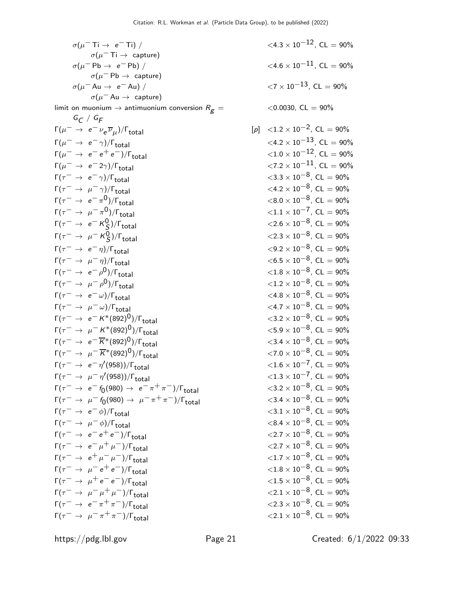$\sigma(\mu^- \text{Ti} \rightarrow e^- \text{Ti})$  /  $\sigma(\mu^-\,{\rm Ti} \rightarrow~{\rm capture})$  $\sigma(\mu^- \mathrm{Pb} \rightarrow e^- \mathrm{Pb})$  /  $\sigma(\mu^-{\sf Pb}\to{\sf capture})$  $\sigma(\mu^- A u \rightarrow e^- A u)$  /  $\sigma(\mu^- A u \rightarrow$  capture) limit on muonium  $\rightarrow$  antimuonium conversion  $R_g=$  $G_{C}$  /  $G_{F}$  $\Gamma(\mu^- \to e^- \nu_e \overline{\nu}_\mu)$  $\Gamma(\mu^- \to e^- \gamma)/\Gamma_{\text{total}}$ <br>  $\Gamma(\mu^- \to e^- e^+ e^-)/\Gamma_{\text{total}}$ <br>  $\Gamma(\mu^- \to e^- e^+ e^-)/\Gamma_{\text{total}}$ <br>  $\langle 1.0 \times 10^{-12}, \text{CL} = 90\%$  $\Gamma(\mu^- \to e^- e^+ e^-)/\Gamma_{\text{total}}$ <br>  $\Gamma(\mu^- \to e^- 2\gamma)/\Gamma_{\text{total}}$ <br>  $\langle 7.2 \times 10^{-11}, \text{ CL} = 90\%$  $\Gamma(\mu^- \to e^- 2\gamma)/\Gamma_{\text{total}}$ <br>  $\Gamma(\tau^- \to e^- \gamma)/\Gamma_{\text{total}}$ <br>  $\langle 3.3 \times 10^{-8}, \text{CL} = 90\%$  $\Gamma(\tau^- \to e^- \gamma)/\Gamma_{\text{total}}$ <br>  $\Gamma(\tau^- \to \mu^- \gamma)/\Gamma_{\text{total}}$ <br>  $\langle 4.2 \times 10^{-8}, \text{ CL} = 90\%$ <br>  $\langle 4.2 \times 10^{-8}, \text{ CL} = 90\%$ Γ( $\tau^ \rightarrow$   $\mu^ \gamma$ )/ $\Gamma_{\text{total}}$ Γ( $\tau^ \rightarrow$   $e^ \pi^0$ )/Γ<sub>total</sub> Γ( $\tau^ \rightarrow$   $\mu^- \pi^0$ )/Γ<sub>total</sub>  $\Gamma(\tau^-\,\rightarrow\,\,e^-\,K^0_S$  $Γ(τ<sup>-</sup> → μ<sup>-</sup> K<sup>0</sup><sub>S</sub>)$  $\Gamma(\tau^- \to e^- \eta)/\Gamma_{\text{total}}$ <br>  $\Gamma(\tau^- \to \mu^- \eta)/\Gamma_{\text{total}}$ <br>  $\Gamma(\tau^- \to \mu^- \eta)/\Gamma_{\text{total}}$ <br>  $\langle 6.5 \times 10^{-8}, \text{ CL} = 90\%$  $Γ(τ<sup>-</sup> → μ<sup>-</sup>η)/Γ<sub>total</sub>$ Γ( $\tau^ \rightarrow$   $e^ \rho^0$ )/Γ<sub>total</sub>  $\Gamma(\tau^- \to \mu^- \rho^0)/\Gamma_{\text{total}}$  $\Gamma(\tau^- \to e^- \omega)/\Gamma_{\text{total}}$ <br>  $\Gamma(\tau^- \to \mu^- \omega)/\Gamma_{\text{total}}$ <br>  $\Gamma(\tau^- \to \mu^- \omega)/\Gamma_{\text{total}}$ <br>  $\langle 4.8 \times 10^{-8}, \text{ CL} = 90\%$  $\Gamma(\tau^- \to \mu^- \omega)/\Gamma_{\text{total}}$ <br>  $\Gamma(\tau^- \to e^- K^*(892)^0)/\Gamma_{\text{total}}$ <br>  $\langle 3.2 \times 10^{-8}, \text{ CL} = 90\%$ <br>  $\langle 3.2 \times 10^{-8}, \text{ CL} = 90\%$  $\Gamma(\tau^- \to e^- K^*(892)^0)/\Gamma_{\text{total}}$ <br>  $\Gamma(\tau^- \to \mu^- K^*(892)^0)/\Gamma_{\text{total}}$ <br>  $\langle 5.9 \times 10^{-8}, \text{ CL} = 90\%$ <br>  $\langle 5.9 \times 10^{-8}, \text{ CL} = 90\%$  $\Gamma(\tau^- \to \mu^- K^*(892)^0)/\Gamma_{\text{total}}$ <br>  $\Gamma(\tau^- \to e^- \overline{K}^*(892)^0)/\Gamma_{\text{total}}$ <br>  $\langle 3.4 \times 10^{-8}, \text{ CL} = 90\%$  $\Gamma(\tau^- \to e^- \overline{K}^*(892)^0)/\Gamma_{\text{total}}$ <br>  $\Gamma(\tau^- \to \mu^- \overline{K}^*(892)^0)/\Gamma_{\text{total}}$ <br>  $\langle 7.0 \times 10^{-8}, \text{ CL} = 90\%$ <br>  $\langle 7.0 \times 10^{-8}, \text{ CL} = 90\%$  $\Gamma(\tau^- \to \mu^- \overline{K}^*(892)^0)/\Gamma_{\text{total}}$  $Γ(τ<sup>-</sup> → e<sup>-</sup>η<sup>'</sup>)$  $Γ(τ<sup>-</sup> → μ<sup>-</sup>η<sup>'</sup>)$  $\Gamma(\tau^-\to e^- f_0(980) \to e^-\pi^+\pi^-)/\Gamma_{\rm total}$  <3.2 × 10<sup>−8</sup>, CL = 90%  $\Gamma(\tau^-\to\mu^- f_0(980)\to\mu^-\pi^+\pi^-)/\Gamma_{\rm total}$  <3.4 × 10<sup>-8</sup>, CL = 90%  $\Gamma(\tau^- \to e^- \phi)/\Gamma_{\text{total}}$ <br>  $\Gamma(\tau^- \to \mu^- \phi)/\Gamma_{\text{total}}$ <br>  $\langle 8.4 \times 10^{-8}, \text{ CL} = 90\%$ <br>  $\langle 8.4 \times 10^{-8}, \text{ CL} = 90\%$  $\Gamma(\tau^- \to \mu^- \phi)/\Gamma_{\text{total}}$ <br>  $\Gamma(\tau^- \to e^- e^+ e^-)/\Gamma_{\text{total}}$ <br>  $\langle 2.7 \times 10^{-8}, \text{ CL} = 90\%$ <br>  $\langle 2.7 \times 10^{-8}, \text{ CL} = 90\%$  $\Gamma(\tau^- \to e^- e^+ e^-)/\Gamma_{\text{total}}$ <br>  $\Gamma(\tau^- \to e^- \mu^+ \mu^-)/\Gamma_{\text{total}}$ <br>  $\langle 2.7 \times 10^{-8}, \text{ CL} = 90\%$ <br>  $\langle 2.7 \times 10^{-8}, \text{ CL} = 90\%$  $\Gamma(\tau^- \to e^- \mu^+ \mu^-)/\Gamma_{\text{total}}$ <br>  $\Gamma(\tau^- \to e^+ \mu^- \mu^-)/\Gamma_{\text{total}}$ <br>  $\Gamma(\tau^- \to e^+ \mu^- \mu^-)/\Gamma_{\text{total}}$ <br>  $\langle 1.7 \times 10^{-8}, \text{ CL} = 90\%$  $\Gamma(\tau^- \to e^+ \mu^- \mu^-)/\Gamma_{\text{total}}$  <1.7 × 10<sup>-8</sup>, CL = 90%<br>  $\Gamma(\tau^- \to \mu^- e^+ e^-)/\Gamma_{\text{total}}$  <1.8 × 10<sup>-8</sup>, CL = 90%  $\Gamma(\tau^- \to \mu^- e^+ e^-)/\Gamma_{\text{total}}$  <1.8 × 10<sup>-8</sup>, CL = 90%<br>  $\Gamma(\tau^- \to \mu^+ e^- e^-)/\Gamma_{\text{total}}$  <1.5 × 10<sup>-8</sup>, CL = 90%  $\Gamma(\tau^- \to \mu^+ e^- e^-)/\Gamma_{\text{total}}$ <br>  $\Gamma(\tau^- \to \mu^- \mu^+ \mu^-)/\Gamma_{\text{total}}$ <br>  $\langle 2.1 \times 10^{-8}, \text{ CL} = 90\%$ <br>  $\langle 2.1 \times 10^{-8}, \text{ CL} = 90\%$  $\Gamma(\tau^- \to \mu^- \mu^+ \mu^-)/\Gamma_{\text{total}}$ <br>  $\Gamma(\tau^- \to e^- \pi^+ \pi^-)/\Gamma_{\text{total}}$ <br>  $\Gamma(\tau^- \to e^- \pi^+ \pi^-)/\Gamma_{\text{total}}$ <br>  $\langle 2.3 \times 10^{-8}, \text{ CL} = 90\%$  $\Gamma(\tau^- \to e^- \pi^+ \pi^-)/\Gamma_{\text{total}}$ <br>  $\Gamma(\tau^- \to \mu^- \pi^+ \pi^-)/\Gamma_{\text{total}}$ <br>  $\Gamma(\tau^- \to \mu^- \pi^+ \pi^-)/\Gamma_{\text{total}}$ <br>  $\langle 2.1 \times 10^{-8}, \text{ CL} = 90\%$  $\Gamma(\tau^- \to \mu^- \pi^+ \pi^-)/\Gamma_{\text{total}}$ 

 $<$ 4.3  $\times$  10<sup>-12</sup>, CL = 90%  $<$ 4.6  $\times$  10<sup>-11</sup>, CL = 90%  $< 7 \times 10^{-13}$ , CL = 90%  $<$ 0.0030, CL = 90%  $[p] \leq 1.2 \times 10^{-2}$ , CL = 90%  $< 8.0 \times 10^{-8}$ , CL = 90%  $< 1.1 \times 10^{-7}$ , CL = 90%  $\langle 2.6 \times 10^{-8}$ , CL = 90%  $<$ 2.3 × 10<sup>−8</sup>, CL = 90%<br> $<$ 9.2 × 10<sup>−8</sup>, CL = 90%  $<$ 1.8  $\times$  10<sup>-8</sup>, CL = 90%  $<$ 1.2 × 10<sup>−8</sup>, CL = 90%<br> $<$ 4.8 × 10<sup>−8</sup>, CL = 90%  $<$ 1.6  $\times$  10<sup>-7</sup>, CL = 90%  $<$ 1.3 × 10<sup>-7</sup>, CL = 90%<br> $<$ 3.2 × 10<sup>-8</sup>, CL = 90%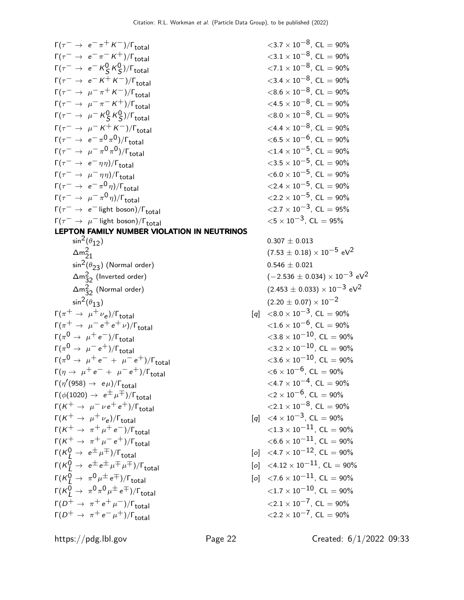$\Gamma(\tau^- \to e^- \pi^+ K^-)/\Gamma_{\text{total}}$  <3.7 × 10<sup>-8</sup>, CL = 90%<br>  $\Gamma(\tau^- \to e^- \pi^- K^+)/\Gamma_{\text{total}}$  <3.1 × 10<sup>-8</sup>, CL = 90%  $\Gamma(\tau^- \to e^- \pi^- K^+)/\Gamma_{\text{total}}$  $\Gamma(\tau^-\rightarrow~e^-$  K $^0_S$  K $^0_S$  $\Gamma(\tau^- \to e^- \, K^+ \, K^-)/\Gamma_{\text{total}}$ <br>  $\Gamma(\tau^- \to \mu^- \, \pi^+ \, K^-)/\Gamma_{\text{total}}$ <br>  $< 3.4 \times 10^{-8}$ , CL = 90%<br>  $< 8.6 \times 10^{-8}$ , CL = 90%  $\Gamma(\tau^- \to \mu^- \pi^+ K^-)/\Gamma_{\text{total}}$  <8.6 × 10<sup>-8</sup>, CL = 90%<br>  $\Gamma(\tau^- \to \mu^- \pi^- K^+)/\Gamma_{\text{total}}$  <4.5 × 10<sup>-8</sup>, CL = 90%  $Γ(τ<sup>-</sup> → μ<sup>-</sup>π<sup>-</sup> K<sup>+</sup>)/Γ<sub>total</sub>$  $\Gamma(\tau^- \to \mu^- K^0_S K^0_S$  $Γ(τ<sup>-</sup> → μ<sup>-</sup> K<sup>+</sup> K<sup>-</sup>)/Γ<sub>total</sub>$  $\Gamma(\tau^-\rightarrow e^-\pi^0\pi)$  $\Gamma(\tau^- \to \mu^- \pi^0 \pi)$  $\Gamma(\tau^- \to e^- \eta \eta)/\Gamma_{\text{total}}$  <3.5 × 10<sup>-5</sup>, CL = 90%<br>  $\Gamma(\tau^- \to \mu^- \eta \eta)/\Gamma_{\text{total}}$  <6.0 × 10<sup>-5</sup>, CL = 90% Γ( $\tau^ \rightarrow$   $\mu^ \eta \eta$ )/ $\Gamma_{\text{total}}$ Γ( $\tau^ \rightarrow$   $e^- \pi^0 \eta$ )/Γ<sub>total</sub> Γ( $\tau^ \rightarrow$   $\mu^- \pi^0 \eta$ )/Γ<sub>total</sub>  $\Gamma(\tau^- \to e^-)$  light boson)/ $\Gamma_{\text{total}}$  <2.7 × 10<sup>-3</sup>, CL = 95%<br>  $\Gamma(\tau^- \to \mu^-)$  light boson)/ $\Gamma_{\text{total}}$  <5 × 10<sup>-3</sup>, CL = 95%  $Γ(τ<sup>-</sup> → μ<sup>-</sup>$  light boson)/ $Γ<sub>total</sub>$ LEPTON FAMILY NUMBER VIOLATION IN NEUTRINOS  $\sin^2(\theta_{12})$  0.307  $\pm$  0.013  $\Delta m_{21}^2$  $\frac{2}{21}$  (7.53  $\pm$  0.18)  $\times$  10<sup>-5</sup> eV<sup>2</sup>  $\sin^2(\theta_{23})$  (Normal order)  $\Delta m_{32}^2$  (Inverted order) (−2.536  $\pm$  0.034)  $\times$  10<sup>-3</sup> eV<sup>2</sup>  $\Delta m_{32}^2$  (Normal order) (2.453 ± 0.033) × 10<sup>−3</sup> eV<sup>2</sup>  $\sin^2(\theta_{13})$  (2.20  $\pm$  0.07)  $\times$  10<sup>-2</sup>  $\Gamma(\pi^+ \to \mu^+ \nu_e)/\Gamma_{\text{total}}$ )/ $\Gamma$ <sub>total</sub> [q] <8.0 × 10<sup>-3</sup>, CL = 90%  $\Gamma(\pi^+ \to \mu^- e^+ e^+ \nu)/\Gamma_{\text{total}}$  $\Gamma(\pi^0 \to \mu^+e^-)/\Gamma_{\rm total}$  < 3.8 × 10<sup>-10</sup>, CL = 90%  $\Gamma(\pi^0 \to \mu^- e^+) / \Gamma_{\rm total}$  < 3.2 × 10<sup>-10</sup>, CL = 90%  $\Gamma(\pi^0 \to \mu^+e^- + \mu^-e^+)/\Gamma_{\rm total}$  <3.6 × 10<sup>-10</sup>, CL = 90%  $\Gamma(\eta \to \mu^+ e^- + \mu^- e^+) / \Gamma_{\text{total}}$  $\Gamma(\eta^{\prime}(958) \rightarrow e \mu)/\Gamma_{\rm total}$  <4.7 × 10<sup>−4</sup>, CL = 90%  $\Gamma(\phi(1020) \rightarrow e^{\pm} \mu^{\mp})/\Gamma_{\text{total}}$  $\Gamma(K^+ \to \mu^- \nu e^+ e^+) / \Gamma_{\text{total}}$  $\Gamma(K^+ \to \mu^+ \nu_e)/\Gamma_{\text{total}}$ )/ $\Gamma$ <sub>total</sub> [q] <4 × 10<sup>-3</sup>, CL = 90%  $\Gamma(K^+ \to \pi^+ \mu^+ e^-)/\Gamma_{\text{total}}$  $Γ(K^+ \to \pi^+ \mu^- e^+)/\Gamma_{total}$  $\Gamma(K^0_L \to e^{\pm} \mu^{\mp})/\Gamma_{\rm total}$  [o]  $\langle 4.7 \times 10^{-12}, \text{ CL} = 90\%$ Γ(K0 <sup>L</sup> <sup>→</sup> <sup>e</sup><sup>±</sup> <sup>e</sup><sup>±</sup> <sup>µ</sup><sup>∓</sup> <sup>µ</sup>∓)/Γtotal [o] <sup>&</sup>lt;4.<sup>12</sup> <sup>×</sup> <sup>10</sup>−11, CL = 90%  $\Gamma(K^0_L\to~\pi^0\mu^\pm\,e^\mp)/\Gamma_{\rm total} \hspace{2cm}$  [o]  $\,<\,7.6\times10^{-11}$ , CL  $=90\%$  $\Gamma(\mathcal{K}^0_L\rightarrow~\pi^0\pi^0\mu^{\pm}\,e^{\mp})/\Gamma_{\rm total} ~~~~~~~~~~~~~~$   $<$   $1.7\times10^{-10}$ , CL  $=$  90%  $\overline{\Gamma(D^+ \rightarrow \pi^+ e^+ \mu^-)/\Gamma_{\text{total}}}$  $Γ(D^+ \rightarrow \pi^+ e^- \mu^+)/\Gamma_{\text{total}}$ 

 $\langle 7.1 \times 10^{-8}$ , CL = 90%<br> $\langle 3.4 \times 10^{-8}$ . CL = 90%  $<$ 8.0 × 10<sup>−8</sup>, CL = 90%<br>  $<$ 4.4 × 10<sup>−8</sup>, CL = 90%  $<$ 6.5  $\times$  10<sup>-6</sup>, CL = 90%  $<$ 1.4 × 10<sup>-5</sup>, CL = 90%<br> $<$ 3.5 × 10<sup>-5</sup>, CL = 90%  $<$ 2.4  $\times$  10<sup>-5</sup>, CL = 90%  $<$ 2.2  $\times$  10<sup>-5</sup>, CL = 90%<br> $<$ 2.7  $\times$  10<sup>-3</sup>, CL = 95%

$$
0.307 \pm 0.013
$$
\n
$$
(7.53 \pm 0.18) \times 10^{-5} \text{ eV}^2
$$
\n
$$
0.546 \pm 0.021
$$
\n
$$
(-2.536 \pm 0.034) \times 10^{-3} \text{ eV}^2
$$
\n
$$
(2.453 \pm 0.033) \times 10^{-3} \text{ eV}^2
$$
\n
$$
(2.20 \pm 0.07) \times 10^{-2}
$$
\n
$$
[q] < 8.0 \times 10^{-3}, \text{ CL} = 90\%
$$
\n
$$
< 1.6 \times 10^{-6}, \text{ CL} = 90\%
$$
\n
$$
< 3.8 \times 10^{-10}, \text{ CL} = 90\%
$$
\n
$$
< 3.8 \times 10^{-10}, \text{ CL} = 90\%
$$
\n
$$
< 3.6 \times 10^{-10}, \text{ CL} = 90\%
$$
\n
$$
< 4.7 \times 10^{-6}, \text{ CL} = 90\%
$$
\n
$$
< 4.7 \times 10^{-6}, \text{ CL} = 90\%
$$
\n
$$
< 2 \times 10^{-6}, \text{ CL} = 90\%
$$
\n
$$
< 2.1 \times 10^{-8}, \text{ CL} = 90\%
$$
\n
$$
< 2.1 \times 10^{-8}, \text{ CL} = 90\%
$$
\n
$$
< 1.3 \times 10^{-11}, \text{ CL} = 90\%
$$
\n
$$
< 6.6 \times 10^{-11}, \text{ CL} = 90\%
$$
\n
$$
[o] < 4.12 \times 10^{-12}, \text{ CL} = 90\%
$$
\n
$$
[o] < 4.12 \times 10^{-11}, \text{ CL} = 90\%
$$
\n
$$
[o] < 7.6 \times 10^{-11}, \text{ CL} = 90\%
$$
\n
$$
< 1.7 \times 10^{-10}, \text{ CL} = 90\%
$$
\n
$$
< 2.1 \times 10^{-7}, \text{ CL} = 90\%
$$
\n

https://pdg.lbl.gov Page 22 Created: 6/1/2022 09:33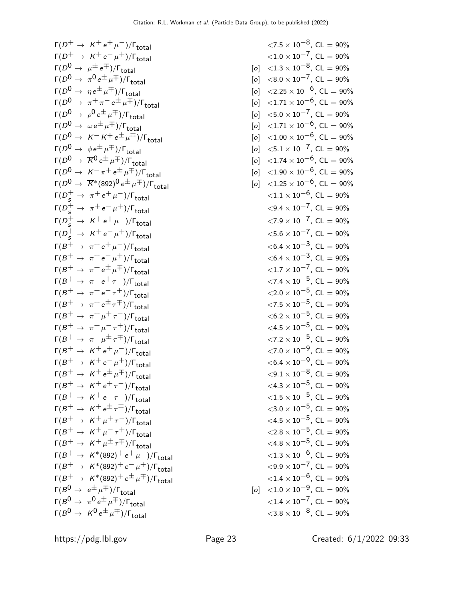$\Gamma(D^+ \to K^+ e^+ \mu^-)/\Gamma_{\text{total}}$ <br>  $\Gamma(D^+ \to K^+ e^- \mu^+)/\Gamma_{\text{total}}$ <br>  $\langle 1.0 \times 10^{-7}, \text{CL} = 90\%$  $\Gamma(D^+ \to K^+ e^- \mu^+)/\Gamma_{\text{total}}$ <br>  $\Gamma(D^0 \to \mu^{\pm} e^{\mp})/\Gamma_{\text{total}}$ <br>  $\Gamma(D^0 \to \mu^{\pm} e^{\mp})/\Gamma_{\text{total}}$ <br>  $\Gamma(D^0 \to \mu^{\pm} e^{\mp})/\Gamma_{\text{total}}$ <br>  $\Gamma(D^0 \to \mu^{\pm} e^{\mp})/\Gamma_{\text{total}}$  $\Gamma(D^0 \rightarrow \mu^{\pm} e^{\mp})/\Gamma_{\text{total}}$ Γ( $D^0 \rightarrow \pi^0 e^{\pm} \mu^{\mp})/\Gamma_{\text{total}}$  $\Gamma(D^0 \to \eta e^{\pm} \mu^{\mp})/\Gamma_{\text{total}}$ <br>  $\Gamma(D^0 \to \pi^+ \pi^- e^{\pm} \mu^{\mp})/\Gamma_{\text{total}}$  [o] <2.25 × 10<sup>-6</sup>, CL = 90%<br>
[o] <1.71 × 10<sup>-6</sup>, CL = 90% Γ( $D^0 \rightarrow \pi^+\pi^- e^{\pm}\mu^{\mp})/\Gamma_{\text{total}}$ Γ( $D^0 \rightarrow \rho^0 e^{\pm} \mu^{\mp})/\Gamma_{\text{total}}$  $\Gamma(D^0 \to \omega e^{\pm} \mu^{\mp})/\Gamma_{\text{total}}$ <br>  $\Gamma(D^0 \to \kappa^- \kappa^+ e^{\pm} \mu^{\mp})/\Gamma_{\text{total}}$  [o] <1.71 × 10<sup>-6</sup>, CL = 90%<br>  $\Gamma(D^0 \to \kappa^- \kappa^+ e^{\pm} \mu^{\mp})/\Gamma_{\text{total}}$  [o] <1.00 × 10<sup>-6</sup>, CL = 90%  $\Gamma(D^0 \to K^- K^+ e^{\pm} \mu^{\mp})/\Gamma_{\text{total}}$  [o] <1.00 × 10<sup>-6</sup>, CL = 90%<br>  $\Gamma(D^0 \to \phi e^{\pm} \mu^{\mp})/\Gamma_{\text{total}}$  [o] <5.1 × 10<sup>-7</sup>, CL = 90% Γ(D<sup>0</sup> <sup>→</sup> <sup>φ</sup>e<sup>±</sup> <sup>µ</sup>∓)/Γtotal [o] <sup>&</sup>lt;5.<sup>1</sup> <sup>×</sup> <sup>10</sup>−7, CL = 90%  $\Gamma(D^0 \to \overline{K}^0 e^{\pm} \mu^{\mp})/\Gamma_{\text{total}}$ <br>  $\Gamma(D^0 \to K^- \pi^+ e^{\pm} \mu^{\mp})/\Gamma_{\text{total}}$ <br>  $\Gamma(D^0 \to K^- \pi^+ e^{\pm} \mu^{\mp})/\Gamma_{\text{total}}$ <br>  $\Gamma(D^0 \to K^- \pi^+ e^{\pm} \mu^{\mp})/\Gamma_{\text{total}}$ <br>  $\Gamma(D^0 \to K^- \pi^+ e^{\pm} \mu^{\mp})/\Gamma_{\text{total}}$  $\Gamma(D^0 \to K^- \pi^+ e^{\pm} \mu^{\mp})/\Gamma_{\text{total}}$ <br>  $\Gamma(D^0 \to \overline{K}^*(892)^0 e^{\pm} \mu^{\mp})/\Gamma_{\text{total}}$ <br>  $\Gamma(D^0 \to \overline{K}^*(892)^0 e^{\pm} \mu^{\mp})/\Gamma_{\text{total}}$ <br>  $\Gamma(D^0 \to \overline{K}^*(892)^0 e^{\pm} \mu^{\mp})/\Gamma_{\text{total}}$ <br>  $\Gamma(D^0 \to \overline{K}^*(892)^0 e^{\pm} \mu^{\mp})/\Gamma_{\text{total}}$  $\Gamma(D^0 \to \overline{K}^*(892)^0 e^{\pm} \mu^{\mp})/\Gamma_{\text{total}}$  [o] <1.25 × 10<sup>-6</sup>, CL = 90%<br>  $\Gamma(D^+ \to \pi^+ e^+ \mu^-)/\Gamma_{\text{total}}$  [o] <1.1 × 10<sup>-6</sup>, CL = 90%  $\Gamma(D_s^+ \to \pi^+ e^+ \mu^-)/\Gamma_{\rm total}$   $< 1.1 \times 10^{-6}$ , CL = 90%  $\Gamma(D_s^+$  → π<sup>+</sup> e<sup>−</sup> μ<sup>+</sup>)/Γ<sub>total</sub> <9.4 × 10<sup>−7</sup>, CL = 90%  $\Gamma(D_s^+ \to K^+ e^+ \mu^-)/\Gamma_{\rm total}$  <7.9 × 10<sup>-7</sup>, CL = 90%  $\Gamma(D_s^+ \to K^+ e^- \mu^+) / \Gamma_{\text{total}}$  <5.6 × 10<sup>-7</sup>, CL = 90%  $\Gamma(B^+ \to \pi^+ e^+ \mu^-)/\Gamma_{\text{total}}$ <br>  $\Gamma(B^+ \to \pi^+ e^- \mu^+)/\Gamma_{\text{total}}$ <br>  $\langle 6.4 \times 10^{-3}, \text{ CL} = 90\%$ <br>  $\langle 6.4 \times 10^{-3}, \text{ CL} = 90\%$  $\Gamma(B^+ \to \pi^+ e^- \mu^+)/\Gamma_{\text{total}}$ <br>  $\Gamma(B^+ \to \pi^+ e^{\pm} \mu^{\mp})/\Gamma_{\text{total}}$ <br>  $\langle 1.7 \times 10^{-7}, \text{ CL} = 90\%$  $\Gamma(B^+ \to \pi^+ e^{\pm} \mu^{\mp})/\Gamma_{\text{total}}$ <br>  $\Gamma(B^+ \to \pi^+ e^+ \tau^-)/\Gamma_{\text{total}}$ <br>  $\langle 1.7 \times 10^{-7}, \text{ CL} = 90\%$ <br>  $\langle 7.4 \times 10^{-5}, \text{ CL} = 90\%$  $\Gamma(B^+ \to \pi^+ e^+ \tau^-)/\Gamma_{\text{total}}$ <br>  $\Gamma(B^+ \to \pi^+ e^- \tau^+)/\Gamma_{\text{total}}$ <br>  $\langle 2.0 \times 10^{-5}, \text{ CL} = 90\%$ <br>  $\langle 2.0 \times 10^{-5}, \text{ CL} = 90\%$  $\Gamma(B^+ \to \pi^+ e^- \tau^+) / \Gamma_{\text{total}}$ <br>  $\Gamma(B^+ \to \pi^+ e^{\pm} \tau^{\mp}) / \Gamma_{\text{total}}$ <br>  $\langle 2.0 \times 10^{-5}, \text{ CL} = 90\%$ <br>  $\langle 7.5 \times 10^{-5}, \text{ CL} = 90\%$  $\Gamma(B^+ \to \pi^+ e^{\pm} \tau^{\mp})/\Gamma_{\text{total}}$ <br>  $\Gamma(B^+ \to \pi^+ \mu^+ \tau^-)/\Gamma_{\text{total}}$ <br>  $< 6.2 \times 10^{-5}$ , CL = 90%  $\Gamma(B^+ \to \pi^+ \mu^+ \tau^-)/\Gamma_{\text{total}}$ <br>  $\Gamma(B^+ \to \pi^+ \mu^- \tau^+)/\Gamma_{\text{total}}$ <br>  $\langle 4.5 \times 10^{-5}, \text{ CL} = 90\%$ <br>  $\langle 4.5 \times 10^{-5}, \text{ CL} = 90\%$  $\Gamma(B^+ \to \pi^+ \mu^- \tau^+)/\Gamma_{\text{total}}$ <br>  $\Gamma(B^+ \to \pi^+ \mu^+ \tau^+)/\Gamma_{\text{total}}$ <br>  $\langle 7.2 \times 10^{-5}, \text{ CL} = 90\%$ <br>  $\langle 7.2 \times 10^{-5}, \text{ CL} = 90\%$  $\Gamma(B^+ \to \pi^+ \mu^{\pm} \tau^{\mp})/\Gamma_{\text{total}}$ <br>  $\Gamma(B^+ \to K^+ e^+ \mu^-)/\Gamma_{\text{total}}$ <br>  $\langle 7.2 \times 10^{-5}, \text{ CL} = 90\%$ <br>  $\langle 7.0 \times 10^{-9}, \text{ CL} = 90\%$  $\Gamma(B^+ \to K^+ e^+ \mu^-)/\Gamma_{\text{total}}$ <br>  $\Gamma(B^+ \to K^+ e^- \mu^+)/\Gamma_{\text{total}}$ <br>  $\langle 6.4 \times 10^{-9}, \text{ CL} = 90\%$ <br>  $\langle 6.4 \times 10^{-9}, \text{ CL} = 90\%$  $\Gamma(B^+ \to K^+ e^- \mu^+)/\Gamma_{\text{total}}$ <br>  $\Gamma(B^+ \to K^+ e^{\pm} \mu^{\mp})/\Gamma_{\text{total}}$ <br>  $\langle 6.4 \times 10^{-9}, \text{ CL} = 90\%$ <br>  $\langle 9.1 \times 10^{-8}, \text{ CL} = 90\%$  $\Gamma(B^+ \to K^+ e^{\pm} \mu^{\mp})/\Gamma_{\text{total}}$ <br>  $\Gamma(B^+ \to K^+ e^+ \tau^-)/\Gamma_{\text{total}}$ <br>  $< 4.3 \times 10^{-5}$ , CL = 90%  $\Gamma(B^+ \to K^+ e^+ \tau^-)/\Gamma_{\text{total}}$ <br>  $\Gamma(B^+ \to K^+ e^- \tau^+)/\Gamma_{\text{total}}$ <br>  $\langle 1.5 \times 10^{-5}, \text{ CL} = 90\%$ <br>  $\langle 1.5 \times 10^{-5}, \text{ CL} = 90\%$  $\Gamma(B^+ \to K^+e^-\tau^+)/\Gamma_{\text{total}}$ <br>  $\Gamma(B^+ \to K^+e^{\pm}\tau^{\mp})/\Gamma_{\text{total}}$ <br>  $\langle 3.0 \times 10^{-5}, \text{ CL} = 90\%$  $\Gamma(B^+ \to K^+ e^{\pm} \tau^{\mp})/\Gamma_{\text{total}}$ <br>  $\Gamma(B^+ \to K^+ \mu^+ \tau^-)/\Gamma_{\text{total}}$ <br>  $< 4.5 \times 10^{-5}$ , CL = 90%<br>  $< 4.5 \times 10^{-5}$ , CL = 90%  $\Gamma(B^+ \to K^+ \mu^+ \tau^-)/\Gamma_{\text{total}}$ <br>  $\Gamma(B^+ \to K^+ \mu^- \tau^+)/\Gamma_{\text{total}}$ <br>  $\langle 2.8 \times 10^{-5}, \text{ CL} = 90\%$ <br>  $\langle 2.8 \times 10^{-5}, \text{ CL} = 90\%$  $\Gamma(B^+ \to K^+ \mu^- \tau^+)/\Gamma_{\text{total}}$ <br>  $\Gamma(B^+ \to K^+ \mu^{\pm} \tau^{\mp})/\Gamma_{\text{total}}$ <br>  $\langle 4.8 \times 10^{-5}, \text{ CL} = 90\%$ <br>  $\langle 4.8 \times 10^{-5}, \text{ CL} = 90\%$  $\Gamma(B^+ \to K^+ \mu^{\pm} \tau^{\mp})/\Gamma_{\text{total}}$ <br>  $\Gamma(B^+ \to K^*(892)^+ e^+ \mu^-)/\Gamma_{\text{total}}$ <br>  $\langle 1.3 \times 10^{-6}, \text{ CL} = 90\%$  $\Gamma(B^+ \to K^*(892)^+ e^+ \mu^-)/\Gamma_{\text{total}}$  <1.3 × 10<sup>-6</sup>, CL = 90%<br>  $\Gamma(B^+ \to K^*(892)^+ e^- \mu^+)/\Gamma_{\text{total}}$  <9.9 × 10<sup>-7</sup>, CL = 90%  $\Gamma(B^+ \to K^*(892)^+ e^- \mu^+)/\Gamma_{\text{total}}$  <9.9 × 10<sup>-7</sup>, CL = 90%<br>  $\Gamma(B^+ \to K^*(892)^+ e^+ \mu^+)/\Gamma_{\text{total}}$  <1.4 × 10<sup>-6</sup>, CL = 90%  $Γ(B<sup>+</sup> → K<sup>*</sup>(892)<sup>+</sup> e<sup>±</sup> μ<sup>+</sup>)/Γ$ <sub>total</sub><br>  $Γ(B<sup>0</sup> → e<sup>±</sup> μ<sup>+</sup>)/Γ$ <sub>total</sub>  $Γ(B<sup>0</sup> → π<sup>0</sup>e<sup>±</sup>μ<sup>+</sup>)/Γ$ <sub>total</sub>  $\mathsf{\Gamma}(B^{\mathsf{0}}\to~\mathsf{K}^{\mathsf{0}}\mathsf{e}^{\pm}\mu^{\mp})/\mathsf{\Gamma}_{\mathsf{total}}\quad \textrm{~~} < 3.8\times10^{-8},\, \mathsf{CL} = 90\%$ 

 $\begin{array}{ll} \text{[o]} < 8.0 \times 10^{-7}, \text{ CL} = 90\% \\ \text{[o]} < 2.25 \times 10^{-6}, \text{ CL} = 90\% \end{array}$  $\begin{array}{ll} \text{[o]} < 5.0 \times 10^{-7}, \text{ CL} = 90\% \\ \text{[o]} < 1.71 \times 10^{-6}, \text{ CL} = 90\% \end{array}$  $\begin{bmatrix} 0 & 1.0 \times 10^{-9}, \text{CL} = 90\% \end{bmatrix}$  $<$  1.4 × 10<sup>-7</sup>, CL = 90%<br> $<$  3.8 × 10<sup>-8</sup>, CL = 90%

https://pdg.lbl.gov Page 23 Created: 6/1/2022 09:33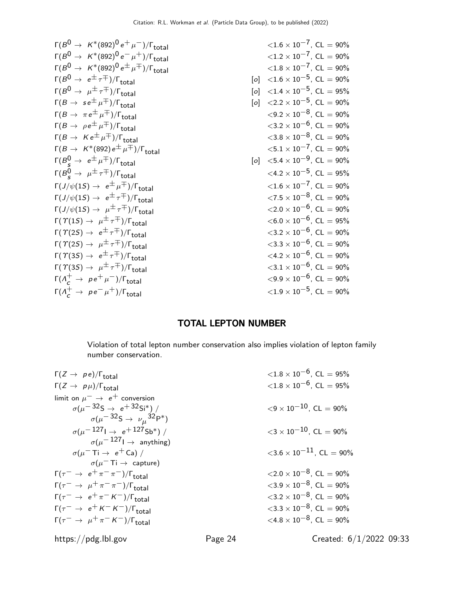| $\Gamma(B^0 \to K^*(892)^0 e^+ \mu^-)/\Gamma_{\text{total}}$                           |                   | $\langle 1.6 \times 10^{-7}$ , CL = 90%             |
|----------------------------------------------------------------------------------------|-------------------|-----------------------------------------------------|
| $\Gamma(B^0 \to K^*(892)^0 e^- \mu^+) / \Gamma_{\text{total}}$                         |                   | $\langle 1.2 \times 10^{-7}$ , CL = 90%             |
| $\Gamma(B^0\to~\mathit{K}^*(892)^0\,e^{\pm}\,\mu^{\mp})/\Gamma_{\small\textrm{total}}$ |                   | ${<}1.8\times10^{-7}$ , CL $=90\%$                  |
| $\Gamma(B^0 \to e^{\pm} \tau^{\mp})/\Gamma_{\text{total}}$                             | $\lceil o \rceil$ | $\langle 1.6 \times 10^{-5} \rangle$ , CL = 90%     |
| $\Gamma(B^0 \to \mu^{\pm} \tau^{\mp})/\Gamma_{\text{total}}$                           | $\lceil o \rceil$ | $\langle 1.4 \times 10^{-5} \rangle$ , CL = 95%     |
| $\Gamma(B \to s e^{\pm} \mu^{\mp})/\Gamma_{\text{total}}$                              | $\lceil o \rceil$ | $\langle 2.2 \times 10^{-5}$ , CL = 90%             |
| $\Gamma(B \to \pi e^{\pm} \mu^{\mp})/\Gamma_{\text{total}}$                            |                   | $\langle 9.2 \times 10^{-8}$ , CL = 90%             |
| $\Gamma(B \to \rho e^{\pm} \mu^{\mp})/\Gamma_{\text{total}}$                           |                   | $\langle 3.2 \times 10^{-6}$ , CL = 90%             |
| $\Gamma(B \to K e^{\pm} \mu^{\mp})/\Gamma_{\text{total}}$                              |                   | $\langle 3.8 \times 10^{-8}$ , CL = 90%             |
| $\Gamma(B \to K^*(892) e^{\pm} \mu^{\mp})/\Gamma_{\text{total}}$                       |                   | $\langle 5.1 \times 10^{-7}$ , CL = 90%             |
| $\Gamma(B_{s}^{0} \rightarrow e^{\pm} \mu^{\mp})/\Gamma_{\text{total}}$                |                   | [o] $\langle 5.4 \times 10^{-9} \rangle$ , CL = 90% |
| $\Gamma(B_{c}^{0} \rightarrow \mu^{\pm} \tau^{\mp})/\Gamma_{\text{total}}$             |                   | $\langle 4.2 \times 10^{-5}$ , CL = 95%             |
| $\Gamma(J/\psi(1S) \rightarrow e^{\pm} \mu^{\mp})/\Gamma_{\text{total}}$               |                   | $\langle 1.6 \times 10^{-7} \rangle$ , CL = 90%     |
| $\Gamma(J/\psi(1S) \rightarrow e^{\pm} \tau^{\mp})/\Gamma_{\text{total}}$              |                   | ${<}7.5\times10^{-8}$ , CL $=90\%$                  |
| $\Gamma(J/\psi(1S) \to \mu^{\pm} \tau^{\mp})/\Gamma_{\text{total}}$                    |                   | ${<}2.0\times10^{-6}$ , CL $=90\%$                  |
| $\Gamma(\Upsilon(1S) \rightarrow \mu^{\pm} \tau^{\mp})/\Gamma_{\text{total}}$          |                   | $<$ 6.0 $\times$ 10 $^{-6}$ , CL $=$ 95%            |
| $\Gamma(\Upsilon(2S) \rightarrow e^{\pm} \tau^{\mp})/\Gamma_{\text{total}}$            |                   | $\langle 3.2\times10^{-6}$ , CL = 90%               |
| $\Gamma(\Upsilon(2S) \to \mu^{\pm} \tau^{\mp})/\Gamma_{\text{total}}$                  |                   | $<$ 3.3 $\times$ 10 $^{-6}$ , CL $=$ 90%            |
| $\Gamma(\Upsilon(3S) \to e^{\pm} \tau^{\mp})/\Gamma_{\text{total}}$                    |                   | $\langle 4.2 \times 10^{-6}, CL = 90\%$             |
| $\Gamma(\Upsilon(3S) \to \mu^{\pm} \tau^{\mp})/\Gamma_{\text{total}}$                  |                   | $\langle 3.1 \times 10^{-6}$ , CL = 90%             |
| $\Gamma(\Lambda_c^+ \to \rho e^+ \mu^-)/\Gamma_{\text{total}}$                         |                   | $<$ 9.9 $\times$ 10 $^{-6}$ , CL $=$ 90%            |
| $\Gamma(\Lambda_c^+ \to \rho e^- \mu^+) / \Gamma_{\text{total}}$                       |                   | $\langle 1.9 \times 10^{-5}$ , CL = 90%             |
|                                                                                        |                   |                                                     |

## TOTAL LEPTON NUMBER

Violation of total lepton number conservation also implies violation of lepton family number conservation.

| $\Gamma(Z \rightarrow pe)/\Gamma_{\text{total}}$           |         | $\langle 1.8 \times 10^{-6} \rangle$ . CL = 95%  |
|------------------------------------------------------------|---------|--------------------------------------------------|
| $\Gamma(Z \to p\mu)/\Gamma_{\text{total}}$                 |         | $\langle 1.8 \times 10^{-6} \rangle$ , CL = 95%  |
| limit on $\mu^- \rightarrow e^+$ conversion                |         |                                                  |
| $\sigma(\mu^{-32}S \to e^{+32}Si^*)$ /                     |         | $\langle 9 \times 10^{-10} \rangle$ CL = 90%     |
| $\sigma(\mu^{-32}S \to \nu_\mu^{32}P^*)$                   |         |                                                  |
| $\sigma(\mu^{-127} \rightarrow e^{+127} \text{Sb*})$ /     |         | $\langle 3 \times 10^{-10} \rangle$ , CL = 90%   |
| $\sigma(\mu^{-127}] \rightarrow$ anything)                 |         |                                                  |
| $\sigma(\mu^-$ Ti $\rightarrow$ e <sup>+</sup> Ca) /       |         | $\langle 3.6 \times 10^{-11} \rangle$ . CL = 90% |
| $\sigma(\mu^- \mathrm{Ti} \rightarrow \mathrm{ capture})$  |         |                                                  |
| $\Gamma(\tau^- \to e^+ \pi^- \pi^-)/\Gamma_{\text{total}}$ |         | $\langle 2.0 \times 10^{-8} \rangle$ , CL = 90%  |
| $\Gamma(\tau^- \to \mu^+ \pi^- \pi^-)/\Gamma_{\rm total}$  |         | $\langle 3.9 \times 10^{-8} \rangle$ , CL = 90%  |
| $\Gamma(\tau^- \to e^+ \pi^- K^-)/\Gamma_{\text{total}}$   |         | $\langle 3.2 \times 10^{-8} \rangle$ , CL = 90%  |
| $\Gamma(\tau^- \to e^+ K^- K^-)/\Gamma_{\text{total}}$     |         | $\langle 3.3 \times 10^{-8} \rangle$ . CL = 90%  |
| $\Gamma(\tau^- \to \mu^+ \pi^- K^-)/\Gamma_{\text{total}}$ |         | $\langle 4.8 \times 10^{-8} \rangle$ . CL = 90%  |
| https://pdg.lbl.gov                                        | Page 24 | Created: $6/1/2022$ 09:33                        |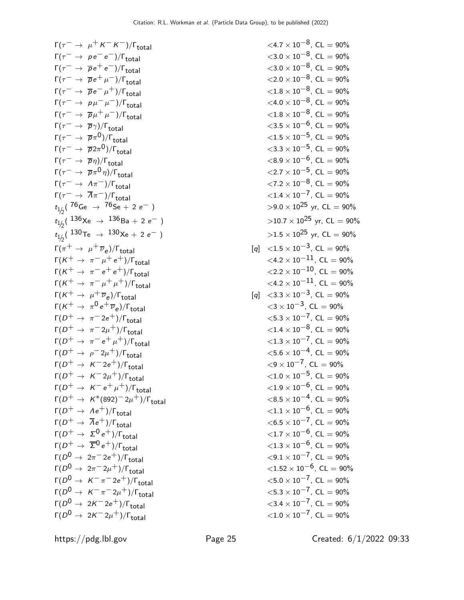$\Gamma(\tau^- \to \mu^+ K^- K^-)/\Gamma_{\text{total}}$  <4.7 × 10<sup>-8</sup>, CL = 90%<br>  $\Gamma(\tau^- \to \rho e^- e^-)/\Gamma_{\text{total}}$  <3.0 × 10<sup>-8</sup>, CL = 90%  $\Gamma(\tau^- \to p \, e^- \, e^-)/\Gamma_{\text{total}}$ <br>  $\Gamma(\tau^- \to \overline{p} \, e^+ \, e^-)/\Gamma_{\text{total}}$ <br>  $\langle 3.0 \times 10^{-8}, \, \text{CL} = 90\%$ <br>  $\langle 3.0 \times 10^{-8}, \, \text{CL} = 90\%$  $\Gamma(\tau^- \to \overline{p}e^+e^-)/\Gamma_{\text{total}}$ <br>  $\Gamma(\tau^- \to \overline{p}e^+ \mu^-)/\Gamma_{\text{total}}$ <br>  $\langle 2.0 \times 10^{-8}, \text{ CL} = 90\%$ <br>  $\langle 2.0 \times 10^{-8}, \text{ CL} = 90\%$  $\Gamma(\tau^- \to \overline{p}e^+ \mu^-)/\Gamma_{\text{total}}$ <br>  $\Gamma(\tau^- \to \overline{p}e^- \mu^+)/\Gamma_{\text{total}}$ <br>  $\langle 1.8 \times 10^{-8}, \text{ CL} = 90\%$ <br>  $\langle 1.8 \times 10^{-8}, \text{ CL} = 90\%$  $\Gamma(\tau^- \to \overline{p}e^- \mu^+) / \Gamma_{\text{total}}$ <br>  $\Gamma(\tau^- \to p\mu^- \mu^-) / \Gamma_{\text{total}}$ <br>  $\langle 4.0 \times 10^{-8}, \text{ CL} = 90\%$ <br>  $\langle 4.0 \times 10^{-8}, \text{ CL} = 90\%$  $\Gamma(\tau^- \to \rho \mu^- \mu^-)/\Gamma_{\text{total}}$ <br>  $\Gamma(\tau^- \to \overline{\rho} \mu^+ \mu^-)/\Gamma_{\text{total}}$ <br>  $\langle 1.8 \times 10^{-8}, \text{ CL} = 90\%$ <br>  $\langle 1.8 \times 10^{-8}, \text{ CL} = 90\%$  $\Gamma(\tau^- \to \overline{p}\mu^+\mu^-)/\Gamma_{\text{total}}$ <br>  $\Gamma(\tau^- \to \overline{p}\gamma)/\Gamma_{\text{total}}$ <br>  $\langle 3.5 \times 10^{-6}, \text{ CL} = 90\%$  $\Gamma(\tau^- \to \overline{p}\gamma)/\Gamma_{\text{total}}$  $\Gamma(\tau^- \to \overline{p}\pi^0)/\Gamma_{\text{total}}$  $\Gamma(\tau^- \to \overline{p} 2\pi^0)/\Gamma_{\text{total}}$ Γ $(τ<sup>-</sup> → \overline{p}η)/Γ_{total}$  $\Gamma(\tau^- \to \overline{p}\pi^0\eta)/\Gamma_{\text{total}}$  $\Gamma(\tau^- \to \Lambda \pi^-)/\Gamma_{\text{total}}$ <br>  $\Gamma(\tau^- \to \overline{\Lambda} \pi^-)/\Gamma_{\text{total}}$ <br>  $\Gamma(\tau^- \to \overline{\Lambda} \pi^-)/\Gamma_{\text{total}}$ <br>  $\langle 1.4 \times 10^{-7}, \text{CL} = 90\%$  $\Gamma(\tau^- \to \overline{A}\pi^-)/\Gamma_{\text{total}}$ <br>  $t_{1/2}(76\text{Ge } \to 76\text{Se } + 2 \text{e}^-)$ <br>  $>9.0 \times 10^{25}$  yr, CL = 90%  $t_{\rm 1/2}$ ( <sup>76</sup>Ge → <sup>76</sup>Se + 2 e<sup>−</sup> )  $>$ 9.0 × 10 $^{\rm 25}$  yr, CL = 90%  $t_{\rm 1/2}$ (  $\rm ^{136}Xe$  →  $\rm ^{136}Ba + 2~e^-$  )  $>$   $>$  10.7  $\times$   $\rm 10^{25}$  yr, CL  $=$  90%  $t_{\rm 1/2}$ (  $^{130}$ Te →  $^{130}$ Xe + 2 e $^-$  )  $>$   $>$   $1.5 \times 10^{25}$  yr, CL = 90%  $\Gamma(\pi^+ \to \mu^+ \overline{\nu}_e)/\Gamma_{\text{total}}$  $\Gamma(K^+ \to \pi^- \mu^+ e^+) / \Gamma_{\text{total}}$ <br>  $\Gamma(K^+ \to \pi^- e^+ e^+) / \Gamma_{\text{total}}$ <br>  $\langle 2.2 \times 10^{-11}, \text{ CL} = 90\%$ <br>  $\langle 2.2 \times 10^{-10}, \text{ CL} = 90\%$  $\Gamma(K^+ \to \pi^- e^+ e^+) / \Gamma_{\text{total}}$ <br>  $\Gamma(K^+ \to \pi^- \mu^+ \mu^+) / \Gamma_{\text{total}}$ <br>  $\langle 4.2 \times 10^{-11}, \text{ CL} = 90\%$  $Γ(K^+ \to \pi^- \mu^+ \mu^+)/Γ_{total}$  $\Gamma(K^+ \to \mu^+ \overline{\nu}_e)/\Gamma_{\text{total}}$  $\Gamma(K^+ \rightarrow \pi^0 e^+ \overline{\nu}_e$  $\Gamma(D^+ \to \pi^- 2e^+)/\Gamma_{\text{total}}$ <br>  $\Gamma(D^+ \to \pi^- 2\mu^+)/\Gamma_{\text{total}}$ <br>  $\langle 1.4 \times 10^{-8}, \text{ CL} = 90\%$ <br>  $\langle 1.4 \times 10^{-8}, \text{ CL} = 90\%$  $\Gamma(D^+ \to \pi^- 2\mu^+)/\Gamma_{\text{total}}$ <br>  $\Gamma(D^+ \to \pi^- e^+ \mu^+)/\Gamma_{\text{total}}$ <br>  $\langle 1.4 \times 10^{-8}, \text{ CL} = 90\%$ <br>  $\langle 1.3 \times 10^{-7}, \text{ CL} = 90\%$  $\Gamma(D^+ \to \pi^- e^+ \mu^+) / \Gamma_{\text{total}}$  <1.3 × 10<sup>-7</sup>, CL = 90%<br>  $\Gamma(D^+ \to \rho^- 2\mu^+) / \Gamma_{\text{total}}$  <5.6 × 10<sup>-4</sup>, CL = 90%  $\Gamma(D^+ \to \rho^- 2\mu^+)/\Gamma_{\text{total}}$ <br>  $\Gamma(D^+ \to K^- 2e^+)/\Gamma_{\text{total}}$ <br>  $(5.6 \times 10^{-4}, \text{ CL} = 90\%$ <br>  $(9 \times 10^{-7}, \text{ CL} = 90\%)$  $\Gamma(D^+ \to K^- 2e^+)/\Gamma_{\text{total}}$ <br>  $\Gamma(D^+ \to K^- 2\mu^+)/\Gamma_{\text{total}}$ <br>  $\Gamma(D^+ \to K^- 2\mu^+)/\Gamma_{\text{total}}$ <br>  $\langle 1.0 \times 10^{-5}, \text{CL} = 90\% \rangle$  $\Gamma(D^+ \to K^- 2\mu^+)/\Gamma_{\text{total}}$ <br>  $\Gamma(D^+ \to K^- e^+ \mu^+)/\Gamma_{\text{total}}$ <br>  $\langle 1.0 \times 10^{-5}, \text{ CL} = 90\%$ <br>  $\langle 1.0 \times 10^{-6}, \text{ CL} = 90\%$  $\Gamma(D^+ \to K^- e^+ \mu^+)/\Gamma_{\text{total}}$ <br>  $\Gamma(D^+ \to K^*(892)^- 2\mu^+)/\Gamma_{\text{total}}$ <br>  $< 8.5 \times 10^{-4}$ , CL = 90%  $\Gamma(D^+ \to K^*(892)^- 2\mu^+)/\Gamma_{\text{total}}$  <8.5 × 10<sup>-4</sup>, CL = 90%<br>  $\Gamma(D^+ \to Ae^+)/\Gamma_{\text{total}}$  <1.1 × 10<sup>-6</sup>, CL = 90%  $\Gamma(D^+ \to Ae^+)/\Gamma_{\text{total}}$ <br>  $\Gamma(D^+ \to \overline{A}e^+)/\Gamma_{\text{total}}$ <br>  $\langle 6.5 \times 10^{-7}, \text{CL} = 90\%$  $\Gamma(D^+ \to \overline{A}e^+)/\Gamma_{\text{total}}$ <br>  $\Gamma(D^+ \to \Sigma^0 e^+)/\Gamma_{\text{total}}$ <br>  $\langle 1.7 \times 10^{-6}, \text{ CL} = 90\%$  $\Gamma(D^+ \to \Sigma^0 e^+)/\Gamma_{\text{total}}$ <br>  $\Gamma(D^+ \to \overline{\Sigma}^0 e^+)/\Gamma_{\text{total}}$ <br>  $\langle 1.7 \times 10^{-6}, \text{ CL} = 90\%$ <br>  $\langle 1.3 \times 10^{-6}, \text{ CL} = 90\% \rangle$  $\Gamma(D^+ \to \overline{\Sigma}^0 e^+)/\Gamma_{\text{total}}$ <br>  $\Gamma(D^0 \to 2\pi^- 2e^+)/\Gamma_{\text{total}}$ <br>  $\langle 9.1 \times 10^{-7}, \text{CL} = 90\%$  $\Gamma(D^0 \to 2\pi^- 2e^+)/\Gamma_{\text{total}}$ <br>  $\Gamma(D^0 \to 2\pi^- 2\mu^+)/\Gamma_{\text{total}}$ <br>  $\langle 9.1 \times 10^{-7}, \text{ CL} = 90\%$ <br>  $\langle 1.52 \times 10^{-6}, \text{ CL} = 90\% \rangle$  $\Gamma(D^0 \to 2\pi^- 2\mu^+)/\Gamma_{\text{total}}$ <br>  $\Gamma(D^0 \to K^-\pi^- 2e^+)/\Gamma_{\text{total}}$ <br>  $\langle 5.0 \times 10^{-7}, \text{CL} = 90\% \rangle$  $\Gamma(D^0 \to K^-\pi^- 2e^+)/\Gamma_{\text{total}}$ <br>  $\Gamma(D^0 \to K^-\pi^- 2\mu^+)/\Gamma_{\text{total}}$ <br>  $\langle 5.0 \times 10^{-7}, \text{ CL} = 90\%$ <br>  $\langle 5.3 \times 10^{-7}, \text{ CL} = 90\%$  $\Gamma(D^0 \to K^-\pi^- 2\mu^+)/\Gamma_{\text{total}}$ <br>  $\Gamma(D^0 \to 2K^- 2e^+)/\Gamma_{\text{total}}$  <5.3 × 10<sup>-7</sup>, CL = 90%<br>
<3.4 × 10<sup>-7</sup>, CL = 90%  $\Gamma(D^0 \to 2K^- 2e^+) / \Gamma_{\text{total}}$ <br>  $\Gamma(D^0 \to 2K^- 2u^+) / \Gamma_{\text{total}}$ <br>  $\langle 1.0 \times 10^{-7}, \text{ CL} = 90\%$ <br>  $\langle 1.0 \times 10^{-7}, \text{ CL} = 90\% \rangle$  $\Gamma(D^0 \rightarrow 2K^- 2\mu^+)/\Gamma_{\text{total}}$ 

 $<$ 1.5  $\times$  10<sup>-5</sup>, CL = 90%  $<$ 3.3 × 10<sup>-5</sup>, CL = 90%<br> $<$ 8.9 × 10<sup>-6</sup>, CL = 90%  $<$ 2.7 × 10<sup>-5</sup>, CL = 90%<br> $<$ 7.2 × 10<sup>-8</sup>, CL = 90%  $[q] < 1.5 \times 10^{-3}$ , CL = 90%<br>  $< 4.2 \times 10^{-11}$ , CL = 90%  $[q] < 3.3 \times 10^{-3}$ , CL = 90%  $<$ 3 × 10<sup>-3</sup>, CL = 90%<br> $<$ 5.3 × 10<sup>-7</sup>. CL = 90%

https://pdg.lbl.gov Page 25 Created: 6/1/2022 09:33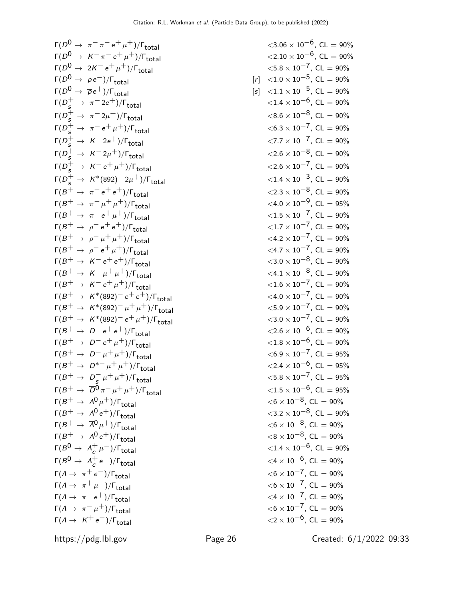Γ( $D^0 \rightarrow \pi^- \pi^- e^+ \mu^+)/\Gamma_{\text{total}}$  $\Gamma(D^0 \rightarrow K^-\pi^-e^+\mu^+)/\Gamma_{\text{total}}$  $\Gamma(D^0 \rightarrow 2K^- e^+ \mu^+)/\Gamma_{\text{total}}$  $\Gamma(D^0 \rightarrow \rho e^-)/\Gamma_{\text{total}}$  [*i*  $\Gamma(D^0 \to \overline{p}e^+)/\Gamma_{\text{total}}$  [s  $\Gamma(D_s^+$  → π<sup>-</sup> 2e<sup>+</sup>)/Γ<sub>total</sub>  $\langle 1.4 \times 10^{-6}, C$  CL = 90%  $\Gamma(D_s^+$  → π<sup>-</sup>2μ<sup>+</sup>)/Γ<sub>total</sub>  $\langle 8.6 \times 10^{-8}, C$  CL = 90%  $\Gamma(D_s^+ \to \pi^- e^+ \mu^+) / \Gamma_{\text{total}}$  <6.3 × 10<sup>-7</sup>, CL = 90%  $\Gamma(D_s^+$  → K<sup>-</sup>2e<sup>+</sup>)/Γ<sub>total</sub>  $\langle 7.7 \times 10^{-7}, C L = 90\%$  $\Gamma(D_s^+$  → K<sup>--</sup>2μ<sup>+</sup>)/Γ<sub>total</sub>  $<$ 2.6 × 10<sup>-8</sup>, CL = 90%  $\Gamma(D_s^+$  → K<sup>-</sup> e<sup>+</sup> μ<sup>+</sup>)/Γ<sub>total</sub> <2.6 × 10<sup>-7</sup>, CL = 90%  $\Gamma(D_s^+$  → K\*(892)<sup>-</sup>2μ<sup>+</sup>)/Γ<sub>total</sub> <1.4 × 10<sup>-3</sup>, CL = 90%  $\Gamma(B^+ \to \pi^- e^+ e^+) / \Gamma_{\text{total}}$  $Γ(B^+ \to π^- \mu^+ \mu^+)/Γ_{total}$  $\Gamma(B^+ \to \pi^- e^+ \mu^+) / \Gamma_{\text{total}}$  $\Gamma(B^+ \rightarrow \rho^- e^+ e^+) / \Gamma_{\text{total}}$  $Γ(B<sup>+</sup> → ρ<sup>-</sup> μ<sup>+</sup> μ<sup>+</sup>)/Γ<sub>total</sub>$  $Γ(B<sup>+</sup> → ρ<sup>-</sup> e<sup>+</sup>μ<sup>+</sup>)/Γ<sub>total</sub>$  $\Gamma(B^+ \to K^- e^+ e^+) / \Gamma_{\text{total}}$  $\Gamma(B^+ \to K^- \mu^+ \mu^+)/\Gamma_{\text{total}}$  $\Gamma(B^+ \to K^- e^+ \mu^+)/\Gamma_{\text{total}}$  $\Gamma(B^+ \to K^*(892)^- e^+e^+)/\Gamma_{\text{total}}$  $\Gamma(B^+ \to K^*(892)^- \mu^+ \mu^+)/\Gamma_{\text{total}}$  $\Gamma(B^+ \to K^*(892)^- e^+ \mu^+)/\Gamma_{\text{total}}$  $\Gamma(B^+ \to D^- e^+ e^+)/\Gamma_{\text{total}}$  $\Gamma(B^+ \to D^- e^+ \mu^+)/\Gamma_{\text{total}}$  $\Gamma(B^+ \to D^- \mu^+ \mu^+)/\Gamma_{\text{total}}$  $\Gamma(B^+ \to D^{*-} \mu^+ \mu^+)/\Gamma_{\text{total}}$  $\Gamma(B^+ \to D^ \Gamma(B^+ \to \overline{D^0} \pi^- \mu^+ \mu^+)/\Gamma_{\text{total}}$  $Γ(B<sup>+</sup> → Λ<sup>0</sup>μ<sup>+</sup>)/Γ<sub>total</sub>$  <6 × 10<sup>-8</sup>, CL = 90%  $\Gamma(B^+ \to A^0 e^+)/\Gamma_{\rm total}$  <3.2 × 10<sup>−8</sup>, CL = 90%  $\Gamma(B^+ \to \overline{A}^0 \mu^+)/\Gamma_{\rm total}$   $<$  6  $\times$  10<sup>-8</sup>, CL = 90%  $\Gamma(B^+ \to \overline{\Lambda}^0 e^+)/\Gamma_{\rm total}$   $< 8 \times 10^{-8}$ , CL = 90%  $\Gamma(B^0 \to \Lambda_c^+$  $\Gamma(B^0 \to \Lambda_c^+$ Γ( $Λ \rightarrow \pi^+ e^-$ )/Γ<sub>total</sub> Γ( $Λ \rightarrow \pi^+ \mu^-)/\Gamma_{\text{total}}$ Γ( $Λ \rightarrow \pi^- e^+$ )/Γ<sub>total</sub>  $\Gamma(A \to \pi^- \mu^+) / \Gamma_{\text{total}}$ Γ $(A \rightarrow K^+e^-)/\Gamma_{\text{total}}$ 

| $-\pi$ <sup>-</sup> $e$ <sup>+</sup> $\mu$ <sup>+</sup> )/ $\Gamma$ <sub>total</sub> |       | $\langle 3.06 \times 10^{-6}, CL = 90\%$        |
|--------------------------------------------------------------------------------------|-------|-------------------------------------------------|
| $(-\pi^-e^+\mu^+)/\Gamma_{\rm total}$                                                |       | $\langle 2.10 \times 10^{-6}$ , CL = 90%        |
| $\kappa^-$ e $^+$ $\mu^+)$ / $\Gamma_{\rm total}$                                    |       | $<$ 5.8 $\times$ 10 <sup>--7</sup> , CL = 90%   |
| $e^-)/\Gamma_{\rm total}$                                                            | $[r]$ | $\langle 1.0 \times 10^{-5} \rangle$ , CL = 90% |
| $e^+)/\Gamma_{\text{total}}$                                                         | [s]   | $\langle 1.1 \times 10^{-5} \rangle$ , CL = 90% |
| $\tau^-$ 2e $^+)/\Gamma_{\rm total}$                                                 |       | $\langle 1.4 \times 10^{-6} \rangle$ , CL = 90% |
| $\pi^- 2\mu^+)/\Gamma_{\rm total}$                                                   |       | $<$ 8.6 $\times$ 10 <sup>-3</sup> , CL = 90%    |
| $\tau = e^+ \mu^+)/\Gamma_{\rm total}$                                               |       | $<$ 6.3 $\times$ 10 <sup>-7</sup> , CL = 90%    |
| $\zeta$ $-$ 2e $^+$ )/ $\Gamma_{\rm total}$                                          |       | $\langle 7.7 \times 10^{-7} \rangle$ , CL = 90% |
| $\zeta$ <sup>-</sup> 2 $\mu$ <sup>+</sup> )/ $\Gamma_{\rm total}$                    |       | $\langle 2.6 \times 10^{-8}, CL = 90\%$         |
| $\zeta = e^+ \mu^+) / \Gamma_{\rm total}$                                            |       | $\langle 2.6 \times 10^{-7}, CL = 90\%$         |
| $6(892)^{-2}\mu^{+})/\Gamma_{\rm total}$                                             |       | $\langle 1.4 \times 10^{-3}, CL = 90\%$         |
| $\epsilon^- e^+ e^+)/\Gamma_{\rm total}$                                             |       | $\langle 2.3 \times 10^{-8}$ , CL = 90%         |
| $\sigma^-\mu^+\mu^+)/\Gamma_{\rm total}$                                             |       | $\langle 4.0 \times 10^{-9}$ , CL = 95%         |
| $\sigma = e^+ \mu^+)/\Gamma_{\rm total}$                                             |       | $\langle 1.5 \times 10^{-7} \rangle$ , CL = 90% |
| $e^-e^+e^+)/\Gamma_{\rm total}$                                                      |       | $\langle 1.7 \times 10^{-7} \rangle$ , CL = 90% |
| $\omega^{-} \mu^{+} \mu^{+})/\Gamma_{\text{total}}$                                  |       | $\langle 4.2 \times 10^{-7}$ , CL = 90%         |
| $e^-e^+\mu^+)/\Gamma_{\rm total}$                                                    |       | $\langle 4.7 \times 10^{-7}$ , CL = 90%         |
| $\zeta^ e^+$ $e^+$ )/ $\Gamma_{\rm total}$                                           |       | $<$ 3.0 $\times$ 10 <sup>-3</sup> , CL = 90%    |
| $\zeta^- \mu^+ \mu^+) / \Gamma_{\text{total}}$                                       |       | $\langle 4.1 \times 10^{-8}$ , CL = 90%         |
| $\zeta = e^+ \mu^+)/\Gamma_{\rm total}$                                              |       | $\langle 1.6 \times 10^{-7}, CL = 90\%$         |
| $(x^*(892)^- e^+ e^+)/\Gamma_{\rm total}$                                            |       | $\langle 4.0 \times 10^{-7}, CL = 90\%$         |
| $(892)^{-} \mu^{+} \mu^{+})/\Gamma_{\text{total}}$                                   |       | $\langle 5.9 \times 10^{-7}, CL = 90\%$         |
| $(892)^- e^+ \mu^+) / \Gamma_{\rm total}$                                            |       | $\langle 3.0 \times 10^{-7} \rangle$ , CL = 90% |
| $D^-e^+e^+)/\Gamma_{\rm total}$                                                      |       | $\langle 2.6 \times 10^{-6}, CL = 90\%$         |
| $D^- e^+ \mu^+) / \Gamma_{\text{total}}$                                             |       | $\langle 1.8 \times 10^{-6}$ , CL = 90%         |
| $D^-\mu^+\mu^+)/\Gamma_{\rm total}$                                                  |       | $<$ 6.9 $\times$ 10 <sup>-7</sup> , CL = 95%    |
| $D^{*-} \mu^+ \mu^+) / \Gamma_{\text{total}}$                                        |       | $\langle 2.4 \times 10^{-6}$ , CL = 95%         |
| $D_s^- \mu^+ \mu^+) / \Gamma_{\text{total}}$                                         |       | $<$ 5.8 $\times$ 10 <sup>--7</sup> , CL = 95%   |
| $\bar{D^0}\pi^-\mu^+\mu^+)/\Gamma_{\rm total}$                                       |       | ${<}1.5\times10^{-6}$ , CL = 95%                |
| $1^0\mu^+)/\Gamma_{\rm total}$                                                       |       | $<$ 6 $\times$ 10 $^{-8}$ , CL $=$ 90%          |
| $1^0 e^+$ )/ $\Gamma_{\rm total}$                                                    |       | $\langle 3.2 \times 10^{-8}$ , CL = 90%         |
| $\bar{\mathcal{N}}^0 \mu^+) / \mathsf{\Gamma}_{\mathsf{total}}$                      |       | $<$ 6 $\times$ 10 <sup>-3</sup> , CL = 90%      |
| $\bar{\mathcal{N}}^{0}\,e^{+})/\mathsf{\Gamma}_{\mathsf{total}}$                     |       | $<$ 8 $\times$ 10 $^{-8}$ , CL $=$ 90%          |
| $\frac{1}{c}$ $\mu$ <sup>--</sup> )/ $\Gamma$ <sub>total</sub>                       |       | $\langle 1.4 \times 10^{-6}$ , CL = 90%         |
| $\frac{1}{2}e^{-})/\Gamma_{\rm total}$                                               |       | $\langle 4 \times 10^{-6}$ , CL = 90%           |
| $(e^-)/\Gamma_{\rm total}$                                                           |       | $<$ 6 $\times$ 10 <sup>--7</sup> , CL = 90%     |
| $\mu^-)/\Gamma_{\rm total}$                                                          |       | $<$ 6 $\times$ 10 <sup>-7</sup> , CL = 90%      |
| $e^+$ )/ $\Gamma_{total}$                                                            |       | $\langle 4 \times 10^{-7}$ , CL = 90%           |
| $\mu^+)/\Gamma_{\rm total}$                                                          |       | $<$ 6 $\times$ 10 <sup>--7</sup> , CL = 90%     |
| $(e^-)/\Gamma_{\rm total}$                                                           |       | $\langle 2\times 10^{-6}$ , CL = 90%            |
|                                                                                      |       |                                                 |

https://pdg.lbl.gov Page 26 Created: 6/1/2022 09:33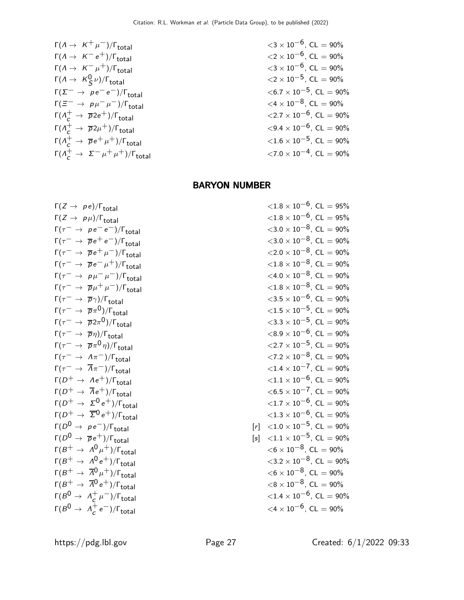| $\Gamma(A \rightarrow K^+\mu^-)/\Gamma_{\text{total}}$                      | $\langle 3 \times 10^{-6}, \text{CL} = 90\%$   |
|-----------------------------------------------------------------------------|------------------------------------------------|
| $\Gamma(A \rightarrow K^-e^+)/\Gamma_{\text{total}}$                        | $\langle 2 \times 10^{-6}, \text{CL} = 90\%$   |
| $\Gamma(A \rightarrow K^0\mu^+)/\Gamma_{\text{total}}$                      | $\langle 3 \times 10^{-6}, \text{CL} = 90\%$   |
| $\Gamma(A \rightarrow K^0\mu)/\Gamma_{\text{total}}$                        | $\langle 2 \times 10^{-5}, \text{CL} = 90\%$   |
| $\Gamma(\Sigma^- \rightarrow pe^-e^-)/\Gamma_{\text{total}}$                | $\langle 6.7 \times 10^{-5}, \text{CL} = 90\%$ |
| $\Gamma(\overline{A}^+ \rightarrow \overline{p}2e^+)/\Gamma_{\text{total}}$ | $\langle 4 \times 10^{-8}, \text{CL} = 90\%$   |
| $\Gamma(A^+_c \rightarrow \overline{p}2\mu^+)/\Gamma_{\text{total}}$        | $\langle 9.4 \times 10^{-6}, \text{CL} = 90\%$ |
| $\Gamma(A^+_c \rightarrow \overline{p}e^+\mu^+)/\Gamma_{\text{total}}$      | $\langle 1.6 \times 10^{-5}, \text{CL} = 90\%$ |
| $\Gamma(A^+_c \rightarrow \overline{p}e^+\mu^+)/\Gamma_{\text{total}}$      | $\langle 1.6 \times 10^{-5}, \text{CL} = 90\%$ |
| $\Gamma(A^+_c \rightarrow \Sigma^- \mu^+ \mu^+)/\Gamma_{\text{total}}$      | $\langle 7.0 \times 10^{-4}, \text{CL} = 90\%$ |

#### BARYON NUMBER

|     | $\langle 1.8 \times 10^{-6} \rangle$ , CL = 95% |
|-----|-------------------------------------------------|
|     | ${<}1.8\times10^{-6}$ , CL = 95%                |
|     | $\langle 3.0 \times 10^{-8} \rangle$ , CL = 90% |
|     | $\langle 3.0 \times 10^{-8}$ , CL = 90%         |
|     | $\langle 2.0 \times 10^{-8} \rangle$ , CL = 90% |
|     | $<$ 1.8 $\times$ 10 <sup>-3</sup> , CL = 90%    |
|     | $\langle 4.0 \times 10^{-8} \rangle$ , CL = 90% |
|     | $\langle 1.8 \times 10^{-8} \rangle$ , CL = 90% |
|     | $\langle 3.5 \times 10^{-6} \rangle$ , CL = 90% |
|     | $\langle 1.5 \times 10^{-5} \rangle$ , CL = 90% |
|     | $\langle 3.3 \times 10^{-5} \rangle$ , CL = 90% |
|     | $<$ 8.9 $\times$ 10 <sup>-6</sup> , CL = 90%    |
|     | $\langle 2.7 \times 10^{-5}$ , CL = 90%         |
|     | $\langle 7.2 \times 10^{-8} \rangle$ , CL = 90% |
|     | $\langle 1.4 \times 10^{-7}, CL = 90\%$         |
|     | $\langle 1.1 \times 10^{-6} \rangle$ , CL = 90% |
|     | $<$ 6.5 $\times$ 10 <sup>--7</sup> , CL = 90%   |
|     | $\langle 1.7 \times 10^{-6} \rangle$ , CL = 90% |
|     | $\langle 1.3 \times 10^{-6} \rangle$ , CL = 90% |
| [r] | $\langle 1.0 \times 10^{-5} \rangle$ , CL = 90% |
| [s] | $\langle 1.1 \times 10^{-5} \rangle$ , CL = 90% |
|     | $<$ 6 $\times$ 10 $^{-8}$ , CL $=$ 90%          |
|     | $\langle 3.2 \times 10^{-8} \rangle$ , CL = 90% |
|     | $<$ 6 $\times$ 10 $^{-8}$ , CL $=$ 90%          |
|     | $<$ 8 $\times$ 10 $^{-8}$ , CL $=$ 90%          |
|     | $\langle 1.4 \times 10^{-6} \rangle$ , CL = 90% |
|     | $<$ 4 $\times$ 10 <sup>-6</sup> , CL = 90%      |
|     |                                                 |

https://pdg.lbl.gov Page 27 Created: 6/1/2022 09:33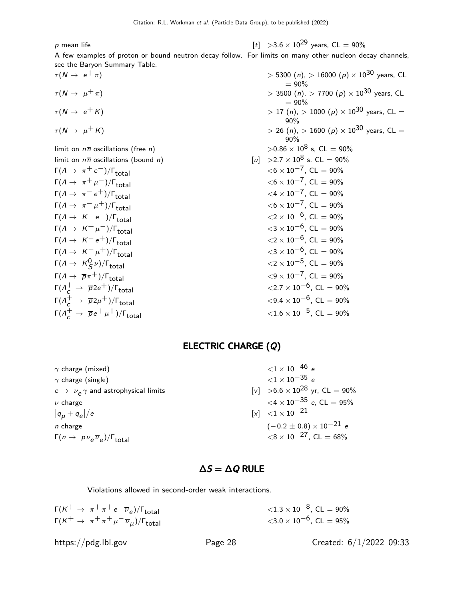p mean life  $[t] > 3.6 \times 10^{29}$  years,  $CL = 90\%$ 

A few examples of proton or bound neutron decay follow. For limits on many other nucleon decay channels, see the Baryon Summary Table.

$$
\tau(N \to \mu^+ \pi)
$$
\n
$$
\tau(N \to \mu^+ \pi)
$$
\n
$$
\tau(N \to \mu^+ \kappa)
$$
\nlimit on  $n\overline{n}$  oscillations (free *n*)\nlimit on  $n\overline{n}$  oscillations (bound *n*)\n
$$
\Gamma(A \to \pi^+ e^-)/\Gamma_{total}
$$
\n
$$
\Gamma(A \to \pi^+ \mu^-)/\Gamma_{total}
$$
\n
$$
\Gamma(A \to \pi^- e^+)/\Gamma_{total}
$$
\n
$$
\Gamma(A \to \kappa^- e^-)/\Gamma_{total}
$$
\n
$$
\Gamma(A \to K^+ e^-)/\Gamma_{total}
$$
\n
$$
\Gamma(A \to K^+ e^-)/\Gamma_{total}
$$
\n
$$
\Gamma(A \to K^- e^+)/\Gamma_{total}
$$
\n
$$
\Gamma(A \to K^0 e^-)/\Gamma_{total}
$$
\n
$$
\Gamma(A \to K^0 g^-)/\Gamma_{total}
$$
\n
$$
\Gamma(A \to K^0 g^-)/\Gamma_{total}
$$
\n
$$
\Gamma(A^+_e \to \overline{p} 2e^+)/\Gamma_{total}
$$
\n
$$
\Gamma(A^+_e \to \overline{p} 2\mu^+)/\Gamma_{total}
$$
\n
$$
\Gamma(A^+_e \to \overline{p} e^+ \mu^+)/\Gamma_{total}
$$

 $\tau(N \to e^+ \pi)$  > 5300 (n), > 16000 (p) × 10<sup>30</sup> years, CL  $= 90\%$  $> 3500$  (n),  $> 7700$  (p)  $\times$   $10^{30}$  years, CL  $= 90\%$  $> 17$  (n),  $> 1000$  (p)  $\times$   $10^{30}$  years, CL = 90%  $> 26$  (n),  $> 1600$  (p)  $\times$   $10^{30}$  years, CL = 90%  $>0.86 \times 10^8$  s, CL = 90%  $\begin{array}{ll} \n\begin{bmatrix} u \\ v \end{bmatrix} > 2.7 \times 10^8 \text{ s}, \text{CL} = 90\% \n\end{array}$  $<$ 6  $\times$  10<sup>-7</sup>, CL = 90%  $<$ 6  $\times$  10<sup>-7</sup>, CL = 90%  $<$ 4  $\times$  10<sup>-7</sup>, CL = 90%  $<$  6  $\times$  10<sup>-7</sup>, CL = 90%  $<$ 2  $\times$  10<sup>-6</sup>, CL = 90%  $<$ 3  $\times$  10 $^{-6}$ , CL = 90%  $\langle 2 \times 10^{-6}$ , CL = 90%  $<$ 3  $\times$  10<sup>-6</sup>, CL = 90%  $<$ 2  $\times$  10<sup>-5</sup>, CL = 90%  $< 9 \times 10^{-7}$ , CL = 90%  $\langle 2.7 \times 10^{-6}$ , CL = 90%  $<$  9.4  $\times$  10<sup>-6</sup>, CL = 90%  $<$  1.6  $\times$  10<sup>-5</sup>, CL = 90%

#### ELECTRIC CHARGE (Q)

| $\gamma$ charge (mixed)                                        | ${<}1 \times 10^{-46}$ e                         |
|----------------------------------------------------------------|--------------------------------------------------|
| $\gamma$ charge (single)                                       | $<$ 1 $\times$ 10 $^{-35}$ e                     |
| $e \rightarrow \nu_{\rho} \gamma$ and astrophysical limits     | $[v] > 6.6 \times 10^{28}$ yr, CL = 90%          |
| $\nu$ charge                                                   | $\langle 4 \times 10^{-35} \text{ e}$ . CL = 95% |
| $ q_{p}+q_{e} /e$                                              | $[x] < 1 \times 10^{-21}$                        |
| n charge                                                       | $(-0.2 \pm 0.8) \times 10^{-21}$ e               |
| $\Gamma(n \to p \nu_e \overline{\nu}_e)/\Gamma_{\text{total}}$ | $\langle 8 \times 10^{-27}$ , CL = 68%           |
|                                                                |                                                  |

## $\Delta S = \Delta Q$  RULE

Violations allowed in second-order weak interactions.

| $\Gamma(K^+ \to \pi^+ \pi^+ e^- \overline{\nu}_e)/\Gamma_{\text{total}}$     | $\langle 1.3 \times 10^{-8}$ , CL = 90%      |
|------------------------------------------------------------------------------|----------------------------------------------|
| $\Gamma(K^+ \to \pi^+ \pi^+ \mu^- \overline{\nu}_\mu)/\Gamma_{\text{total}}$ | $<$ 3.0 $\times$ 10 <sup>-6</sup> , CL = 95% |

https://pdg.lbl.gov Page 28 Created: 6/1/2022 09:33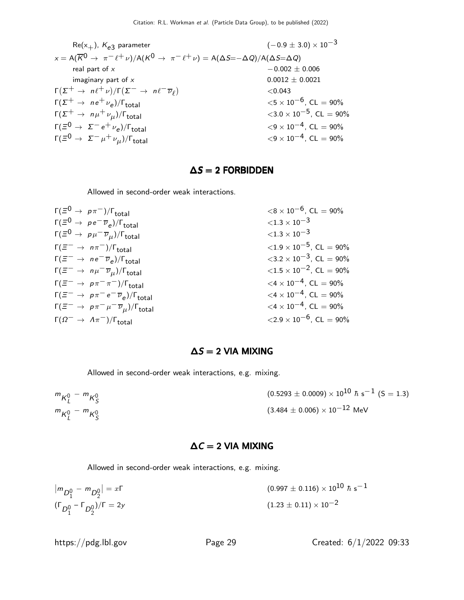$$
Re(x_{+}), K_{e3} \text{ parameter}
$$
\n
$$
x = A(\overline{K}^{0} \to \pi^{-} \ell^{+} \nu)/A(K^{0} \to \pi^{-} \ell^{+} \nu) = A(\Delta S = -\Delta Q)/A(\Delta S = \Delta Q)
$$
\n
$$
= 0.002 \pm 0.006
$$
\n
$$
= 0.002 \pm 0.006
$$
\n
$$
\Gamma(\Sigma^{+} \to n \ell^{+} \nu)/\Gamma(\Sigma^{-} \to n \ell^{-} \overline{\nu}_{\ell})
$$
\n
$$
= 0.0012 \pm 0.0021
$$
\n
$$
= 0.0021 \pm 0.0021
$$
\n
$$
= 0.0012 \pm 0.0021
$$
\n
$$
= 0.0021 \pm 0.0021
$$
\n
$$
= 0.0021 \pm 0.0021
$$
\n
$$
= 0.0021 \pm 0.0021
$$
\n
$$
= 0.0021 \pm 0.0021
$$
\n
$$
= 0.0021 \pm 0.0021
$$
\n
$$
= 0.0021 \pm 0.0021
$$
\n
$$
= 0.0021 \pm 0.0021
$$
\n
$$
= 0.0021 \pm 0.0021
$$
\n
$$
= 0.0021 \pm 0.0021
$$
\n
$$
= 0.0021 \pm 0.0021
$$
\n
$$
= 0.0021 \pm 0.0021
$$
\n
$$
= 0.0021 \pm 0.0021
$$
\n
$$
= 0.0021 \pm 0.0021
$$
\n
$$
= 0.0021 \pm 0.0021
$$
\n
$$
= 0.0021 \pm 0.0021
$$
\n
$$
= 0.0021 \pm 0.0021
$$
\n
$$
= 0.0021 \pm 0.0021
$$
\n
$$
= 0.0021 \pm 0.0021
$$
\n<

## $\Delta S = 2$  FORBIDDEN

Allowed in second-order weak interactions.

| $\Gamma(\Xi^0 \to p \pi^-)/\Gamma_{\text{total}}$                      | $\langle 8 \times 10^{-6}$ , CL = 90%           |
|------------------------------------------------------------------------|-------------------------------------------------|
| $\Gamma(\Xi^0 \to \rho e^- \overline{\nu}_e)/\Gamma_{\text{total}}$    | ${<}1.3\times10^{-3}$                           |
| $\Gamma(\Xi^0 \to p \mu^- \overline{\nu}_\mu)/\Gamma_{\rm total}$      | ${<}1.3\times10^{-3}$                           |
| $\Gamma(\Xi^- \to n\pi^-)/\Gamma_{\text{total}}$                       | $\langle 1.9 \times 10^{-5} \rangle$ , CL = 90% |
| $\Gamma(\Xi^- \to ne^- \overline{\nu}_e)/\Gamma_{\text{total}}$        | $\langle 3.2 \times 10^{-3}, \text{ CL} = 90\%$ |
| $\Gamma(\Xi^- \to n\mu^- \overline{\nu}_\mu)/\Gamma_{\rm total}$       | $\langle 1.5 \times 10^{-2} \rangle$ , CL = 90% |
| $\Gamma(\Xi^- \to p \pi^- \pi^-)/\Gamma_{\text{total}}$                | $\langle 4 \times 10^{-4}$ , CL = 90%           |
| $\Gamma(\Xi^- \to p \pi^- e^- \overline{\nu}_e)/\Gamma_{\text{total}}$ | $\langle 4 \times 10^{-4}$ , CL = 90%           |
| $\Gamma(\Xi^-\to p\pi^-\mu^-\overline{\nu}_\mu)/\Gamma_{\rm total}$    | $<$ 4 $\times$ 10 $^{-4}$ , CL $=$ 90%          |
| $\Gamma(\Omega^- \to A\pi^-)/\Gamma_{\text{total}}$                    | $\langle 2.9 \times 10^{-6}$ , CL = 90%         |

## $\Delta S = 2$  VIA MIXING

Allowed in second-order weak interactions, e.g. mixing.

| $m_{K^0_L} - m_{K^0_S}$ | $(0.5293 \pm 0.0009) \times 10^{10}$ $\hbar$ s <sup>-1</sup> (S = 1.3) |
|-------------------------|------------------------------------------------------------------------|
| $m_{K_l^0} - m_{K_s^0}$ | $(3.484 \pm 0.006) \times 10^{-12}$ MeV                                |

#### $\Delta C = 2$  VIA MIXING

Allowed in second-order weak interactions, e.g. mixing.

$$
\left| m_{D_1^0} - m_{D_2^0} \right| = x\Gamma
$$
\n
$$
\left( \Gamma_{D_1^0} - \Gamma_{D_2^0} \right) / \Gamma = 2y
$$
\n
$$
\left( \Gamma_{D_1^0} - \Gamma_{D_2^0} \right) / \Gamma = 2y
$$
\n
$$
\left( 1.23 \pm 0.11 \right) \times 10^{-2}
$$

https://pdg.lbl.gov Page 29 Created: 6/1/2022 09:33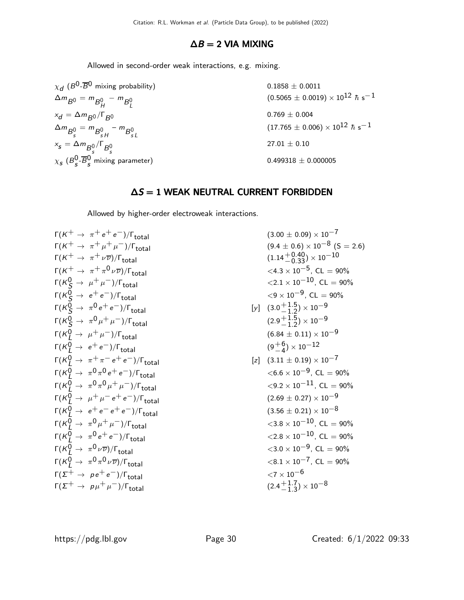## $\Delta B = 2$  VIA MIXING

Allowed in second-order weak interactions, e.g. mixing.

 $\chi_{\bm d}$  ( $B^0$ - $\overline B{}^0$  mixing probability) 0.1858  $\pm$  0.0011  $\Delta m_{B^0} = m_{B^0_H} - m_{B^0_L}$  $(0.5065 \pm 0.0019) \times 10^{12}$   $\hbar$  s $^{-1}$  $x_d = \Delta m_{B^0} / \Gamma_{B^0}$  0.769 ± 0.004  $\Delta m_{B^0_s} = m_{B^0_{sH}} - m_{B^0_{sL}}$  $(17.765 \pm 0.006) \times 10^{12}$   $\hbar$  s<sup>-1</sup>  $x_s = \Delta m_{B_s^0}/\Gamma_{B_s^0}$  $27.01 \pm 0.10$  $\chi_{\bm{s}}$  (B $_{\bm{s}}^{\bm{0}}$  $_{s}^{0}$ - $_{s}^{0}$ s  $0.499318 \pm 0.000005$ 

## $\Delta S = 1$  WEAK NEUTRAL CURRENT FORBIDDEN

Allowed by higher-order electroweak interactions.

$$
\Gamma(K^{+} \to \pi^{+} e^{+} e^{-})/\Gamma_{total}
$$
\n
$$
\Gamma(K^{+} \to \pi^{+} \mu^{+} \mu^{-})/\Gamma_{total}
$$
\n
$$
\Gamma(K^{0} \to \pi^{0} \mu^{+} \mu^{-})/\Gamma_{total}
$$
\n
$$
\Gamma(K^{0} \to \pi^{0} \pi^{0} e^{+} e^{-})/\Gamma_{total}
$$
\n
$$
\Gamma(K^{0} \to \pi^{0} \pi^{0} \mu^{+} \mu^{-})/\Gamma_{total}
$$
\n
$$
\Gamma(K^{0} \to \pi^{0} \pi^{0} e^{+} e^{-})/\Gamma_{total}
$$
\n
$$
\Gamma(K^{0} \to \pi^{0} \pi^{0} e^{+} e^{-})/\Gamma_{total}
$$
\n
$$
\Gamma(K^{0} \to \pi^{0} \pi^{0} e^{+} e^{-})/\Gamma_{total}
$$
\n
$$
\Gamma(K^{0} \to \pi^{0} \pi^{0} e^{+} e^{-})/\Gamma_{total}
$$
\n
$$
\Gamma(K^{0} \to \pi^{0} \pi^{0} e^{+} e^{-})/\Gamma_{total}
$$
\n
$$
\Gamma(K^{0} \to \pi^{0} \pi^{0} e^{+} e^{-})/\Gamma_{total}
$$
\n
$$
\Gamma(K^{0} \to \pi^{0} \pi^{0} e^{+} e^{-})/\Gamma_{total}
$$
\n
$$
\Gamma(K^{0} \to \pi^{0} \pi^{0} e^{+} e^{-})/\Gamma_{total}
$$
\n
$$
\Gamma(K^{0} \to \pi^{0} \pi^{0} e^{+} e^{-})/\Gamma_{total}
$$
\n
$$
\Gamma(K^{0} \to \pi^{0} \pi^{0} \mu^{+} \mu^{-})/\Gamma_{total}
$$
\n
$$
\Gamma(K^{0} \to \pi^{0} \pi^{0} \mu^{+} \mu^{-})/\Gamma_{total}
$$
\n
$$
\Gamma(K^{0} \to \pi^{0} \pi^{0} \mu^{+} \mu^{-})/\Gamma_{total}
$$
\n
$$
\Gamma(K^{0} \to \pi^{0} \pi^{0} \mu^{+} \mu^{-})/\Gamma_{total}
$$
\n
$$
\Gamma(K^{0} \to \pi^{0} \mu^{+} \mu^{-})/\Gamma_{total}
$$
\n
$$
\Gamma(K^{0} \to \pi^{0} \mu^{+} \mu^{-})/\Gamma_{total}
$$
\n
$$
\Gamma(K^{0} \
$$

$$
+\rightarrow \pi + e^{+} e^{-})/\Gamma_{total}
$$
\n
$$
+\rightarrow \pi + \mu^{+} \mu^{-})/\Gamma_{total}
$$
\n
$$
+\rightarrow \pi + \mu^{+} \nu^{-})/\Gamma_{total}
$$
\n
$$
+\rightarrow \pi + \mu^{0} \nu \bar{\nu})/\Gamma_{total}
$$
\n
$$
+\rightarrow \pi + \mu^{0} \nu \bar{\nu})/\Gamma_{total}
$$
\n
$$
+\rightarrow \pi + \mu^{0} \nu \bar{\nu})/\Gamma_{total}
$$
\n
$$
+\rightarrow \pi + \mu^{0} \nu \bar{\nu})/\Gamma_{total}
$$
\n
$$
+\rightarrow \pi + \mu^{-})/\Gamma_{total}
$$
\n
$$
+\rightarrow \pi^{0} e^{+} e^{-})/\Gamma_{total}
$$
\n
$$
+\rightarrow \pi^{0} \mu + \mu^{-})/\Gamma_{total}
$$
\n
$$
+\rightarrow \pi^{0} \mu + \mu^{-})/\Gamma_{total}
$$
\n
$$
+\rightarrow \pi^{0} \mu^{0} + \mu^{-})/\Gamma_{total}
$$
\n
$$
+\rightarrow \pi^{0} \pi^{0} \mu + \mu^{-})/\Gamma_{total}
$$
\n
$$
+\rightarrow \pi^{0} \pi^{0} \mu + \mu^{-})/\Gamma_{total}
$$
\n
$$
+\rightarrow \pi^{0} \pi^{0} \mu + \mu^{-})/\Gamma_{total}
$$
\n
$$
+\rightarrow \pi^{0} \pi^{0} \mu + \mu^{-})/\Gamma_{total}
$$
\n
$$
+\rightarrow \pi^{0} \pi^{0} \mu + \mu^{-})/\Gamma_{total}
$$
\n
$$
+\rightarrow \pi^{0} \pi^{0} \mu + \mu^{-})/\Gamma_{total}
$$
\n
$$
+\rightarrow \pi^{0} \pi^{0} \mu + \mu^{-})/\Gamma_{total}
$$
\n
$$
+\rightarrow \pi^{0} \pi^{0} \mu + \mu^{-})/\Gamma_{total}
$$
\n
$$
+\rightarrow \pi^{0} \pi^{0} \mu^{+} \mu^{-})/\Gamma_{total}
$$
\n
$$
+\rightarrow \pi^{0} \pi^{0} \mu^{-} \mu^{-})/\Gamma_{total}
$$
\n
$$
+\rightarrow \pi^{0} \pi^{0} \nu \bar{\nu})/\Gamma_{total}
$$
\n
$$
+\rightarrow \pi^{0} \pi^{0} \nu \bar{\nu})/\Gamma_{total}
$$
\n
$$
+\rightarrow \pi^{0} \pi^{0} \nu \
$$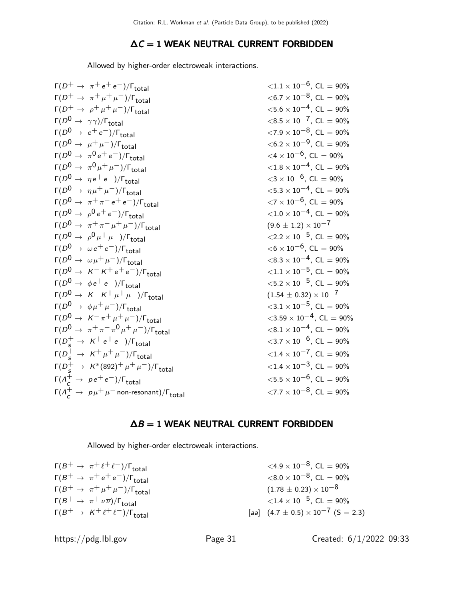## $\Delta C = 1$  WEAK NEUTRAL CURRENT FORBIDDEN

Allowed by higher-order electroweak interactions.

| $<$ 6.7 $\times$ 10 <sup>-8</sup> , CL = 90%     |
|--------------------------------------------------|
| $<$ 5.6 $\times$ 10 <sup>-4</sup> , CL = 90%     |
| $\langle 8.5 \times 10^{-7}$ , CL = 90%          |
| $\langle 7.9 \times 10^{-8}, CL = 90\%$          |
| $<$ 6.2 $\times$ 10 <sup>-9</sup> , CL = 90%     |
| $\langle 4 \times 10^{-6}$ , CL = 90%            |
| $\langle 1.8 \times 10^{-4} \rangle$ , CL = 90%  |
| $<$ 3 $\times$ 10 <sup>-6</sup> , CL = 90%       |
| $\langle 5.3 \times 10^{-4} \rangle$ , CL = 90%  |
| $\langle 7 \times 10^{-6}$ , CL = 90%            |
| $\langle 1.0 \times 10^{-4} \rangle$ , CL = 90%  |
| $(9.6 \pm 1.2) \times 10^{-7}$                   |
| $\langle 2.2 \times 10^{-5} \rangle$ , CL = 90%  |
| $<$ 6 $\times$ 10 <sup>-6</sup> , CL = 90%       |
| $\langle 8.3 \times 10^{-4} \rangle$ , CL = 90%  |
| $\langle 1.1 \times 10^{-5}$ , CL = 90%          |
| $\langle 5.2 \times 10^{-5}, CL = 90\%$          |
| $(1.54 \pm 0.32) \times 10^{-7}$                 |
| $\langle 3.1 \times 10^{-5}$ , CL = 90%          |
| $\langle 3.59 \times 10^{-4} \rangle$ , CL = 90% |
| $< 8.1 \times 10^{-4}$ , CL = 90%                |
| $\langle 3.7 \times 10^{-6} \rangle$ , CL = 90%  |
| $\langle 1.4 \times 10^{-7} \rangle$ , CL = 90%  |
| $\langle 1.4 \times 10^{-3}, CL = 90\%$          |
| $<$ 5.5 $\times$ 10 <sup>-6</sup> , CL = 90%     |
| $\langle 7.7 \times 10^{-8} \rangle$ , CL = 90%  |
|                                                  |

## $\Delta B = 1$  WEAK NEUTRAL CURRENT FORBIDDEN

Allowed by higher-order electroweak interactions.

| $\Gamma(B^+ \to \pi^+ \ell^+ \ell^-)/\Gamma_{\text{total}}$   | $\langle 4.9 \times 10^{-8}$ , CL = 90%         |
|---------------------------------------------------------------|-------------------------------------------------|
| $\Gamma(B^+ \to \pi^+ e^+ e^-)/\Gamma_{\text{total}}$         | $\langle 8.0 \times 10^{-8} \rangle$ , CL = 90% |
| $\Gamma(B^+ \to \pi^+ \mu^+ \mu^-)/\Gamma_{\text{total}}$     | $(1.78 \pm 0.23) \times 10^{-8}$                |
| $\Gamma(B^+\to \pi^+\nu\overline{\nu})/\Gamma_{\text{total}}$ | $\langle 1.4 \times 10^{-5}, CL = 90\%$         |
| $\Gamma(B^+ \to K^+ \ell^+ \ell^-)/\Gamma_{\text{total}}$     | [aa] $(4.7 \pm 0.5) \times 10^{-7}$ (S = 2.3)   |

https://pdg.lbl.gov Page 31 Created: 6/1/2022 09:33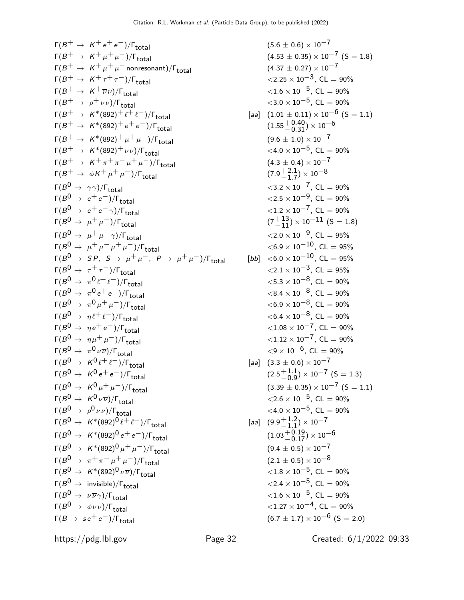$$
r(\beta + \rightarrow K^+e^+e^-)/r_{total}
$$
\n(6.5 + 0.6) × 10<sup>-7</sup>  
\n
$$
r(\beta + \rightarrow K^+ \mu^+ \mu^-)/r_{total}
$$
\n(6.5 + 0.33) × 10<sup>-7</sup>  
\n
$$
r(\beta + \rightarrow K^+ \mu^+ \mu^-)/r_{total}
$$
\n(6.5 + 0.37) × 10<sup>-7</sup>  
\n
$$
r(\beta + \rightarrow K^+ \delta 92) + i^2 e^-)/r_{total}
$$
\n(6.5 + 0.37) × 10<sup>-7</sup>  
\n
$$
r(\beta + \rightarrow K^+ \delta 92) + i^2 e^-)/r_{total}
$$
\n(6.5 + 0.4 × 10<sup>-5</sup>, CL = 90%  
\n
$$
r(\beta + \rightarrow K^+ \delta 92) + i^2 e^-)/r_{total}
$$
\n(6.5 + 0.31) × 10<sup>-6</sup>  
\n
$$
r(\beta + \rightarrow K^+ \delta 92) + i^2 e^-)/r_{total}
$$
\n(6.5 + 0.4 × 10<sup>-5</sup>, CL = 90%  
\n
$$
r(\beta + \rightarrow K^+ \mu^+ \mu^-)/r_{total}
$$
\n(6.5 + 0.31) × 10<sup>-7</sup>  
\n
$$
r(\beta + \rightarrow K^+ \mu^+ \mu^-)/r_{total}
$$
\n(6.5 + 0.4 × 10<sup>-5</sup>, CL = 90%  
\n
$$
r(\beta + \rightarrow K^+ \mu^+ \mu^-)/r_{total}
$$
\n(6.5 + 0.4 × 10<sup>-5</sup>, CL = 90%  
\n
$$
r(\beta + \rightarrow K^+ \mu^+ \mu^-)/r_{total}
$$
\n(6.5 + 0.4 × 10<sup>-5</sup>, CL = 90%  
\n
$$
r(\beta + \rightarrow K^+ \mu^+ \mu^-)/r_{total}
$$
\n(6.5 + 0.5 × 10<sup>-1</sup>, CL = 90%  
\n
$$
r(\beta + \rightarrow K^+ \mu^+ \mu^-)/r_{total}
$$
\n(6.5 + 0.5 × 10<sup>-1</sup>, CL = 90%

$$
(5.6 \pm 0.6) \times 10^{-7}
$$
\n
$$
(4.53 \pm 0.35) \times 10^{-7}
$$
\n
$$
(4.37 \pm 0.27) \times 10^{-7}
$$
\n
$$
< 2.25 \times 10^{-3}, \text{ CL} = 90\%
$$
\n
$$
< 1.6 \times 10^{-5}, \text{ CL} = 90\%
$$
\n
$$
< 3.0 \times 10^{-5}, \text{ CL} = 90\%
$$
\n
$$
< 3.0 \times 10^{-5}, \text{ CL} = 90\%
$$
\n
$$
= 3.0 \times 10^{-5}, \text{ CL} = 90\%
$$
\n
$$
= 3.0 \times 10^{-5}, \text{ CL} = 90\%
$$
\n
$$
(4.0 \times 10^{-5}, \text{ CL} = 90\%
$$
\n
$$
= 4.0 \times 10^{-7}
$$
\n
$$
< 4.0 \times 10^{-5}, \text{ CL} = 90\%
$$
\n
$$
= 4.0 \times 10^{-7}, \text{ CL} = 90\%
$$
\n
$$
< 2.5 \times 10^{-9}, \text{ CL} = 90\%
$$
\n
$$
< 2.5 \times 10^{-9}, \text{ CL} = 90\%
$$
\n
$$
= 2.5 \times 10^{-9}, \text{ CL} = 90\%
$$
\n
$$
= 2.5 \times 10^{-9}, \text{ CL} = 90\%
$$
\n
$$
< 2.0 \times 10^{-1}, \text{ CL} = 95\%
$$
\n
$$
< 6.9 \times 10^{-10}, \text{ CL} = 95\%
$$
\n
$$
< 8.4 \times 10^{-8}, \text{ CL} = 90\%
$$
\n
$$
< 8.4 \times 10^{-8}, \text{ CL} = 90\%
$$
\n
$$
< 8.4 \times 10^{-8}, \text{ CL} = 90\%
$$
\n
$$
< 8.4 \times 10^{-8}, \text{ CL} = 90\%
$$
\n
$$
< 8.4 \times 10^{-8}, \text{ CL} = 90\%
$$
\n
$$
< 8.4 \times
$$

https://pdg.lbl.gov Page 32 Created: 6/1/2022 09:33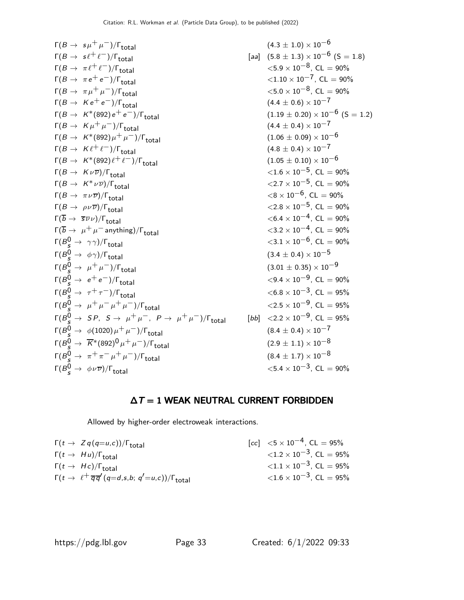| \n $F(B \rightarrow s\mu^+\mu^-)/F_{total}$ \n | \n $(4.3 \pm 1.0) \times 10^{-6}$ \n               |                                                    |                                                           |                                                           |                                                           |                                                           |                                                           |                                                           |                                                           |                                                           |                                                           |                                                           |                                                           |                          |
|------------------------------------------------|----------------------------------------------------|----------------------------------------------------|-----------------------------------------------------------|-----------------------------------------------------------|-----------------------------------------------------------|-----------------------------------------------------------|-----------------------------------------------------------|-----------------------------------------------------------|-----------------------------------------------------------|-----------------------------------------------------------|-----------------------------------------------------------|-----------------------------------------------------------|-----------------------------------------------------------|--------------------------|
| \n $F(B \rightarrow \pi e^+ e^-)/F_{total}$ \n | \n $F(B \rightarrow \pi e^+ e^-)/F_{total}$ \n     |                                                    |                                                           |                                                           |                                                           |                                                           |                                                           |                                                           |                                                           |                                                           |                                                           |                                                           |                                                           |                          |
| \n $F(B \rightarrow K e^+ e^-)/F_{total}$ \n   | \n $F(B \rightarrow K e^+ e^-)/F_{total}$ \n       |                                                    |                                                           |                                                           |                                                           |                                                           |                                                           |                                                           |                                                           |                                                           |                                                           |                                                           |                                                           |                          |
| \n $F(B \rightarrow K e^+ e^-)/F_{total}$ \n   | \n $F(B \rightarrow K^*(892)e^+ e^-)/F_{total}$ \n | \n $F(B \rightarrow K^*(892)e^+ e^-)/F_{total}$ \n | \n $F(B \rightarrow K^*(\pi 92) \mu^+\mu^-)/F_{total}$ \n | \n $F(B \rightarrow K^*(\pi 92) \mu^+\mu^-)/F_{total}$ \n | \n $F(B \rightarrow K^*(\pi 92) \mu^+\mu^-)/F_{total}$ \n | \n $F(B \rightarrow K^*(\pi 92) \mu^+\mu^-)/F_{total}$ \n | \n $F(B \rightarrow K^*(\pi 92) \mu^+\mu^-)/F_{total}$ \n | \n $F(B \rightarrow K^*(\pi 92) \mu^+\mu^-)/F_{total}$ \n | \n $F(B \rightarrow K^*(\pi 92) \mu^+\mu^-)/F_{total}$ \n | \n $F(B \rightarrow K^*(\pi 92) \mu^+\mu^-)/F_{total}$ \n | \n $F(B \rightarrow K^*(\pi 92) \mu^+\mu^-)/F_{total}$ \n | \n $F(B \rightarrow K^*(\pi 92) \mu^+\mu^-)/F_{total}$ \n | \n $F(B \rightarrow \pi \nu \overline{\nu})/F_{total}$ \n | \n <math< td=""></math<> |

## $\Delta T = 1$  WEAK NEUTRAL CURRENT FORBIDDEN

Allowed by higher-order electroweak interactions.

| $\Gamma(t \to Z q(q=u,c))/\Gamma_{\text{total}}$                                         | $[cc]$ $\leq 5 \times 10^{-4}$ , CL = 95%       |
|------------------------------------------------------------------------------------------|-------------------------------------------------|
| $\Gamma(t \rightarrow Hu)/\Gamma_{\text{total}}$                                         | $\langle 1.2 \times 10^{-3} \rangle$ , CL = 95% |
| $\Gamma(t \to Hc)/\Gamma_{\text{total}}$                                                 | $\langle 1.1 \times 10^{-3} \rangle$ , CL = 95% |
| $\Gamma(t \to \ell^+ \overline{q} \overline{q}'(q=d,s,b; q'=u,c))/\Gamma_{\text{total}}$ | $\langle 1.6 \times 10^{-3} \rangle$ , CL = 95% |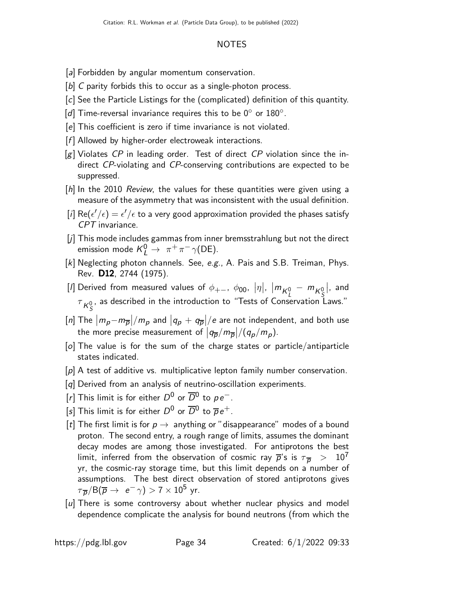#### NOTES

- [a] Forbidden by angular momentum conservation.
- [b] C parity forbids this to occur as a single-photon process.
- [c] See the Particle Listings for the (complicated) definition of this quantity.
- [ $d$ ] Time-reversal invariance requires this to be  $0^{\circ}$  or  $180^{\circ}$ .
- [e] This coefficient is zero if time invariance is not violated.
- $[f]$  Allowed by higher-order electroweak interactions.
- $[g]$  Violates CP in leading order. Test of direct CP violation since the indirect CP-violating and CP-conserving contributions are expected to be suppressed.
- [h] In the 2010 Review, the values for these quantities were given using a measure of the asymmetry that was inconsistent with the usual definition.
- [i]  $\mathsf{Re}(\epsilon'/\epsilon) = \epsilon'/\epsilon$  to a very good approximation provided the phases satisfy CPT invariance.
- [j] This mode includes gammas from inner bremsstrahlung but not the direct emission mode  $\mathcal{K}_L^0 \rightarrow \pi^+ \pi^- \gamma(\text{DE}).$
- [k] Neglecting photon channels. See, e.g., A. Pais and S.B. Treiman, Phys. Rev. D12, 2744 (1975).
- $[l]$  Derived from measured values of  $\phi_{+-}$ ,  $\phi_{00}$ ,  $|\eta|$ ,  $|m_{K^0_L} m_{K^0_S}|$ , and  $\tau_{K^0_S}$ , as described in the introduction to "Tests of Conservation Laws."
- [n] The  $|m_p m_{\overline{p}}|/m_p$  and  $|q_p + q_{\overline{p}}|/e$  are not independent, and both use the more precise measurement of  $\left|q_{\overline{p}}/m_{\overline{p}}\right|/(q_p/m_p)$ .
- [o] The value is for the sum of the charge states or particle/antiparticle states indicated.
- [p] A test of additive vs. multiplicative lepton family number conservation.
- [q] Derived from an analysis of neutrino-oscillation experiments.
- [r] This limit is for either D<sup>0</sup> or  $\overline{D}{}^0$  to  $\rho e^−$ .
- [s] This limit is for either  $D^0$  or  $\overline{D}{}^0$  to  $\overline{\rho}\, e^+$ .
- [t] The first limit is for  $p \rightarrow$  anything or "disappearance" modes of a bound proton. The second entry, a rough range of limits, assumes the dominant decay modes are among those investigated. For antiprotons the best limit, inferred from the observation of cosmic ray  $\overline{p}$ 's is  $\tau_{\overline{p}} > 10^7$ yr, the cosmic-ray storage time, but this limit depends on a number of assumptions. The best direct observation of stored antiprotons gives  $\tau_{\,\overline{\rho}}/\mathsf{B}(\overline{\rho}\to\,\,$  e $^ \gamma)$   $>$  7  $\times$   $10^5\,$  yr.
- [u] There is some controversy about whether nuclear physics and model dependence complicate the analysis for bound neutrons (from which the